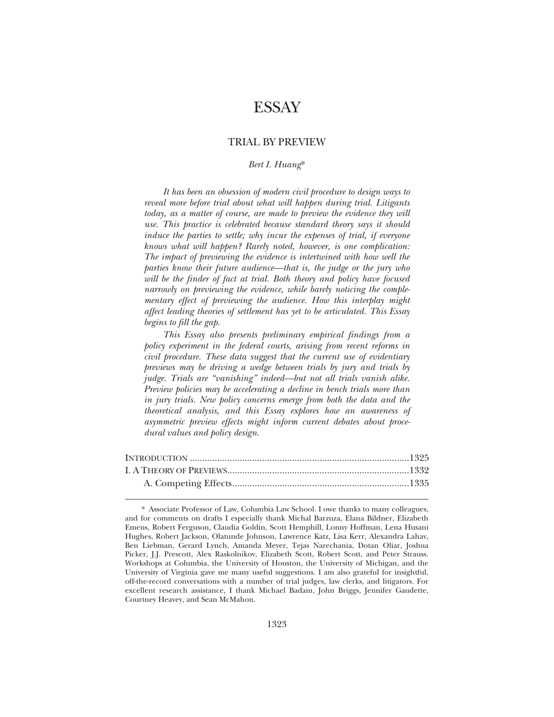# **ESSAY**

# TRIAL BY PREVIEW

## *Bert I. Huang*\*

*It has been an obsession of modern civil procedure to design ways to reveal more before trial about what will happen during trial. Litigants*  today, as a matter of course, are made to preview the evidence they will *use. This practice is celebrated because standard theory says it should induce the parties to settle; why incur the expenses of trial, if everyone knows what will happen? Rarely noted, however, is one complication: The impact of previewing the evidence is intertwined with how well the parties know their future audience—that is, the judge or the jury who*  will be the finder of fact at trial. Both theory and policy have focused *narrowly on previewing the evidence, while barely noticing the complementary effect of previewing the audience. How this interplay might affect leading theories of settlement has yet to be articulated. This Essay begins to fill the gap.* 

*This Essay also presents preliminary empirical findings from a policy experiment in the federal courts, arising from recent reforms in civil procedure. These data suggest that the current use of evidentiary previews may be driving a wedge between trials by jury and trials by judge. Trials are "vanishing" indeed—but not all trials vanish alike. Preview policies may be accelerating a decline in bench trials more than in jury trials. New policy concerns emerge from both the data and the theoretical analysis, and this Essay explores how an awareness of asymmetric preview effects might inform current debates about procedural values and policy design.* 

<sup>\*</sup> Associate Professor of Law, Columbia Law School. I owe thanks to many colleagues, and for comments on drafts I especially thank Michal Barzuza, Elana Bildner, Elizabeth Emens, Robert Ferguson, Claudia Goldin, Scott Hemphill, Lonny Hoffman, Lena Husani Hughes, Robert Jackson, Olatunde Johnson, Lawrence Katz, Lisa Kerr, Alexandra Lahav, Ben Liebman, Gerard Lynch, Amanda Meyer, Tejas Narechania, Dotan Oliar, Joshua Picker, J.J. Prescott, Alex Raskolnikov, Elizabeth Scott, Robert Scott, and Peter Strauss. Workshops at Columbia, the University of Houston, the University of Michigan, and the University of Virginia gave me many useful suggestions. I am also grateful for insightful, off-the-record conversations with a number of trial judges, law clerks, and litigators. For excellent research assistance, I thank Michael Badain, John Briggs, Jennifer Gaudette, Courtney Heavey, and Sean McMahon.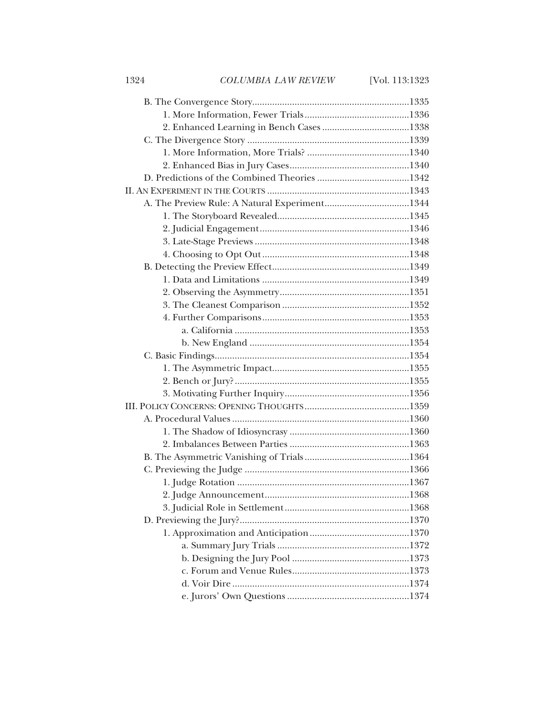1324 *COLUMBIA LAW REVIEW* [Vol. 113:1323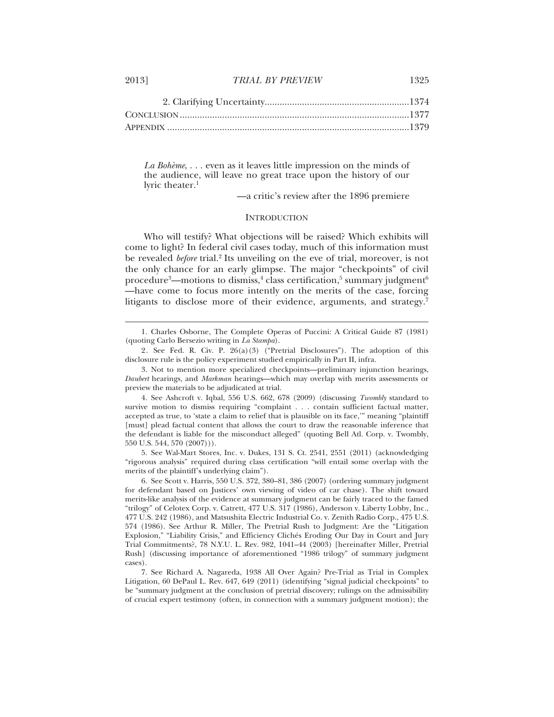$\overline{a}$ 

*La Bohème*, . . . even as it leaves little impression on the minds of the audience, will leave no great trace upon the history of our lyric theater.<sup>1</sup>

—a critic's review after the 1896 premiere

## **INTRODUCTION**

Who will testify? What objections will be raised? Which exhibits will come to light? In federal civil cases today, much of this information must be revealed *before* trial.<sup>2</sup> Its unveiling on the eve of trial, moreover, is not the only chance for an early glimpse. The major "checkpoints" of civil procedure $^3$ —motions to dismiss, $^4$  class certification, $^5$  summary judgment $^6$ —have come to focus more intently on the merits of the case, forcing litigants to disclose more of their evidence, arguments, and strategy.<sup>7</sup>

5. See Wal-Mart Stores, Inc. v. Dukes, 131 S. Ct. 2541, 2551 (2011) (acknowledging "rigorous analysis" required during class certification "will entail some overlap with the merits of the plaintiff's underlying claim").

6. See Scott v. Harris, 550 U.S. 372, 380–81, 386 (2007) (ordering summary judgment for defendant based on Justices' own viewing of video of car chase). The shift toward merits-like analysis of the evidence at summary judgment can be fairly traced to the famed "trilogy" of Celotex Corp. v. Catrett, 477 U.S. 317 (1986), Anderson v. Liberty Lobby, Inc*.*, 477 U.S. 242 (1986), and Matsushita Electric Industrial Co. v. Zenith Radio Corp., 475 U.S. 574 (1986). See Arthur R. Miller, The Pretrial Rush to Judgment: Are the "Litigation Explosion," "Liability Crisis," and Efficiency Clichés Eroding Our Day in Court and Jury Trial Commitments?, 78 N.Y.U. L. Rev. 982, 1041–44 (2003) [hereinafter Miller, Pretrial Rush] (discussing importance of aforementioned "1986 trilogy" of summary judgment cases).

7. See Richard A. Nagareda, 1938 All Over Again? Pre-Trial as Trial in Complex Litigation, 60 DePaul L. Rev. 647, 649 (2011) (identifying "signal judicial checkpoints" to be "summary judgment at the conclusion of pretrial discovery; rulings on the admissibility of crucial expert testimony (often, in connection with a summary judgment motion); the

<sup>1.</sup> Charles Osborne, The Complete Operas of Puccini: A Critical Guide 87 (1981) (quoting Carlo Bersezio writing in *La Stampa*).

<sup>2.</sup> See Fed. R. Civ. P. 26(a)(3) ("Pretrial Disclosures"). The adoption of this disclosure rule is the policy experiment studied empirically in Part II, infra.

<sup>3.</sup> Not to mention more specialized checkpoints—preliminary injunction hearings, *Daubert* hearings, and *Markman* hearings—which may overlap with merits assessments or preview the materials to be adjudicated at trial.

<sup>4.</sup> See Ashcroft v. Iqbal, 556 U.S. 662, 678 (2009) (discussing *Twombly* standard to survive motion to dismiss requiring "complaint . . . contain sufficient factual matter, accepted as true, to 'state a claim to relief that is plausible on its face,'" meaning "plaintiff [must] plead factual content that allows the court to draw the reasonable inference that the defendant is liable for the misconduct alleged" (quoting Bell Atl. Corp. v. Twombly, 550 U.S. 544, 570 (2007))).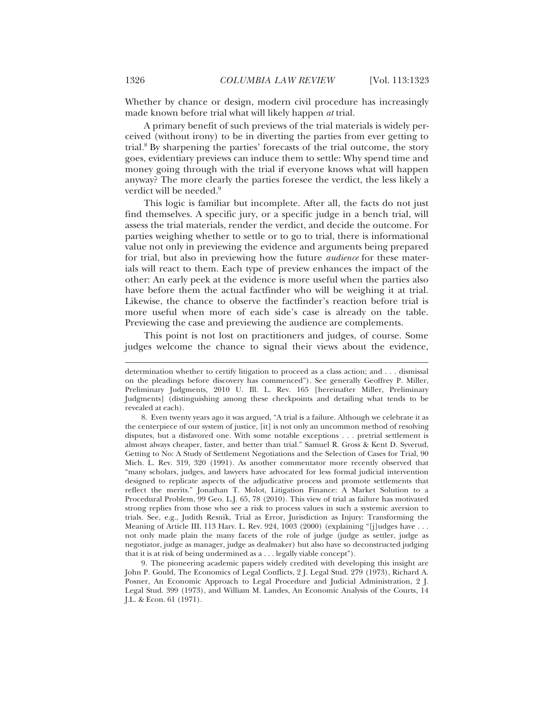Whether by chance or design, modern civil procedure has increasingly made known before trial what will likely happen *at* trial.

A primary benefit of such previews of the trial materials is widely perceived (without irony) to be in diverting the parties from ever getting to trial.8 By sharpening the parties' forecasts of the trial outcome, the story goes, evidentiary previews can induce them to settle: Why spend time and money going through with the trial if everyone knows what will happen anyway? The more clearly the parties foresee the verdict, the less likely a verdict will be needed.<sup>9</sup>

This logic is familiar but incomplete. After all, the facts do not just find themselves. A specific jury, or a specific judge in a bench trial, will assess the trial materials, render the verdict, and decide the outcome. For parties weighing whether to settle or to go to trial, there is informational value not only in previewing the evidence and arguments being prepared for trial, but also in previewing how the future *audience* for these materials will react to them. Each type of preview enhances the impact of the other: An early peek at the evidence is more useful when the parties also have before them the actual factfinder who will be weighing it at trial. Likewise, the chance to observe the factfinder's reaction before trial is more useful when more of each side's case is already on the table. Previewing the case and previewing the audience are complements.

This point is not lost on practitioners and judges, of course. Some judges welcome the chance to signal their views about the evidence,

determination whether to certify litigation to proceed as a class action; and . . . dismissal on the pleadings before discovery has commenced"). See generally Geoffrey P. Miller, Preliminary Judgments, 2010 U. Ill. L. Rev. 165 [hereinafter Miller, Preliminary Judgments] (distinguishing among these checkpoints and detailing what tends to be revealed at each).

<sup>8.</sup> Even twenty years ago it was argued, "A trial is a failure. Although we celebrate it as the centerpiece of our system of justice, [it] is not only an uncommon method of resolving disputes, but a disfavored one. With some notable exceptions . . . pretrial settlement is almost always cheaper, faster, and better than trial." Samuel R. Gross & Kent D. Syverud, Getting to No: A Study of Settlement Negotiations and the Selection of Cases for Trial, 90 Mich. L. Rev. 319, 320 (1991). As another commentator more recently observed that "many scholars, judges, and lawyers have advocated for less formal judicial intervention designed to replicate aspects of the adjudicative process and promote settlements that reflect the merits." Jonathan T. Molot, Litigation Finance: A Market Solution to a Procedural Problem, 99 Geo. L.J. 65, 78 (2010). This view of trial as failure has motivated strong replies from those who see a risk to process values in such a systemic aversion to trials. See, e.g., Judith Resnik, Trial as Error, Jurisdiction as Injury: Transforming the Meaning of Article III, 113 Harv. L. Rev. 924, 1003 (2000) (explaining "[j]udges have . . . not only made plain the many facets of the role of judge (judge as settler, judge as negotiator, judge as manager, judge as dealmaker) but also have so deconstructed judging that it is at risk of being undermined as a . . . legally viable concept").

<sup>9.</sup> The pioneering academic papers widely credited with developing this insight are John P. Gould, The Economics of Legal Conflicts, 2 J. Legal Stud. 279 (1973), Richard A. Posner, An Economic Approach to Legal Procedure and Judicial Administration, 2 J. Legal Stud. 399 (1973), and William M. Landes, An Economic Analysis of the Courts, 14 J.L. & Econ. 61 (1971).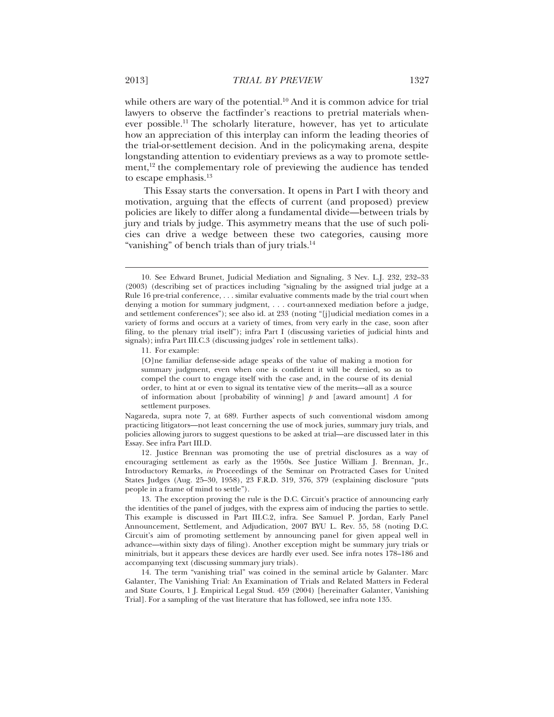while others are wary of the potential.<sup>10</sup> And it is common advice for trial lawyers to observe the factfinder's reactions to pretrial materials whenever possible.11 The scholarly literature, however, has yet to articulate how an appreciation of this interplay can inform the leading theories of the trial-or-settlement decision. And in the policymaking arena, despite longstanding attention to evidentiary previews as a way to promote settlement,<sup>12</sup> the complementary role of previewing the audience has tended to escape emphasis.<sup>13</sup>

This Essay starts the conversation. It opens in Part I with theory and motivation, arguing that the effects of current (and proposed) preview policies are likely to differ along a fundamental divide—between trials by jury and trials by judge. This asymmetry means that the use of such policies can drive a wedge between these two categories, causing more "vanishing" of bench trials than of jury trials.<sup>14</sup>

11. For example:

[O]ne familiar defense-side adage speaks of the value of making a motion for summary judgment, even when one is confident it will be denied, so as to compel the court to engage itself with the case and, in the course of its denial order, to hint at or even to signal its tentative view of the merits—all as a source of information about [probability of winning] *p* and [award amount] *A* for settlement purposes.

Nagareda, supra note 7, at 689. Further aspects of such conventional wisdom among practicing litigators—not least concerning the use of mock juries, summary jury trials, and policies allowing jurors to suggest questions to be asked at trial—are discussed later in this Essay. See infra Part III.D.

12. Justice Brennan was promoting the use of pretrial disclosures as a way of encouraging settlement as early as the 1950s. See Justice William J. Brennan, Jr., Introductory Remarks, *in* Proceedings of the Seminar on Protracted Cases for United States Judges (Aug. 25–30, 1958), 23 F.R.D. 319, 376, 379 (explaining disclosure "puts people in a frame of mind to settle").

14. The term "vanishing trial" was coined in the seminal article by Galanter. Marc Galanter, The Vanishing Trial: An Examination of Trials and Related Matters in Federal and State Courts, 1 J. Empirical Legal Stud. 459 (2004) [hereinafter Galanter, Vanishing Trial]. For a sampling of the vast literature that has followed, see infra note 135.

<sup>10.</sup> See Edward Brunet, Judicial Mediation and Signaling, 3 Nev. L.J. 232, 232–33 (2003) (describing set of practices including "signaling by the assigned trial judge at a Rule 16 pre-trial conference, . . . similar evaluative comments made by the trial court when denying a motion for summary judgment, . . . court-annexed mediation before a judge, and settlement conferences"); see also id. at 233 (noting "[j]udicial mediation comes in a variety of forms and occurs at a variety of times, from very early in the case, soon after filing, to the plenary trial itself"); infra Part I (discussing varieties of judicial hints and signals); infra Part III.C.3 (discussing judges' role in settlement talks).

<sup>13.</sup> The exception proving the rule is the D.C. Circuit's practice of announcing early the identities of the panel of judges, with the express aim of inducing the parties to settle. This example is discussed in Part III.C.2, infra. See Samuel P. Jordan, Early Panel Announcement, Settlement, and Adjudication, 2007 BYU L. Rev. 55, 58 (noting D.C. Circuit's aim of promoting settlement by announcing panel for given appeal well in advance—within sixty days of filing). Another exception might be summary jury trials or minitrials, but it appears these devices are hardly ever used. See infra notes 178–186 and accompanying text (discussing summary jury trials).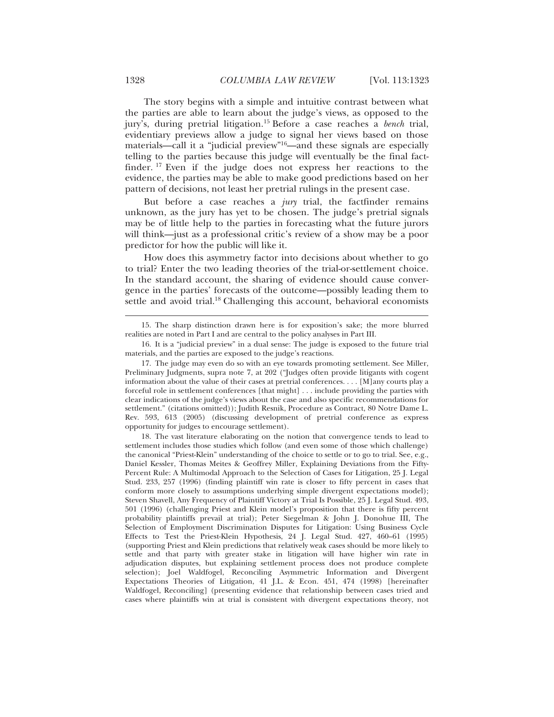The story begins with a simple and intuitive contrast between what the parties are able to learn about the judge's views, as opposed to the jury's, during pretrial litigation.15 Before a case reaches a *bench* trial, evidentiary previews allow a judge to signal her views based on those materials—call it a "judicial preview"16—and these signals are especially telling to the parties because this judge will eventually be the final factfinder. 17 Even if the judge does not express her reactions to the evidence, the parties may be able to make good predictions based on her pattern of decisions, not least her pretrial rulings in the present case.

But before a case reaches a *jury* trial, the factfinder remains unknown, as the jury has yet to be chosen. The judge's pretrial signals may be of little help to the parties in forecasting what the future jurors will think—just as a professional critic's review of a show may be a poor predictor for how the public will like it.

How does this asymmetry factor into decisions about whether to go to trial? Enter the two leading theories of the trial-or-settlement choice. In the standard account, the sharing of evidence should cause convergence in the parties' forecasts of the outcome—possibly leading them to settle and avoid trial.<sup>18</sup> Challenging this account, behavioral economists

18. The vast literature elaborating on the notion that convergence tends to lead to settlement includes those studies which follow (and even some of those which challenge) the canonical "Priest-Klein" understanding of the choice to settle or to go to trial. See, e.g., Daniel Kessler, Thomas Meites & Geoffrey Miller, Explaining Deviations from the Fifty-Percent Rule: A Multimodal Approach to the Selection of Cases for Litigation, 25 J. Legal Stud. 233, 257 (1996) (finding plaintiff win rate is closer to fifty percent in cases that conform more closely to assumptions underlying simple divergent expectations model); Steven Shavell, Any Frequency of Plaintiff Victory at Trial Is Possible, 25 J. Legal Stud. 493, 501 (1996) (challenging Priest and Klein model's proposition that there is fifty percent probability plaintiffs prevail at trial); Peter Siegelman & John J. Donohue III, The Selection of Employment Discrimination Disputes for Litigation: Using Business Cycle Effects to Test the Priest-Klein Hypothesis, 24 J. Legal Stud. 427, 460–61 (1995) (supporting Priest and Klein predictions that relatively weak cases should be more likely to settle and that party with greater stake in litigation will have higher win rate in adjudication disputes, but explaining settlement process does not produce complete selection); Joel Waldfogel, Reconciling Asymmetric Information and Divergent Expectations Theories of Litigation, 41 J.L. & Econ. 451, 474 (1998) [hereinafter Waldfogel, Reconciling] (presenting evidence that relationship between cases tried and cases where plaintiffs win at trial is consistent with divergent expectations theory, not

<sup>15.</sup> The sharp distinction drawn here is for exposition's sake; the more blurred realities are noted in Part I and are central to the policy analyses in Part III.

<sup>16.</sup> It is a "judicial preview" in a dual sense: The judge is exposed to the future trial materials, and the parties are exposed to the judge's reactions.

<sup>17.</sup> The judge may even do so with an eye towards promoting settlement. See Miller, Preliminary Judgments, supra note 7, at 202 ("Judges often provide litigants with cogent information about the value of their cases at pretrial conferences. . . . [M]any courts play a forceful role in settlement conferences [that might] . . . include providing the parties with clear indications of the judge's views about the case and also specific recommendations for settlement." (citations omitted)); Judith Resnik, Procedure as Contract, 80 Notre Dame L. Rev. 593, 613 (2005) (discussing development of pretrial conference as express opportunity for judges to encourage settlement).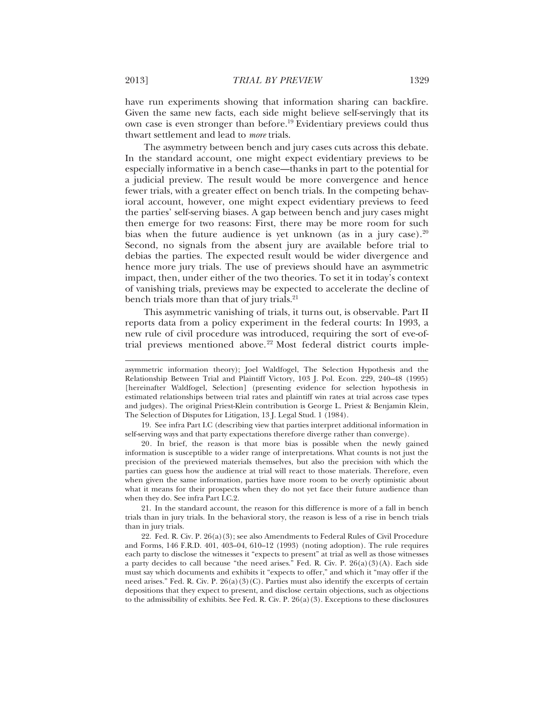have run experiments showing that information sharing can backfire. Given the same new facts, each side might believe self-servingly that its own case is even stronger than before.<sup>19</sup> Evidentiary previews could thus thwart settlement and lead to *more* trials.

The asymmetry between bench and jury cases cuts across this debate. In the standard account, one might expect evidentiary previews to be especially informative in a bench case—thanks in part to the potential for a judicial preview. The result would be more convergence and hence fewer trials, with a greater effect on bench trials. In the competing behavioral account, however, one might expect evidentiary previews to feed the parties' self-serving biases. A gap between bench and jury cases might then emerge for two reasons: First, there may be more room for such bias when the future audience is yet unknown (as in a jury case).<sup>20</sup> Second, no signals from the absent jury are available before trial to debias the parties. The expected result would be wider divergence and hence more jury trials. The use of previews should have an asymmetric impact, then, under either of the two theories. To set it in today's context of vanishing trials, previews may be expected to accelerate the decline of bench trials more than that of jury trials.<sup>21</sup>

This asymmetric vanishing of trials, it turns out, is observable. Part II reports data from a policy experiment in the federal courts: In 1993, a new rule of civil procedure was introduced, requiring the sort of eve-oftrial previews mentioned above.<sup>22</sup> Most federal district courts imple-

19. See infra Part I.C (describing view that parties interpret additional information in self-serving ways and that party expectations therefore diverge rather than converge).

20. In brief, the reason is that more bias is possible when the newly gained information is susceptible to a wider range of interpretations. What counts is not just the precision of the previewed materials themselves, but also the precision with which the parties can guess how the audience at trial will react to those materials. Therefore, even when given the same information, parties have more room to be overly optimistic about what it means for their prospects when they do not yet face their future audience than when they do. See infra Part I.C.2.

21. In the standard account, the reason for this difference is more of a fall in bench trials than in jury trials. In the behavioral story, the reason is less of a rise in bench trials than in jury trials.

22. Fed. R. Civ. P. 26(a)(3); see also Amendments to Federal Rules of Civil Procedure and Forms, 146 F.R.D. 401, 403–04, 610–12 (1993) (noting adoption). The rule requires each party to disclose the witnesses it "expects to present" at trial as well as those witnesses a party decides to call because "the need arises." Fed. R. Civ. P.  $26(a)(3)(A)$ . Each side must say which documents and exhibits it "expects to offer," and which it "may offer if the need arises." Fed. R. Civ. P.  $26(a)(3)(C)$ . Parties must also identify the excerpts of certain depositions that they expect to present, and disclose certain objections, such as objections to the admissibility of exhibits. See Fed. R. Civ. P.  $26(a)(3)$ . Exceptions to these disclosures

asymmetric information theory); Joel Waldfogel, The Selection Hypothesis and the Relationship Between Trial and Plaintiff Victory, 103 J. Pol. Econ. 229, 240–48 (1995) [hereinafter Waldfogel, Selection] (presenting evidence for selection hypothesis in estimated relationships between trial rates and plaintiff win rates at trial across case types and judges). The original Priest-Klein contribution is George L. Priest & Benjamin Klein, The Selection of Disputes for Litigation, 13 J. Legal Stud. 1 (1984).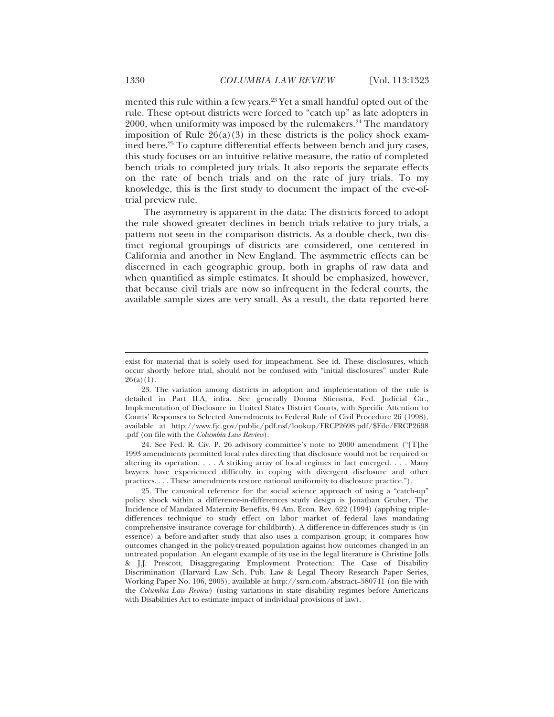mented this rule within a few years.<sup>23</sup> Yet a small handful opted out of the rule. These opt-out districts were forced to "catch up" as late adopters in 2000, when uniformity was imposed by the rulemakers.<sup>24</sup> The mandatory imposition of Rule  $26(a)(3)$  in these districts is the policy shock examined here.<sup>25</sup> To capture differential effects between bench and jury cases, this study focuses on an intuitive relative measure, the ratio of completed bench trials to completed jury trials. It also reports the separate effects on the rate of bench trials and on the rate of jury trials. To my knowledge, this is the first study to document the impact of the eve-oftrial preview rule.

The asymmetry is apparent in the data: The districts forced to adopt the rule showed greater declines in bench trials relative to jury trials, a pattern not seen in the comparison districts. As a double check, two distinct regional groupings of districts are considered, one centered in California and another in New England. The asymmetric effects can be discerned in each geographic group, both in graphs of raw data and when quantified as simple estimates. It should be emphasized, however, that because civil trials are now so infrequent in the federal courts, the available sample sizes are very small. As a result, the data reported here

24. See Fed. R. Civ. P. 26 advisory committee's note to 2000 amendment ("[T]he 1993 amendments permitted local rules directing that disclosure would not be required or altering its operation. . . . A striking array of local regimes in fact emerged. . . . Many lawyers have experienced difficulty in coping with divergent disclosure and other practices. . . . These amendments restore national uniformity to disclosure practice.").

25. The canonical reference for the social science approach of using a "catch-up" policy shock within a difference-in-differences study design is Jonathan Gruber, The Incidence of Mandated Maternity Benefits, 84 Am. Econ. Rev. 622 (1994) (applying tripledifferences technique to study effect on labor market of federal laws mandating comprehensive insurance coverage for childbirth). A difference-in-differences study is (in essence) a before-and-after study that also uses a comparison group; it compares how outcomes changed in the policy-treated population against how outcomes changed in an untreated population. An elegant example of its use in the legal literature is Christine Jolls & J.J. Prescott, Disaggregating Employment Protection: The Case of Disability Discrimination (Harvard Law Sch. Pub. Law & Legal Theory Research Paper Series, Working Paper No. 106, 2005), available at http://ssrn.com/abstract=580741 (on file with the *Columbia Law Review*) (using variations in state disability regimes before Americans with Disabilities Act to estimate impact of individual provisions of law).

exist for material that is solely used for impeachment. See id. These disclosures, which occur shortly before trial, should not be confused with "initial disclosures" under Rule  $26(a)(1)$ .

<sup>23.</sup> The variation among districts in adoption and implementation of the rule is detailed in Part II.A, infra. See generally Donna Stienstra, Fed. Judicial Ctr., Implementation of Disclosure in United States District Courts, with Specific Attention to Courts' Responses to Selected Amendments to Federal Rule of Civil Procedure 26 (1998), available at http://www.fjc.gov/public/pdf.nsf/lookup/FRCP2698.pdf/\$File/FRCP2698 .pdf (on file with the *Columbia Law Review*).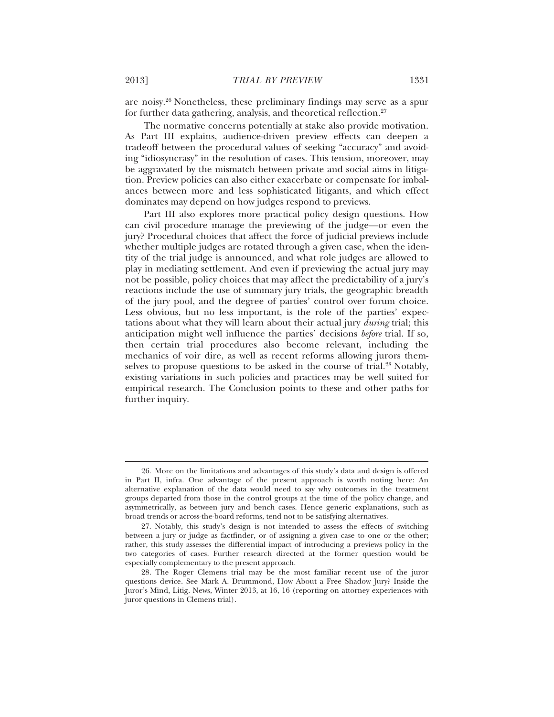are noisy.<sup>26</sup> Nonetheless, these preliminary findings may serve as a spur for further data gathering, analysis, and theoretical reflection.<sup>27</sup>

The normative concerns potentially at stake also provide motivation. As Part III explains, audience-driven preview effects can deepen a tradeoff between the procedural values of seeking "accuracy" and avoiding "idiosyncrasy" in the resolution of cases. This tension, moreover, may be aggravated by the mismatch between private and social aims in litigation. Preview policies can also either exacerbate or compensate for imbalances between more and less sophisticated litigants, and which effect dominates may depend on how judges respond to previews.

Part III also explores more practical policy design questions. How can civil procedure manage the previewing of the judge—or even the jury? Procedural choices that affect the force of judicial previews include whether multiple judges are rotated through a given case, when the identity of the trial judge is announced, and what role judges are allowed to play in mediating settlement. And even if previewing the actual jury may not be possible, policy choices that may affect the predictability of a jury's reactions include the use of summary jury trials, the geographic breadth of the jury pool, and the degree of parties' control over forum choice. Less obvious, but no less important, is the role of the parties' expectations about what they will learn about their actual jury *during* trial; this anticipation might well influence the parties' decisions *before* trial. If so, then certain trial procedures also become relevant, including the mechanics of voir dire, as well as recent reforms allowing jurors themselves to propose questions to be asked in the course of trial.<sup>28</sup> Notably, existing variations in such policies and practices may be well suited for empirical research. The Conclusion points to these and other paths for further inquiry.

<sup>26.</sup> More on the limitations and advantages of this study's data and design is offered in Part II, infra. One advantage of the present approach is worth noting here: An alternative explanation of the data would need to say why outcomes in the treatment groups departed from those in the control groups at the time of the policy change, and asymmetrically, as between jury and bench cases. Hence generic explanations, such as broad trends or across-the-board reforms, tend not to be satisfying alternatives.

<sup>27.</sup> Notably, this study's design is not intended to assess the effects of switching between a jury or judge as factfinder, or of assigning a given case to one or the other; rather, this study assesses the differential impact of introducing a previews policy in the two categories of cases. Further research directed at the former question would be especially complementary to the present approach.

<sup>28.</sup> The Roger Clemens trial may be the most familiar recent use of the juror questions device. See Mark A. Drummond, How About a Free Shadow Jury? Inside the Juror's Mind, Litig. News, Winter 2013, at 16, 16 (reporting on attorney experiences with juror questions in Clemens trial).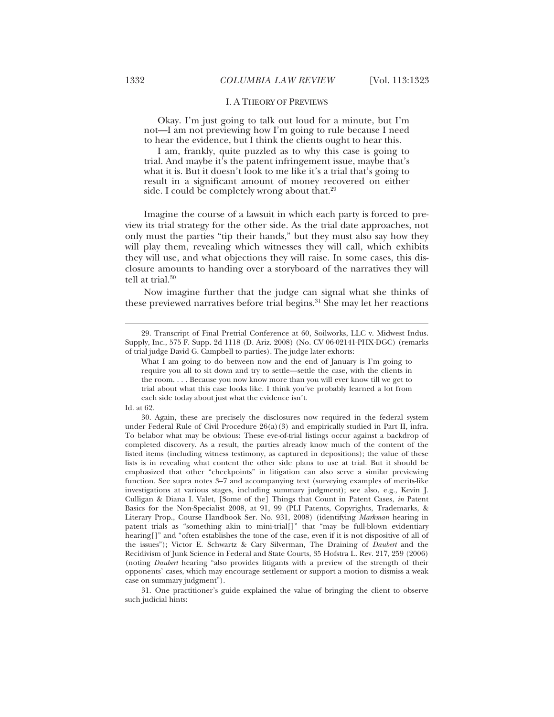#### I. A THEORY OF PREVIEWS

Okay. I'm just going to talk out loud for a minute, but I'm not—I am not previewing how I'm going to rule because I need to hear the evidence, but I think the clients ought to hear this.

I am, frankly, quite puzzled as to why this case is going to trial. And maybe it's the patent infringement issue, maybe that's what it is. But it doesn't look to me like it's a trial that's going to result in a significant amount of money recovered on either side. I could be completely wrong about that.<sup>29</sup>

Imagine the course of a lawsuit in which each party is forced to preview its trial strategy for the other side. As the trial date approaches, not only must the parties "tip their hands," but they must also say how they will play them, revealing which witnesses they will call, which exhibits they will use, and what objections they will raise. In some cases, this disclosure amounts to handing over a storyboard of the narratives they will tell at trial.<sup>30</sup>

Now imagine further that the judge can signal what she thinks of these previewed narratives before trial begins.<sup>31</sup> She may let her reactions

 $\overline{a}$ 

31. One practitioner's guide explained the value of bringing the client to observe such judicial hints:

<sup>29.</sup> Transcript of Final Pretrial Conference at 60, Soilworks, LLC v. Midwest Indus. Supply, Inc., 575 F. Supp. 2d 1118 (D. Ariz. 2008) (No. CV 06-02141-PHX-DGC) (remarks of trial judge David G. Campbell to parties). The judge later exhorts:

What I am going to do between now and the end of January is I'm going to require you all to sit down and try to settle—settle the case, with the clients in the room. . . . Because you now know more than you will ever know till we get to trial about what this case looks like. I think you've probably learned a lot from each side today about just what the evidence isn't.

Id. at 62.

<sup>30.</sup> Again, these are precisely the disclosures now required in the federal system under Federal Rule of Civil Procedure  $26(a)(3)$  and empirically studied in Part II, infra. To belabor what may be obvious: These eve-of-trial listings occur against a backdrop of completed discovery. As a result, the parties already know much of the content of the listed items (including witness testimony, as captured in depositions); the value of these lists is in revealing what content the other side plans to use at trial. But it should be emphasized that other "checkpoints" in litigation can also serve a similar previewing function. See supra notes 3–7 and accompanying text (surveying examples of merits-like investigations at various stages, including summary judgment); see also, e.g., Kevin J. Culligan & Diana I. Valet, [Some of the] Things that Count in Patent Cases, *in* Patent Basics for the Non-Specialist 2008, at 91, 99 (PLI Patents, Copyrights, Trademarks, & Literary Prop., Course Handbook Ser. No. 931, 2008) (identifying *Markman* hearing in patent trials as "something akin to mini-trial[]" that "may be full-blown evidentiary hearing []" and "often establishes the tone of the case, even if it is not dispositive of all of the issues"); Victor E. Schwartz & Cary Silverman, The Draining of *Daubert* and the Recidivism of Junk Science in Federal and State Courts, 35 Hofstra L. Rev. 217, 259 (2006) (noting *Daubert* hearing "also provides litigants with a preview of the strength of their opponents' cases, which may encourage settlement or support a motion to dismiss a weak case on summary judgment").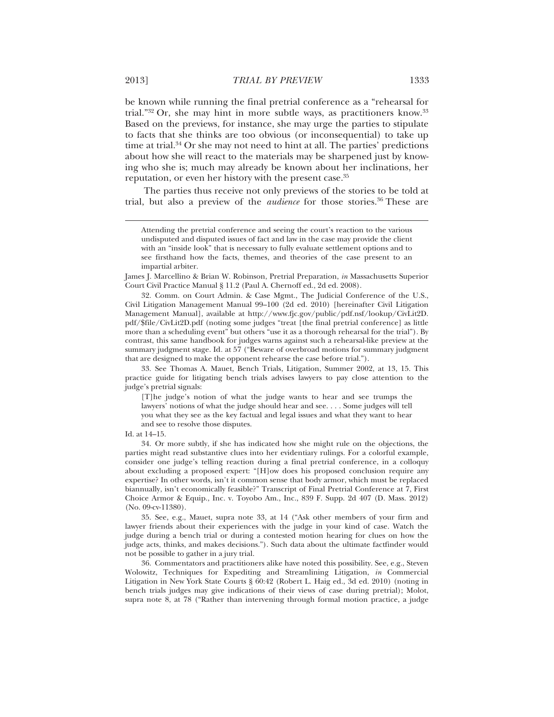be known while running the final pretrial conference as a "rehearsal for trial."32 Or, she may hint in more subtle ways, as practitioners know.33 Based on the previews, for instance, she may urge the parties to stipulate to facts that she thinks are too obvious (or inconsequential) to take up time at trial. $34$  Or she may not need to hint at all. The parties' predictions about how she will react to the materials may be sharpened just by knowing who she is; much may already be known about her inclinations, her reputation, or even her history with the present case.<sup>35</sup>

The parties thus receive not only previews of the stories to be told at trial, but also a preview of the *audience* for those stories.36 These are

James J. Marcellino & Brian W. Robinson, Pretrial Preparation, *in* Massachusetts Superior Court Civil Practice Manual § 11.2 (Paul A. Chernoff ed., 2d ed. 2008).

32. Comm. on Court Admin. & Case Mgmt., The Judicial Conference of the U.S., Civil Litigation Management Manual 99–100 (2d ed. 2010) [hereinafter Civil Litigation Management Manual], available at http://www.fjc.gov/public/pdf.nsf/lookup/CivLit2D. pdf/\$file/CivLit2D.pdf (noting some judges "treat [the final pretrial conference] as little more than a scheduling event" but others "use it as a thorough rehearsal for the trial"). By contrast, this same handbook for judges warns against such a rehearsal-like preview at the summary judgment stage. Id*.* at 57 ("Beware of overbroad motions for summary judgment that are designed to make the opponent rehearse the case before trial.").

33. See Thomas A. Mauet, Bench Trials, Litigation, Summer 2002, at 13, 15. This practice guide for litigating bench trials advises lawyers to pay close attention to the judge's pretrial signals:

[T]he judge's notion of what the judge wants to hear and see trumps the lawyers' notions of what the judge should hear and see. . . . Some judges will tell you what they see as the key factual and legal issues and what they want to hear and see to resolve those disputes.

34. Or more subtly, if she has indicated how she might rule on the objections, the parties might read substantive clues into her evidentiary rulings. For a colorful example, consider one judge's telling reaction during a final pretrial conference, in a colloquy about excluding a proposed expert: "[H]ow does his proposed conclusion require any expertise? In other words, isn't it common sense that body armor, which must be replaced biannually, isn't economically feasible?" Transcript of Final Pretrial Conference at 7, First Choice Armor & Equip., Inc. v. Toyobo Am., Inc., 839 F. Supp. 2d 407 (D. Mass. 2012) (No. 09-cv-11380).

35. See, e.g., Mauet, supra note 33, at 14 ("Ask other members of your firm and lawyer friends about their experiences with the judge in your kind of case. Watch the judge during a bench trial or during a contested motion hearing for clues on how the judge acts, thinks, and makes decisions."). Such data about the ultimate factfinder would not be possible to gather in a jury trial.

36. Commentators and practitioners alike have noted this possibility. See, e.g., Steven Wolowitz, Techniques for Expediting and Streamlining Litigation, *in* Commercial Litigation in New York State Courts § 60:42 (Robert L. Haig ed., 3d ed. 2010) (noting in bench trials judges may give indications of their views of case during pretrial); Molot, supra note 8, at 78 ("Rather than intervening through formal motion practice, a judge

Attending the pretrial conference and seeing the court's reaction to the various undisputed and disputed issues of fact and law in the case may provide the client with an "inside look" that is necessary to fully evaluate settlement options and to see firsthand how the facts, themes, and theories of the case present to an impartial arbiter.

Id. at 14–15.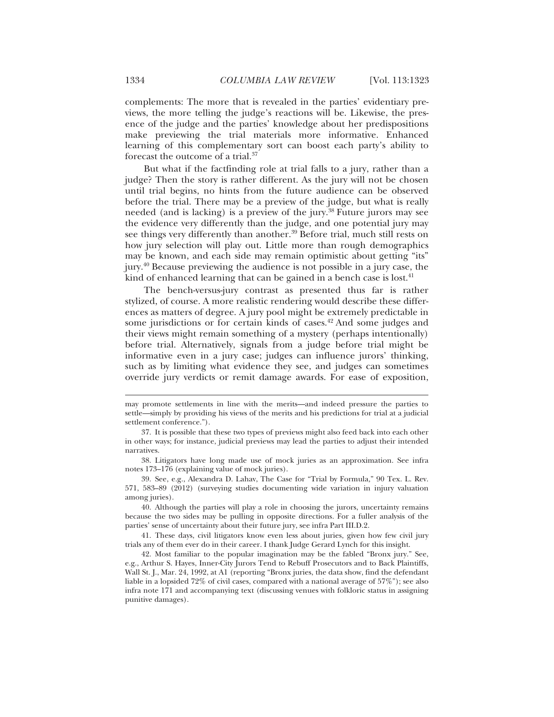complements: The more that is revealed in the parties' evidentiary previews, the more telling the judge's reactions will be. Likewise, the presence of the judge and the parties' knowledge about her predispositions make previewing the trial materials more informative. Enhanced learning of this complementary sort can boost each party's ability to forecast the outcome of a trial.37

But what if the factfinding role at trial falls to a jury, rather than a judge? Then the story is rather different. As the jury will not be chosen until trial begins, no hints from the future audience can be observed before the trial. There may be a preview of the judge, but what is really needed (and is lacking) is a preview of the jury.<sup>38</sup> Future jurors may see the evidence very differently than the judge, and one potential jury may see things very differently than another.<sup>39</sup> Before trial, much still rests on how jury selection will play out. Little more than rough demographics may be known, and each side may remain optimistic about getting "its" jury.40 Because previewing the audience is not possible in a jury case, the kind of enhanced learning that can be gained in a bench case is lost.<sup>41</sup>

The bench-versus-jury contrast as presented thus far is rather stylized, of course. A more realistic rendering would describe these differences as matters of degree. A jury pool might be extremely predictable in some jurisdictions or for certain kinds of cases.<sup>42</sup> And some judges and their views might remain something of a mystery (perhaps intentionally) before trial. Alternatively, signals from a judge before trial might be informative even in a jury case; judges can influence jurors' thinking, such as by limiting what evidence they see, and judges can sometimes override jury verdicts or remit damage awards. For ease of exposition,

may promote settlements in line with the merits—and indeed pressure the parties to settle—simply by providing his views of the merits and his predictions for trial at a judicial settlement conference.").

<sup>37.</sup> It is possible that these two types of previews might also feed back into each other in other ways; for instance, judicial previews may lead the parties to adjust their intended narratives.

<sup>38.</sup> Litigators have long made use of mock juries as an approximation. See infra notes 173–176 (explaining value of mock juries).

<sup>39.</sup> See, e.g., Alexandra D. Lahav, The Case for "Trial by Formula*,*" 90 Tex. L. Rev. 571, 583–89 (2012) (surveying studies documenting wide variation in injury valuation among juries).

<sup>40.</sup> Although the parties will play a role in choosing the jurors, uncertainty remains because the two sides may be pulling in opposite directions. For a fuller analysis of the parties' sense of uncertainty about their future jury, see infra Part III.D.2.

<sup>41.</sup> These days, civil litigators know even less about juries, given how few civil jury trials any of them ever do in their career. I thank Judge Gerard Lynch for this insight.

<sup>42.</sup> Most familiar to the popular imagination may be the fabled "Bronx jury." See, e.g., Arthur S. Hayes, Inner-City Jurors Tend to Rebuff Prosecutors and to Back Plaintiffs, Wall St. J., Mar. 24, 1992, at A1 (reporting "Bronx juries, the data show, find the defendant liable in a lopsided 72% of civil cases, compared with a national average of 57%"); see also infra note 171 and accompanying text (discussing venues with folkloric status in assigning punitive damages).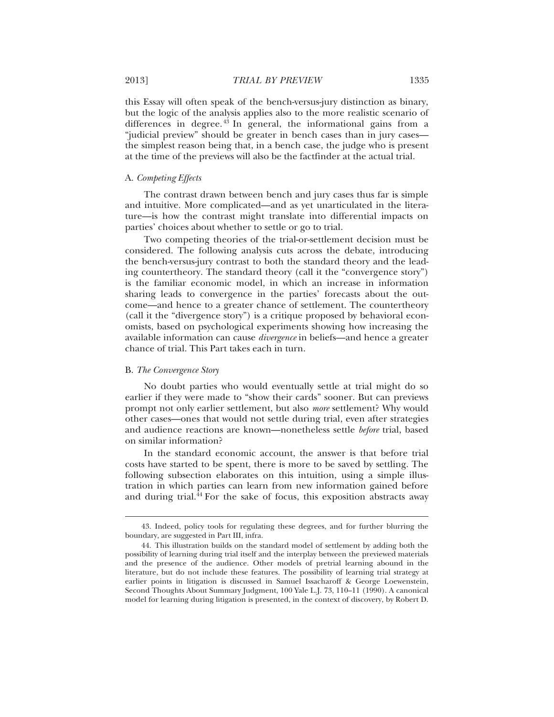this Essay will often speak of the bench-versus-jury distinction as binary, but the logic of the analysis applies also to the more realistic scenario of differences in degree. $4^{\frac{4}{3}}$  In general, the informational gains from a "judicial preview" should be greater in bench cases than in jury cases the simplest reason being that, in a bench case, the judge who is present at the time of the previews will also be the factfinder at the actual trial.

## A. *Competing Effects*

The contrast drawn between bench and jury cases thus far is simple and intuitive. More complicated—and as yet unarticulated in the literature—is how the contrast might translate into differential impacts on parties' choices about whether to settle or go to trial.

Two competing theories of the trial-or-settlement decision must be considered. The following analysis cuts across the debate, introducing the bench-versus-jury contrast to both the standard theory and the leading countertheory. The standard theory (call it the "convergence story") is the familiar economic model, in which an increase in information sharing leads to convergence in the parties' forecasts about the outcome—and hence to a greater chance of settlement. The countertheory (call it the "divergence story") is a critique proposed by behavioral economists, based on psychological experiments showing how increasing the available information can cause *divergence* in beliefs—and hence a greater chance of trial. This Part takes each in turn.

## B. *The Convergence Story*

 $\overline{a}$ 

No doubt parties who would eventually settle at trial might do so earlier if they were made to "show their cards" sooner. But can previews prompt not only earlier settlement, but also *more* settlement? Why would other cases—ones that would not settle during trial, even after strategies and audience reactions are known—nonetheless settle *before* trial, based on similar information?

In the standard economic account, the answer is that before trial costs have started to be spent, there is more to be saved by settling. The following subsection elaborates on this intuition, using a simple illustration in which parties can learn from new information gained before and during trial.44 For the sake of focus, this exposition abstracts away

<sup>43.</sup> Indeed, policy tools for regulating these degrees, and for further blurring the boundary, are suggested in Part III, infra.

<sup>44.</sup> This illustration builds on the standard model of settlement by adding both the possibility of learning during trial itself and the interplay between the previewed materials and the presence of the audience. Other models of pretrial learning abound in the literature, but do not include these features. The possibility of learning trial strategy at earlier points in litigation is discussed in Samuel Issacharoff & George Loewenstein, Second Thoughts About Summary Judgment, 100 Yale L.J. 73, 110–11 (1990). A canonical model for learning during litigation is presented, in the context of discovery, by Robert D.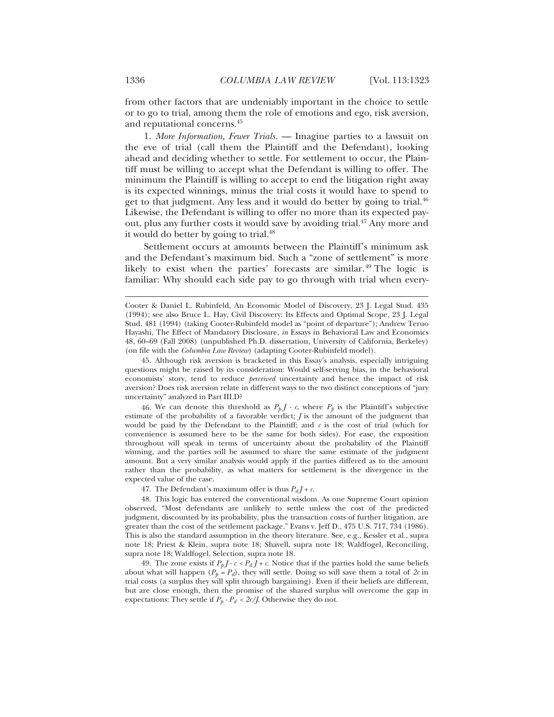from other factors that are undeniably important in the choice to settle or to go to trial, among them the role of emotions and ego, risk aversion, and reputational concerns.45

1. *More Information, Fewer Trials.* — Imagine parties to a lawsuit on the eve of trial (call them the Plaintiff and the Defendant), looking ahead and deciding whether to settle. For settlement to occur, the Plaintiff must be willing to accept what the Defendant is willing to offer. The minimum the Plaintiff is willing to accept to end the litigation right away is its expected winnings, minus the trial costs it would have to spend to get to that judgment. Any less and it would do better by going to trial.<sup>46</sup> Likewise, the Defendant is willing to offer no more than its expected payout, plus any further costs it would save by avoiding trial.<sup>47</sup> Any more and it would do better by going to trial.<sup>48</sup>

Settlement occurs at amounts between the Plaintiff's minimum ask and the Defendant's maximum bid. Such a "zone of settlement" is more likely to exist when the parties' forecasts are similar.<sup>49</sup> The logic is familiar: Why should each side pay to go through with trial when every-

45. Although risk aversion is bracketed in this Essay's analysis, especially intriguing questions might be raised by its consideration: Would self-serving bias, in the behavioral economists' story, tend to reduce *perceived* uncertainty and hence the impact of risk aversion? Does risk aversion relate in different ways to the two distinct conceptions of "jury uncertainty" analyzed in Part III.D?

46. We can denote this threshold as  $P_p J - c$ , where  $P_p$  is the Plaintiff's subjective estimate of the probability of a favorable verdict; *J* is the amount of the judgment that would be paid by the Defendant to the Plaintiff; and  $c$  is the cost of trial (which for convenience is assumed here to be the same for both sides). For ease, the exposition throughout will speak in terms of uncertainty about the probability of the Plaintiff winning, and the parties will be assumed to share the same estimate of the judgment amount. But a very similar analysis would apply if the parties differed as to the amount rather than the probability, as what matters for settlement is the divergence in the expected value of the case.

47. The Defendant's maximum offer is thus  $P_d I + c$ .

48. This logic has entered the conventional wisdom. As one Supreme Court opinion observed, "Most defendants are unlikely to settle unless the cost of the predicted judgment, discounted by its probability, plus the transaction costs of further litigation, are greater than the cost of the settlement package." Evans v. Jeff D., 475 U.S. 717, 734 (1986). This is also the standard assumption in the theory literature. See, e.g., Kessler et al., supra note 18; Priest & Klein, supra note 18; Shavell, supra note 18; Waldfogel, Reconciling, supra note 18; Waldfogel, Selection, supra note 18.

49. The zone exists if  $P_p J - c < P_d J + c$ . Notice that if the parties hold the same beliefs about what will happen  $(P_p = P_d)$ , they will settle. Doing so will save them a total of  $2c$  in trial costs (a surplus they will split through bargaining). Even if their beliefs are different, but are close enough, then the promise of the shared surplus will overcome the gap in expectations: They settle if  $P_b$  *-*  $P_d$  *< 2c/J*. Otherwise they do not.

Cooter & Daniel L. Rubinfeld, An Economic Model of Discovery, 23 J. Legal Stud. 435 (1994); see also Bruce L. Hay, Civil Discovery: Its Effects and Optimal Scope, 23 J. Legal Stud. 481 (1994) (taking Cooter-Rubinfeld model as "point of departure"); Andrew Teruo Hayashi, The Effect of Mandatory Disclosure, *in* Essays in Behavioral Law and Economics 48, 60–69 (Fall 2008) (unpublished Ph.D. dissertation, University of California, Berkeley) (on file with the *Columbia Law Review*) (adapting Cooter-Rubinfeld model).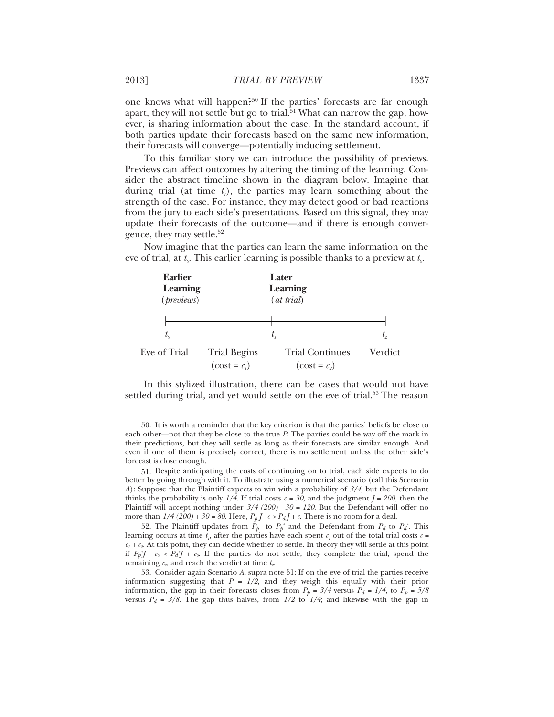one knows what will happen?<sup>50</sup> If the parties' forecasts are far enough apart, they will not settle but go to trial.<sup>51</sup> What can narrow the gap, however, is sharing information about the case. In the standard account, if both parties update their forecasts based on the same new information, their forecasts will converge—potentially inducing settlement.

To this familiar story we can introduce the possibility of previews. Previews can affect outcomes by altering the timing of the learning. Consider the abstract timeline shown in the diagram below. Imagine that during trial (at time  $t<sub>i</sub>$ ), the parties may learn something about the strength of the case. For instance, they may detect good or bad reactions from the jury to each side's presentations. Based on this signal, they may update their forecasts of the outcome—and if there is enough convergence, they may settle. $52$ 

Now imagine that the parties can learn the same information on the eve of trial, at  $t_{\alpha}$ . This earlier learning is possible thanks to a preview at  $t_{\alpha}$ .

| <b>Earlier</b><br>Learning<br>( <i>previews</i> ) |                     | Later<br>Learning<br>(at trial) |             |
|---------------------------------------------------|---------------------|---------------------------------|-------------|
|                                                   |                     |                                 | $t_{\circ}$ |
| $t_{o}$<br>Eve of Trial                           | <b>Trial Begins</b> | <b>Trial Continues</b>          | Verdict     |
|                                                   | $(cost = c_i)$      | $(cost = c2)$                   |             |

In this stylized illustration, there can be cases that would not have settled during trial, and yet would settle on the eve of trial.<sup>53</sup> The reason

<sup>50.</sup> It is worth a reminder that the key criterion is that the parties' beliefs be close to each other—not that they be close to the true *P*. The parties could be way off the mark in their predictions, but they will settle as long as their forecasts are similar enough. And even if one of them is precisely correct, there is no settlement unless the other side's forecast is close enough.

<sup>51.</sup> Despite anticipating the costs of continuing on to trial, each side expects to do better by going through with it. To illustrate using a numerical scenario (call this Scenario *A*): Suppose that the Plaintiff expects to win with a probability of *3/4*, but the Defendant thinks the probability is only  $1/4$ . If trial costs  $c = 30$ , and the judgment  $J = 200$ , then the Plaintiff will accept nothing under *3/4 (200) - 30 = 120*. But the Defendant will offer no more than  $1/4$  (200) +  $30 = 80$ . Here,  $P_p J - c > P_d J + c$ . There is no room for a deal.

<sup>52.</sup> The Plaintiff updates from  $P_p$  to  $P_p^*$  and the Defendant from  $P_d$  to  $P_d^*$ . This learning occurs at time  $t_n$ , after the parties have each spent  $c_1$  out of the total trial costs  $c =$  $c_1 + c_2$ . At this point, they can decide whether to settle. In theory they will settle at this point if  $P_p^*J - c_2 < P_d^*J + c_2$ . If the parties do not settle, they complete the trial, spend the remaining  $c_2$ , and reach the verdict at time  $t_2$ .

<sup>53.</sup> Consider again Scenario *A*, supra note 51: If on the eve of trial the parties receive information suggesting that  $P = 1/2$ , and they weigh this equally with their prior information, the gap in their forecasts closes from  $P_p = 3/4$  versus  $P_d = 1/4$ , to  $P_p = 5/8$ versus  $P_d = 3/8$ . The gap thus halves, from  $1/2$  to  $1/4$ ; and likewise with the gap in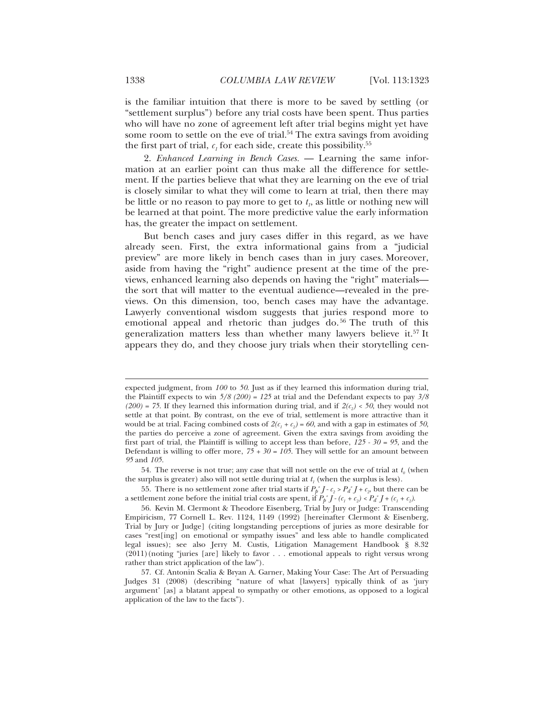is the familiar intuition that there is more to be saved by settling (or "settlement surplus") before any trial costs have been spent. Thus parties who will have no zone of agreement left after trial begins might yet have some room to settle on the eve of trial.<sup>54</sup> The extra savings from avoiding the first part of trial,  $c_1$  for each side, create this possibility.<sup>55</sup>

2. *Enhanced Learning in Bench Cases.* — Learning the same information at an earlier point can thus make all the difference for settlement. If the parties believe that what they are learning on the eve of trial is closely similar to what they will come to learn at trial, then there may be little or no reason to pay more to get to  $t<sub>n</sub>$ , as little or nothing new will be learned at that point. The more predictive value the early information has, the greater the impact on settlement.

But bench cases and jury cases differ in this regard, as we have already seen. First, the extra informational gains from a "judicial preview" are more likely in bench cases than in jury cases. Moreover, aside from having the "right" audience present at the time of the previews, enhanced learning also depends on having the "right" materials the sort that will matter to the eventual audience—revealed in the previews. On this dimension, too, bench cases may have the advantage. Lawyerly conventional wisdom suggests that juries respond more to emotional appeal and rhetoric than judges do.<sup>56</sup> The truth of this generalization matters less than whether many lawyers believe it.57 It appears they do, and they choose jury trials when their storytelling cen-

expected judgment, from *100* to *50*. Just as if they learned this information during trial, the Plaintiff expects to win *5/8 (200) = 125* at trial and the Defendant expects to pay *3/8*   $(200) = 75$ . If they learned this information during trial, and if  $2(c_2) < 50$ , they would not settle at that point. By contrast, on the eve of trial, settlement is more attractive than it would be at trial. Facing combined costs of  $2(c_1 + c_2) = 60$ , and with a gap in estimates of 50, the parties do perceive a zone of agreement. Given the extra savings from avoiding the first part of trial, the Plaintiff is willing to accept less than before, *125 - 30 = 95*, and the Defendant is willing to offer more,  $75 + 30 = 105$ . They will settle for an amount between *95* and *105*.

<sup>54.</sup> The reverse is not true; any case that will not settle on the eve of trial at  $t_0$  (when the surplus is greater) also will not settle during trial at  $t<sub>i</sub>$  (when the surplus is less).

<sup>55.</sup> There is no settlement zone after trial starts if  $P_p^*J$ - $c_2 > P_d^*J + c_2$  but there can be a settlement zone before the initial trial costs are spent, if  $P_p^*J$ - $(c_1 + c_2) < P_d^*J$ + $(c_1 + c_2)$ .

<sup>56.</sup> Kevin M. Clermont & Theodore Eisenberg, Trial by Jury or Judge: Transcending Empiricism*,* 77 Cornell L. Rev. 1124, 1149 (1992) [hereinafter Clermont & Eisenberg, Trial by Jury or Judge] (citing longstanding perceptions of juries as more desirable for cases "rest[ing] on emotional or sympathy issues" and less able to handle complicated legal issues); see also Jerry M. Custis, Litigation Management Handbook § 8.32 (2011)(noting "juries [are] likely to favor . . . emotional appeals to right versus wrong rather than strict application of the law").

<sup>57.</sup> Cf. Antonin Scalia & Bryan A. Garner, Making Your Case: The Art of Persuading Judges 31 (2008) (describing "nature of what [lawyers] typically think of as 'jury argument' [as] a blatant appeal to sympathy or other emotions, as opposed to a logical application of the law to the facts").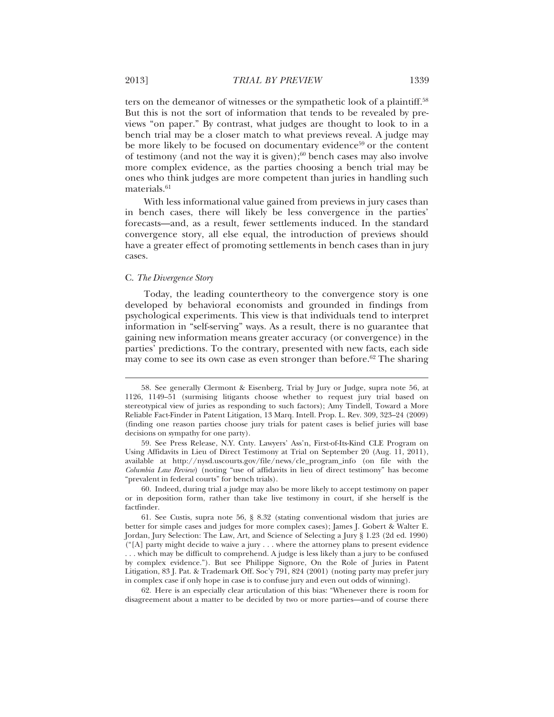ters on the demeanor of witnesses or the sympathetic look of a plaintiff.<sup>58</sup> But this is not the sort of information that tends to be revealed by previews "on paper." By contrast, what judges are thought to look to in a bench trial may be a closer match to what previews reveal. A judge may be more likely to be focused on documentary evidence<sup>59</sup> or the content of testimony (and not the way it is given); $60$  bench cases may also involve more complex evidence, as the parties choosing a bench trial may be ones who think judges are more competent than juries in handling such materials.<sup>61</sup>

With less informational value gained from previews in jury cases than in bench cases, there will likely be less convergence in the parties' forecasts—and, as a result, fewer settlements induced. In the standard convergence story, all else equal, the introduction of previews should have a greater effect of promoting settlements in bench cases than in jury cases.

## C. *The Divergence Story*

 $\overline{a}$ 

Today, the leading countertheory to the convergence story is one developed by behavioral economists and grounded in findings from psychological experiments. This view is that individuals tend to interpret information in "self-serving" ways. As a result, there is no guarantee that gaining new information means greater accuracy (or convergence) in the parties' predictions. To the contrary, presented with new facts, each side may come to see its own case as even stronger than before. $62$  The sharing

62. Here is an especially clear articulation of this bias: "Whenever there is room for disagreement about a matter to be decided by two or more parties—and of course there

<sup>58.</sup> See generally Clermont & Eisenberg, Trial by Jury or Judge, supra note 56, at 1126, 1149–51 (surmising litigants choose whether to request jury trial based on stereotypical view of juries as responding to such factors); Amy Tindell, Toward a More Reliable Fact-Finder in Patent Litigation, 13 Marq. Intell. Prop. L. Rev. 309, 323–24 (2009) (finding one reason parties choose jury trials for patent cases is belief juries will base decisions on sympathy for one party).

<sup>59.</sup> See Press Release, N.Y. Cnty. Lawyers' Ass'n, First-of-Its-Kind CLE Program on Using Affidavits in Lieu of Direct Testimony at Trial on September 20 (Aug. 11, 2011), available at http://nysd.uscourts.gov/file/news/cle\_program\_info (on file with the *Columbia Law Review*) (noting "use of affidavits in lieu of direct testimony" has become "prevalent in federal courts" for bench trials).

<sup>60.</sup> Indeed, during trial a judge may also be more likely to accept testimony on paper or in deposition form, rather than take live testimony in court, if she herself is the factfinder.

<sup>61.</sup> See Custis, supra note 56, § 8.32 (stating conventional wisdom that juries are better for simple cases and judges for more complex cases); James J. Gobert & Walter E. Jordan, Jury Selection: The Law, Art, and Science of Selecting a Jury § 1.23 (2d ed. 1990)  $\binom{4}{1}$  party might decide to waive a jury . . . where the attorney plans to present evidence . . . which may be difficult to comprehend. A judge is less likely than a jury to be confused by complex evidence."). But see Philippe Signore, On the Role of Juries in Patent Litigation, 83 J. Pat. & Trademark Off. Soc'y 791, 824 (2001) (noting party may prefer jury in complex case if only hope in case is to confuse jury and even out odds of winning).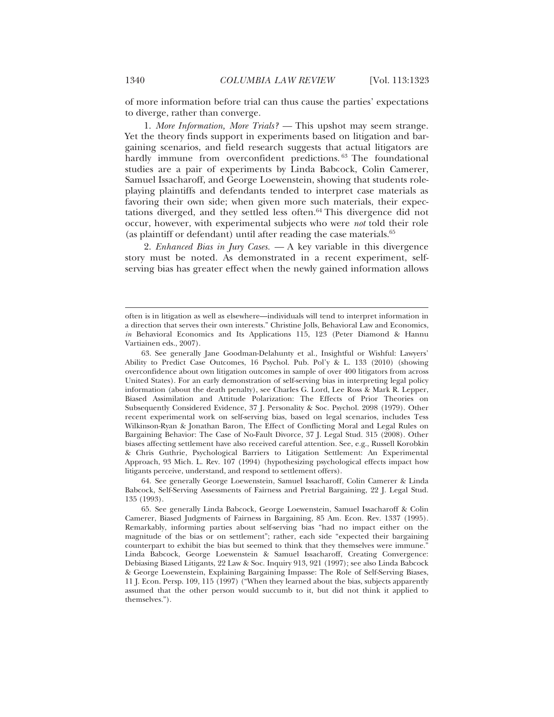of more information before trial can thus cause the parties' expectations to diverge, rather than converge.

1. *More Information, More Trials? —* This upshot may seem strange. Yet the theory finds support in experiments based on litigation and bargaining scenarios, and field research suggests that actual litigators are hardly immune from overconfident predictions. 63 The foundational studies are a pair of experiments by Linda Babcock, Colin Camerer, Samuel Issacharoff, and George Loewenstein, showing that students roleplaying plaintiffs and defendants tended to interpret case materials as favoring their own side; when given more such materials, their expectations diverged, and they settled less often.64 This divergence did not occur, however, with experimental subjects who were *not* told their role (as plaintiff or defendant) until after reading the case materials.<sup>65</sup>

2. *Enhanced Bias in Jury Cases. —* A key variable in this divergence story must be noted. As demonstrated in a recent experiment, selfserving bias has greater effect when the newly gained information allows

64. See generally George Loewenstein, Samuel Issacharoff, Colin Camerer & Linda Babcock, Self-Serving Assessments of Fairness and Pretrial Bargaining, 22 J. Legal Stud. 135 (1993).

often is in litigation as well as elsewhere—individuals will tend to interpret information in a direction that serves their own interests." Christine Jolls, Behavioral Law and Economics, *in* Behavioral Economics and Its Applications 115, 123 (Peter Diamond & Hannu Vartiainen eds., 2007).

<sup>63.</sup> See generally Jane Goodman-Delahunty et al., Insightful or Wishful: Lawyers' Ability to Predict Case Outcomes, 16 Psychol. Pub. Pol'y & L. 133 (2010) (showing overconfidence about own litigation outcomes in sample of over 400 litigators from across United States). For an early demonstration of self-serving bias in interpreting legal policy information (about the death penalty), see Charles G. Lord, Lee Ross & Mark R. Lepper, Biased Assimilation and Attitude Polarization: The Effects of Prior Theories on Subsequently Considered Evidence, 37 J. Personality & Soc. Psychol. 2098 (1979). Other recent experimental work on self-serving bias, based on legal scenarios, includes Tess Wilkinson-Ryan & Jonathan Baron, The Effect of Conflicting Moral and Legal Rules on Bargaining Behavior: The Case of No-Fault Divorce, 37 J. Legal Stud. 315 (2008). Other biases affecting settlement have also received careful attention. See, e.g., Russell Korobkin & Chris Guthrie, Psychological Barriers to Litigation Settlement: An Experimental Approach, 93 Mich. L. Rev. 107 (1994) (hypothesizing psychological effects impact how litigants perceive, understand, and respond to settlement offers).

<sup>65.</sup> See generally Linda Babcock, George Loewenstein, Samuel Issacharoff & Colin Camerer, Biased Judgments of Fairness in Bargaining, 85 Am. Econ. Rev. 1337 (1995). Remarkably, informing parties about self-serving bias "had no impact either on the magnitude of the bias or on settlement"; rather, each side "expected their bargaining counterpart to exhibit the bias but seemed to think that they themselves were immune." Linda Babcock, George Loewenstein & Samuel Issacharoff, Creating Convergence: Debiasing Biased Litigants, 22 Law & Soc. Inquiry 913, 921 (1997); see also Linda Babcock & George Loewenstein, Explaining Bargaining Impasse: The Role of Self-Serving Biases, 11 J. Econ. Persp. 109, 115 (1997) ("When they learned about the bias, subjects apparently assumed that the other person would succumb to it, but did not think it applied to themselves.").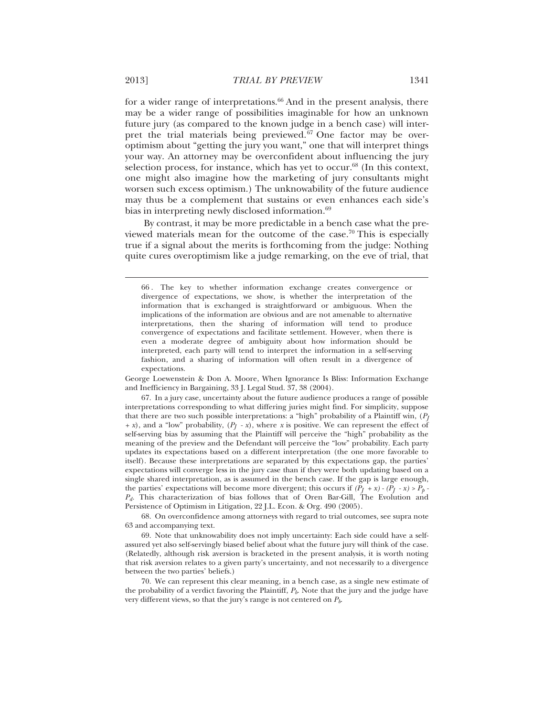for a wider range of interpretations. $66$  And in the present analysis, there may be a wider range of possibilities imaginable for how an unknown future jury (as compared to the known judge in a bench case) will interpret the trial materials being previewed.<sup>67</sup> One factor may be overoptimism about "getting the jury you want," one that will interpret things your way. An attorney may be overconfident about influencing the jury selection process, for instance, which has yet to occur. $68$  (In this context, one might also imagine how the marketing of jury consultants might worsen such excess optimism.) The unknowability of the future audience may thus be a complement that sustains or even enhances each side's bias in interpreting newly disclosed information.<sup>69</sup>

By contrast, it may be more predictable in a bench case what the previewed materials mean for the outcome of the case.70 This is especially true if a signal about the merits is forthcoming from the judge: Nothing quite cures overoptimism like a judge remarking, on the eve of trial, that

George Loewenstein & Don A. Moore, When Ignorance Is Bliss: Information Exchange and Inefficiency in Bargaining, 33 J. Legal Stud. 37, 38 (2004).

67. In a jury case, uncertainty about the future audience produces a range of possible interpretations corresponding to what differing juries might find. For simplicity, suppose that there are two such possible interpretations: a "high" probability of a Plaintiff win, (*PJ*  $+x$ ), and a "low" probability,  $(P_1 - x)$ , where *x* is positive. We can represent the effect of self-serving bias by assuming that the Plaintiff will perceive the "high" probability as the meaning of the preview and the Defendant will perceive the "low" probability. Each party updates its expectations based on a different interpretation (the one more favorable to itself). Because these interpretations are separated by this expectations gap, the parties' expectations will converge less in the jury case than if they were both updating based on a single shared interpretation, as is assumed in the bench case. If the gap is large enough, the parties' expectations will become more divergent; this occurs if  $(P_I + x) - (P_I - x) > P_p$ *Pd.* This characterization of bias follows that of Oren Bar-Gill, The Evolution and Persistence of Optimism in Litigation, 22 J.L. Econ. & Org. 490 (2005).

68. On overconfidence among attorneys with regard to trial outcomes, see supra note 63 and accompanying text.

69. Note that unknowability does not imply uncertainty: Each side could have a selfassured yet also self-servingly biased belief about what the future jury will think of the case. (Relatedly, although risk aversion is bracketed in the present analysis, it is worth noting that risk aversion relates to a given party's uncertainty, and not necessarily to a divergence between the two parties' beliefs.)

70. We can represent this clear meaning, in a bench case, as a single new estimate of the probability of a verdict favoring the Plaintiff, *Pb*. Note that the jury and the judge have very different views, so that the jury's range is not centered on *Pb*.

<sup>66 .</sup> The key to whether information exchange creates convergence or divergence of expectations, we show, is whether the interpretation of the information that is exchanged is straightforward or ambiguous. When the implications of the information are obvious and are not amenable to alternative interpretations, then the sharing of information will tend to produce convergence of expectations and facilitate settlement. However, when there is even a moderate degree of ambiguity about how information should be interpreted, each party will tend to interpret the information in a self-serving fashion, and a sharing of information will often result in a divergence of expectations.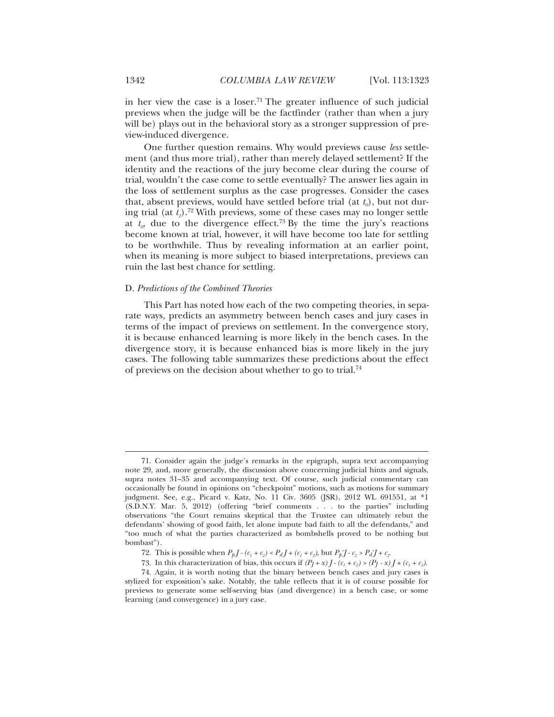in her view the case is a loser.<sup>71</sup> The greater influence of such judicial previews when the judge will be the factfinder (rather than when a jury will be) plays out in the behavioral story as a stronger suppression of preview-induced divergence.

One further question remains. Why would previews cause *less* settlement (and thus more trial), rather than merely delayed settlement? If the identity and the reactions of the jury become clear during the course of trial, wouldn't the case come to settle eventually? The answer lies again in the loss of settlement surplus as the case progresses. Consider the cases that, absent previews, would have settled before trial (at  $t<sub>o</sub>$ ), but not during trial (at  $t_1$ ).<sup>72</sup> With previews, some of these cases may no longer settle at  $t_p$  due to the divergence effect.<sup>73</sup> By the time the jury's reactions become known at trial, however, it will have become too late for settling to be worthwhile. Thus by revealing information at an earlier point, when its meaning is more subject to biased interpretations, previews can ruin the last best chance for settling.

## D. *Predictions of the Combined Theories*

This Part has noted how each of the two competing theories, in separate ways, predicts an asymmetry between bench cases and jury cases in terms of the impact of previews on settlement. In the convergence story, it is because enhanced learning is more likely in the bench cases. In the divergence story, it is because enhanced bias is more likely in the jury cases. The following table summarizes these predictions about the effect of previews on the decision about whether to go to trial.74

<sup>71.</sup> Consider again the judge's remarks in the epigraph, supra text accompanying note 29, and, more generally, the discussion above concerning judicial hints and signals, supra notes 31–35 and accompanying text. Of course, such judicial commentary can occasionally be found in opinions on "checkpoint" motions, such as motions for summary judgment. See, e.g., Picard v. Katz, No. 11 Civ. 3605 (JSR), 2012 WL 691551, at \*1 (S.D.N.Y. Mar. 5, 2012) (offering "brief comments . . . to the parties" including observations "the Court remains skeptical that the Trustee can ultimately rebut the defendants' showing of good faith, let alone impute bad faith to all the defendants," and "too much of what the parties characterized as bombshells proved to be nothing but bombast").

<sup>72.</sup> This is possible when  $P_p J - (c_1 + c_2) < P_d J + (c_1 + c_2)$ , but  $P_p^* J - c_2 > P_d^* J + c_2$ .

<sup>73.</sup> In this characterization of bias, this occurs if  $(P_I + x)J - (c_1 + c_2) > (P_I - x)J + (c_1 + c_2)$ .

<sup>74.</sup> Again, it is worth noting that the binary between bench cases and jury cases is stylized for exposition's sake. Notably, the table reflects that it is of course possible for previews to generate some self-serving bias (and divergence) in a bench case, or some learning (and convergence) in a jury case.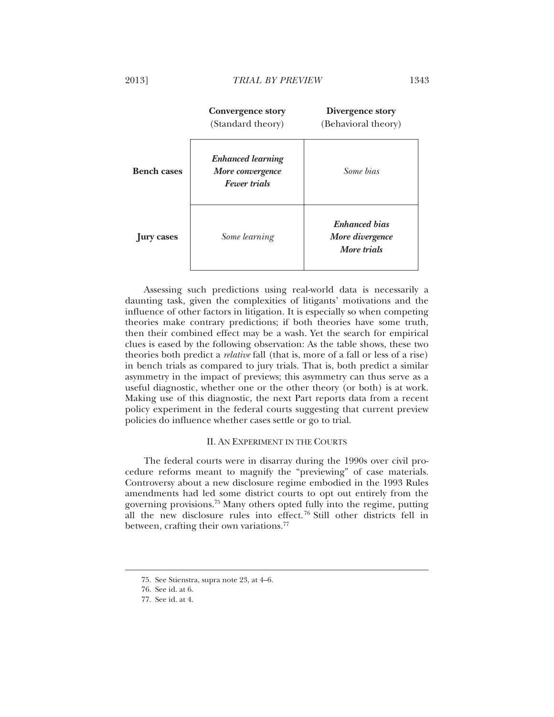|                    | <b>Convergence story</b><br>(Standard theory)                       | Divergence story<br>(Behavioral theory)                |
|--------------------|---------------------------------------------------------------------|--------------------------------------------------------|
| <b>Bench cases</b> | <b>Enhanced learning</b><br>More convergence<br><b>Fewer trials</b> | Some bias                                              |
| ury cases          | Some learning                                                       | <b>Enhanced</b> bias<br>More divergence<br>More trials |

Assessing such predictions using real-world data is necessarily a daunting task, given the complexities of litigants' motivations and the influence of other factors in litigation. It is especially so when competing theories make contrary predictions; if both theories have some truth, then their combined effect may be a wash. Yet the search for empirical clues is eased by the following observation: As the table shows, these two theories both predict a *relative* fall (that is, more of a fall or less of a rise) in bench trials as compared to jury trials. That is, both predict a similar asymmetry in the impact of previews; this asymmetry can thus serve as a useful diagnostic, whether one or the other theory (or both) is at work. Making use of this diagnostic, the next Part reports data from a recent policy experiment in the federal courts suggesting that current preview policies do influence whether cases settle or go to trial.

## II. AN EXPERIMENT IN THE COURTS

The federal courts were in disarray during the 1990s over civil procedure reforms meant to magnify the "previewing" of case materials. Controversy about a new disclosure regime embodied in the 1993 Rules amendments had led some district courts to opt out entirely from the governing provisions.75 Many others opted fully into the regime, putting all the new disclosure rules into effect. 76 Still other districts fell in between, crafting their own variations.<sup>77</sup>

<sup>75.</sup> See Stienstra, supra note 23, at 4–6.

<sup>76.</sup> See id. at 6.

<sup>77.</sup> See id. at 4.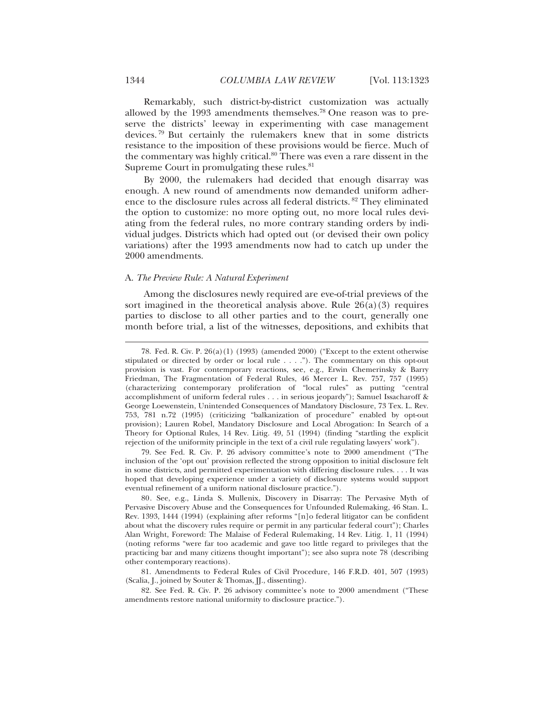Remarkably, such district-by-district customization was actually allowed by the 1993 amendments themselves.78 One reason was to preserve the districts' leeway in experimenting with case management devices. 79 But certainly the rulemakers knew that in some districts resistance to the imposition of these provisions would be fierce. Much of the commentary was highly critical. $80$  There was even a rare dissent in the Supreme Court in promulgating these rules.<sup>81</sup>

By 2000, the rulemakers had decided that enough disarray was enough. A new round of amendments now demanded uniform adherence to the disclosure rules across all federal districts. 82 They eliminated the option to customize: no more opting out, no more local rules deviating from the federal rules, no more contrary standing orders by individual judges. Districts which had opted out (or devised their own policy variations) after the 1993 amendments now had to catch up under the 2000 amendments.

## A. *The Preview Rule: A Natural Experiment*

Among the disclosures newly required are eve-of-trial previews of the sort imagined in the theoretical analysis above. Rule  $26(a)(3)$  requires parties to disclose to all other parties and to the court, generally one month before trial, a list of the witnesses, depositions, and exhibits that

79. See Fed. R. Civ. P. 26 advisory committee's note to 2000 amendment ("The inclusion of the 'opt out' provision reflected the strong opposition to initial disclosure felt in some districts, and permitted experimentation with differing disclosure rules. . . . It was hoped that developing experience under a variety of disclosure systems would support eventual refinement of a uniform national disclosure practice.").

81. Amendments to Federal Rules of Civil Procedure, 146 F.R.D. 401, 507 (1993) (Scalia, J., joined by Souter & Thomas, JJ., dissenting).

82. See Fed. R. Civ. P. 26 advisory committee's note to 2000 amendment ("These amendments restore national uniformity to disclosure practice.").

<sup>78.</sup> Fed. R. Civ. P. 26(a)(1) (1993) (amended 2000) ("Except to the extent otherwise stipulated or directed by order or local rule . . . ."). The commentary on this opt-out provision is vast. For contemporary reactions, see, e.g., Erwin Chemerinsky & Barry Friedman, The Fragmentation of Federal Rules, 46 Mercer L. Rev. 757, 757 (1995) (characterizing contemporary proliferation of "local rules" as putting "central accomplishment of uniform federal rules . . . in serious jeopardy"); Samuel Issacharoff & George Loewenstein, Unintended Consequences of Mandatory Disclosure, 73 Tex. L. Rev. 753, 781 n.72 (1995) (criticizing "balkanization of procedure" enabled by opt-out provision); Lauren Robel, Mandatory Disclosure and Local Abrogation: In Search of a Theory for Optional Rules, 14 Rev. Litig. 49, 51 (1994) (finding "startling the explicit rejection of the uniformity principle in the text of a civil rule regulating lawyers' work").

<sup>80.</sup> See, e.g., Linda S. Mullenix, Discovery in Disarray: The Pervasive Myth of Pervasive Discovery Abuse and the Consequences for Unfounded Rulemaking, 46 Stan. L. Rev. 1393, 1444 (1994) (explaining after reforms "[n]o federal litigator can be confident about what the discovery rules require or permit in any particular federal court"); Charles Alan Wright, Foreword: The Malaise of Federal Rulemaking, 14 Rev. Litig. 1, 11 (1994) (noting reforms "were far too academic and gave too little regard to privileges that the practicing bar and many citizens thought important"); see also supra note 78 (describing other contemporary reactions).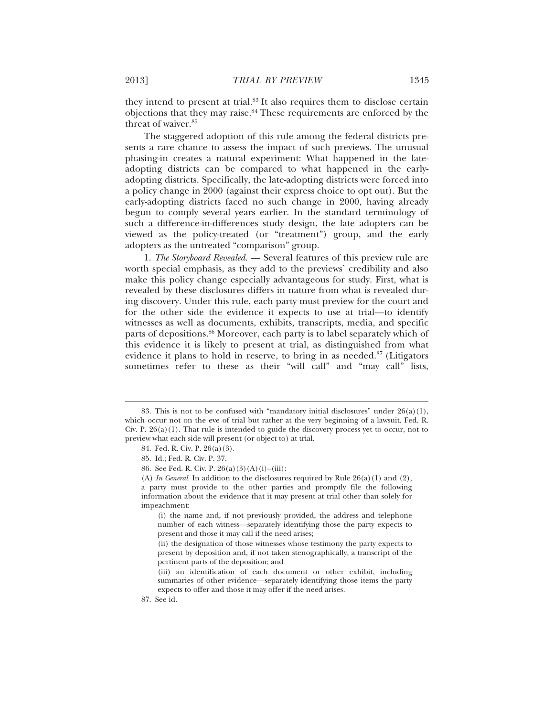they intend to present at trial.83 It also requires them to disclose certain objections that they may raise.84 These requirements are enforced by the threat of waiver.<sup>85</sup>

The staggered adoption of this rule among the federal districts presents a rare chance to assess the impact of such previews. The unusual phasing-in creates a natural experiment: What happened in the lateadopting districts can be compared to what happened in the earlyadopting districts. Specifically, the late-adopting districts were forced into a policy change in 2000 (against their express choice to opt out). But the early-adopting districts faced no such change in 2000, having already begun to comply several years earlier. In the standard terminology of such a difference-in-differences study design, the late adopters can be viewed as the policy-treated (or "treatment") group, and the early adopters as the untreated "comparison" group.

1. *The Storyboard Revealed.* — Several features of this preview rule are worth special emphasis, as they add to the previews' credibility and also make this policy change especially advantageous for study. First, what is revealed by these disclosures differs in nature from what is revealed during discovery. Under this rule, each party must preview for the court and for the other side the evidence it expects to use at trial—to identify witnesses as well as documents, exhibits, transcripts, media, and specific parts of depositions.<sup>86</sup> Moreover, each party is to label separately which of this evidence it is likely to present at trial, as distinguished from what evidence it plans to hold in reserve, to bring in as needed.<sup>87</sup> (Litigators sometimes refer to these as their "will call" and "may call" lists,

<sup>83.</sup> This is not to be confused with "mandatory initial disclosures" under  $26(a)(1)$ , which occur not on the eve of trial but rather at the very beginning of a lawsuit. Fed. R. Civ. P.  $26(a)(1)$ . That rule is intended to guide the discovery process yet to occur, not to preview what each side will present (or object to) at trial.

<sup>84.</sup> Fed. R. Civ. P. 26(a)(3).

<sup>85.</sup> Id.; Fed. R. Civ. P. 37.

<sup>86.</sup> See Fed. R. Civ. P. 26(a)(3)(A)(i)–(iii):

<sup>(</sup>A) *In General*. In addition to the disclosures required by Rule 26(a)(1) and (2), a party must provide to the other parties and promptly file the following information about the evidence that it may present at trial other than solely for impeachment:

<sup>(</sup>i) the name and, if not previously provided, the address and telephone number of each witness—separately identifying those the party expects to present and those it may call if the need arises;

<sup>(</sup>ii) the designation of those witnesses whose testimony the party expects to present by deposition and, if not taken stenographically, a transcript of the pertinent parts of the deposition; and

<sup>(</sup>iii) an identification of each document or other exhibit, including summaries of other evidence—separately identifying those items the party expects to offer and those it may offer if the need arises.

<sup>87.</sup> See id.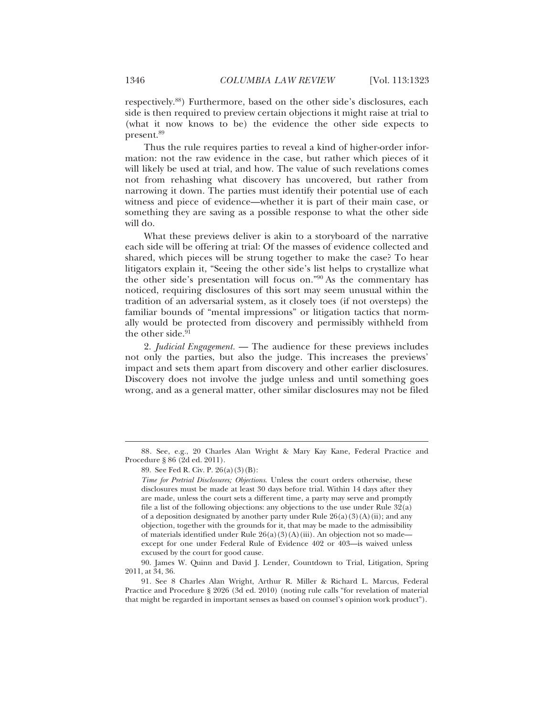respectively.88) Furthermore, based on the other side's disclosures, each side is then required to preview certain objections it might raise at trial to (what it now knows to be) the evidence the other side expects to present.89

Thus the rule requires parties to reveal a kind of higher-order information: not the raw evidence in the case, but rather which pieces of it will likely be used at trial, and how. The value of such revelations comes not from rehashing what discovery has uncovered, but rather from narrowing it down. The parties must identify their potential use of each witness and piece of evidence—whether it is part of their main case, or something they are saving as a possible response to what the other side will do.

What these previews deliver is akin to a storyboard of the narrative each side will be offering at trial: Of the masses of evidence collected and shared, which pieces will be strung together to make the case? To hear litigators explain it, "Seeing the other side's list helps to crystallize what the other side's presentation will focus on."90 As the commentary has noticed, requiring disclosures of this sort may seem unusual within the tradition of an adversarial system, as it closely toes (if not oversteps) the familiar bounds of "mental impressions" or litigation tactics that normally would be protected from discovery and permissibly withheld from the other side. $91$ 

2. *Judicial Engagement.* — The audience for these previews includes not only the parties, but also the judge. This increases the previews' impact and sets them apart from discovery and other earlier disclosures. Discovery does not involve the judge unless and until something goes wrong, and as a general matter, other similar disclosures may not be filed

<sup>88.</sup> See, e.g., 20 Charles Alan Wright & Mary Kay Kane, Federal Practice and Procedure § 86 (2d ed. 2011).

<sup>89.</sup> See Fed R. Civ. P. 26(a)(3)(B):

*Time for Pretrial Disclosures; Objections*. Unless the court orders otherwise, these disclosures must be made at least 30 days before trial. Within 14 days after they are made, unless the court sets a different time, a party may serve and promptly file a list of the following objections: any objections to the use under Rule 32(a) of a deposition designated by another party under Rule  $26(a)(3)(A)(ii)$ ; and any objection, together with the grounds for it, that may be made to the admissibility of materials identified under Rule  $26(a)(3)(A)(iii)$ . An objection not so made except for one under Federal Rule of Evidence 402 or 403—is waived unless excused by the court for good cause.

<sup>90.</sup> James W. Quinn and David J. Lender, Countdown to Trial, Litigation, Spring 2011, at 34, 36.

<sup>91.</sup> See 8 Charles Alan Wright, Arthur R. Miller & Richard L. Marcus, Federal Practice and Procedure § 2026 (3d ed. 2010) (noting rule calls "for revelation of material that might be regarded in important senses as based on counsel's opinion work product").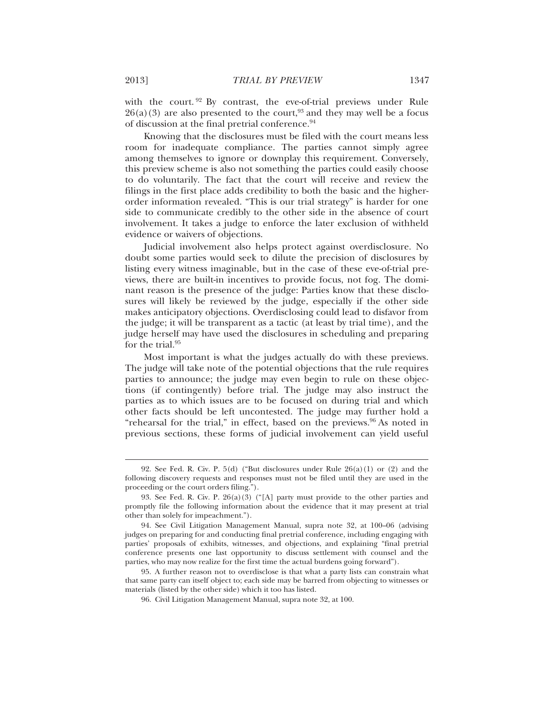with the court.<sup>92</sup> By contrast, the eve-of-trial previews under Rule  $26(a)(3)$  are also presented to the court,<sup>93</sup> and they may well be a focus of discussion at the final pretrial conference.94

Knowing that the disclosures must be filed with the court means less room for inadequate compliance. The parties cannot simply agree among themselves to ignore or downplay this requirement. Conversely, this preview scheme is also not something the parties could easily choose to do voluntarily. The fact that the court will receive and review the filings in the first place adds credibility to both the basic and the higherorder information revealed. "This is our trial strategy" is harder for one side to communicate credibly to the other side in the absence of court involvement. It takes a judge to enforce the later exclusion of withheld evidence or waivers of objections.

Judicial involvement also helps protect against overdisclosure. No doubt some parties would seek to dilute the precision of disclosures by listing every witness imaginable, but in the case of these eve-of-trial previews, there are built-in incentives to provide focus, not fog. The dominant reason is the presence of the judge: Parties know that these disclosures will likely be reviewed by the judge, especially if the other side makes anticipatory objections. Overdisclosing could lead to disfavor from the judge; it will be transparent as a tactic (at least by trial time), and the judge herself may have used the disclosures in scheduling and preparing for the trial.<sup>95</sup>

Most important is what the judges actually do with these previews. The judge will take note of the potential objections that the rule requires parties to announce; the judge may even begin to rule on these objections (if contingently) before trial. The judge may also instruct the parties as to which issues are to be focused on during trial and which other facts should be left uncontested. The judge may further hold a "rehearsal for the trial," in effect, based on the previews. $96$  As noted in previous sections, these forms of judicial involvement can yield useful

<sup>92.</sup> See Fed. R. Civ. P. 5(d) ("But disclosures under Rule 26(a)(1) or (2) and the following discovery requests and responses must not be filed until they are used in the proceeding or the court orders filing.").

<sup>93.</sup> See Fed. R. Civ. P. 26(a)(3) ("[A] party must provide to the other parties and promptly file the following information about the evidence that it may present at trial other than solely for impeachment.").

<sup>94.</sup> See Civil Litigation Management Manual, supra note 32, at 100–06 (advising judges on preparing for and conducting final pretrial conference, including engaging with parties' proposals of exhibits, witnesses, and objections, and explaining "final pretrial conference presents one last opportunity to discuss settlement with counsel and the parties, who may now realize for the first time the actual burdens going forward").

<sup>95.</sup> A further reason not to overdisclose is that what a party lists can constrain what that same party can itself object to; each side may be barred from objecting to witnesses or materials (listed by the other side) which it too has listed.

<sup>96.</sup> Civil Litigation Management Manual, supra note 32, at 100.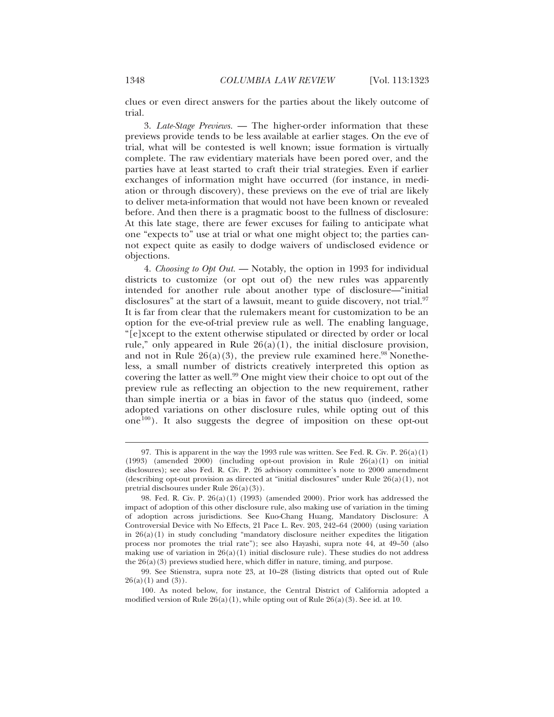clues or even direct answers for the parties about the likely outcome of trial.

3. *Late-Stage Previews.* — The higher-order information that these previews provide tends to be less available at earlier stages. On the eve of trial, what will be contested is well known; issue formation is virtually complete. The raw evidentiary materials have been pored over, and the parties have at least started to craft their trial strategies. Even if earlier exchanges of information might have occurred (for instance, in mediation or through discovery), these previews on the eve of trial are likely to deliver meta-information that would not have been known or revealed before. And then there is a pragmatic boost to the fullness of disclosure: At this late stage, there are fewer excuses for failing to anticipate what one "expects to" use at trial or what one might object to; the parties cannot expect quite as easily to dodge waivers of undisclosed evidence or objections.

4. *Choosing to Opt Out.* — Notably, the option in 1993 for individual districts to customize (or opt out of) the new rules was apparently intended for another rule about another type of disclosure—"initial disclosures" at the start of a lawsuit, meant to guide discovery, not trial.<sup>97</sup> It is far from clear that the rulemakers meant for customization to be an option for the eve-of-trial preview rule as well. The enabling language, "[e]xcept to the extent otherwise stipulated or directed by order or local rule," only appeared in Rule  $26(a)(1)$ , the initial disclosure provision, and not in Rule  $26(a)(3)$ , the preview rule examined here.<sup>98</sup> Nonetheless, a small number of districts creatively interpreted this option as covering the latter as well.<sup>99</sup> One might view their choice to opt out of the preview rule as reflecting an objection to the new requirement, rather than simple inertia or a bias in favor of the status quo (indeed, some adopted variations on other disclosure rules, while opting out of this one100). It also suggests the degree of imposition on these opt-out

<sup>97.</sup> This is apparent in the way the 1993 rule was written. See Fed. R. Civ. P. 26(a)(1)  $(1993)$  (amended 2000) (including opt-out provision in Rule  $26(a)(1)$  on initial disclosures); see also Fed. R. Civ. P. 26 advisory committee's note to 2000 amendment (describing opt-out provision as directed at "initial disclosures" under Rule  $26(a)(1)$ , not pretrial disclsoures under Rule 26(a)(3)).

<sup>98.</sup> Fed. R. Civ. P. 26(a)(1) (1993) (amended 2000). Prior work has addressed the impact of adoption of this other disclosure rule, also making use of variation in the timing of adoption across jurisdictions. See Kuo-Chang Huang, Mandatory Disclosure: A Controversial Device with No Effects, 21 Pace L. Rev. 203, 242–64 (2000) (using variation in  $26(a)(1)$  in study concluding "mandatory disclosure neither expedites the litigation process nor promotes the trial rate"); see also Hayashi, supra note 44, at 49–50 (also making use of variation in  $26(a)(1)$  initial disclosure rule). These studies do not address the  $26(a)(3)$  previews studied here, which differ in nature, timing, and purpose.

<sup>99.</sup> See Stienstra, supra note 23, at 10–28 (listing districts that opted out of Rule  $26(a)(1)$  and  $(3)$ ).

<sup>100.</sup> As noted below, for instance, the Central District of California adopted a modified version of Rule  $26(a)(1)$ , while opting out of Rule  $26(a)(3)$ . See id. at 10.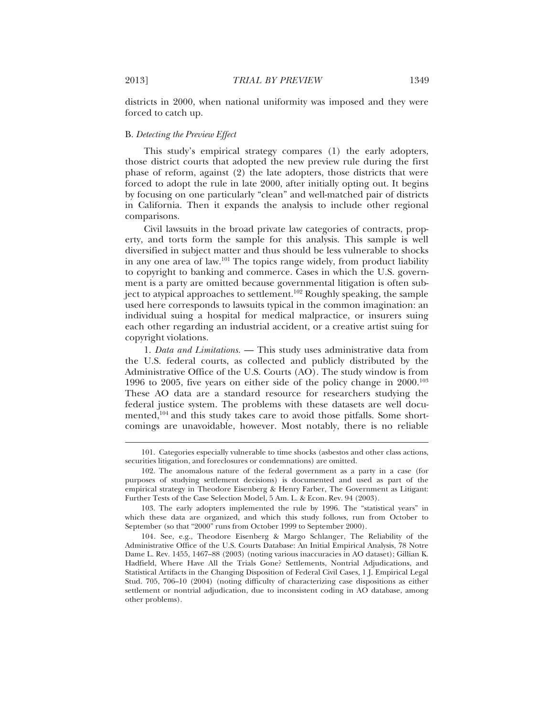districts in 2000, when national uniformity was imposed and they were forced to catch up.

## B. *Detecting the Preview Effect*

This study's empirical strategy compares (1) the early adopters, those district courts that adopted the new preview rule during the first phase of reform, against (2) the late adopters, those districts that were forced to adopt the rule in late 2000, after initially opting out. It begins by focusing on one particularly "clean" and well-matched pair of districts in California. Then it expands the analysis to include other regional comparisons.

Civil lawsuits in the broad private law categories of contracts, property, and torts form the sample for this analysis. This sample is well diversified in subject matter and thus should be less vulnerable to shocks in any one area of law.101 The topics range widely, from product liability to copyright to banking and commerce. Cases in which the U.S. government is a party are omitted because governmental litigation is often subject to atypical approaches to settlement.102 Roughly speaking, the sample used here corresponds to lawsuits typical in the common imagination: an individual suing a hospital for medical malpractice, or insurers suing each other regarding an industrial accident, or a creative artist suing for copyright violations.

1. *Data and Limitations.* — This study uses administrative data from the U.S. federal courts, as collected and publicly distributed by the Administrative Office of the U.S. Courts (AO). The study window is from 1996 to 2005, five years on either side of the policy change in 2000.103 These AO data are a standard resource for researchers studying the federal justice system. The problems with these datasets are well documented,104 and this study takes care to avoid those pitfalls. Some shortcomings are unavoidable, however. Most notably, there is no reliable

<sup>101.</sup> Categories especially vulnerable to time shocks (asbestos and other class actions, securities litigation, and foreclosures or condemnations) are omitted.

<sup>102.</sup> The anomalous nature of the federal government as a party in a case (for purposes of studying settlement decisions) is documented and used as part of the empirical strategy in Theodore Eisenberg & Henry Farber, The Government as Litigant: Further Tests of the Case Selection Model, 5 Am. L. & Econ. Rev. 94 (2003).

<sup>103.</sup> The early adopters implemented the rule by 1996. The "statistical years" in which these data are organized, and which this study follows, run from October to September (so that "2000" runs from October 1999 to September 2000).

<sup>104.</sup> See, e.g., Theodore Eisenberg & Margo Schlanger, The Reliability of the Administrative Office of the U.S. Courts Database: An Initial Empirical Analysis, 78 Notre Dame L. Rev. 1455, 1467–88 (2003) (noting various inaccuracies in AO dataset); Gillian K. Hadfield, Where Have All the Trials Gone? Settlements, Nontrial Adjudications, and Statistical Artifacts in the Changing Disposition of Federal Civil Cases, 1 J. Empirical Legal Stud. 705, 706–10 (2004) (noting difficulty of characterizing case dispositions as either settlement or nontrial adjudication, due to inconsistent coding in AO database, among other problems).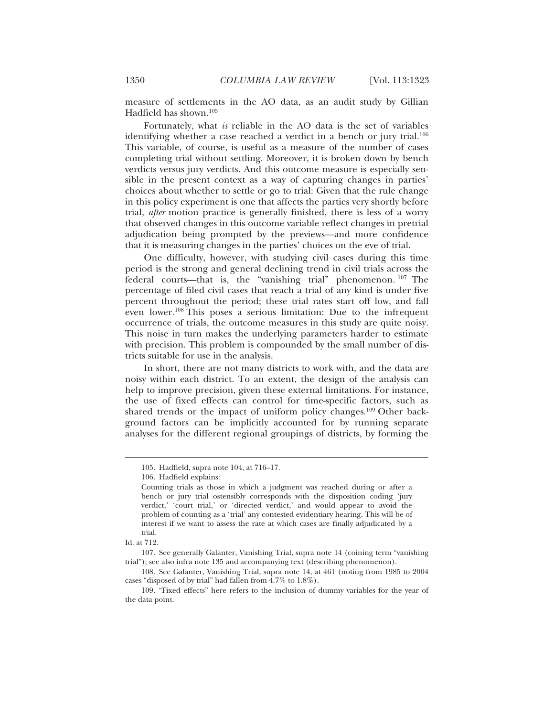measure of settlements in the AO data, as an audit study by Gillian Hadfield has shown.105

Fortunately, what *is* reliable in the AO data is the set of variables identifying whether a case reached a verdict in a bench or jury trial.<sup>106</sup> This variable, of course, is useful as a measure of the number of cases completing trial without settling. Moreover, it is broken down by bench verdicts versus jury verdicts. And this outcome measure is especially sensible in the present context as a way of capturing changes in parties' choices about whether to settle or go to trial: Given that the rule change in this policy experiment is one that affects the parties very shortly before trial, *after* motion practice is generally finished, there is less of a worry that observed changes in this outcome variable reflect changes in pretrial adjudication being prompted by the previews—and more confidence that it is measuring changes in the parties' choices on the eve of trial.

One difficulty, however, with studying civil cases during this time period is the strong and general declining trend in civil trials across the federal courts—that is, the "vanishing trial" phenomenon. 107 The percentage of filed civil cases that reach a trial of any kind is under five percent throughout the period; these trial rates start off low, and fall even lower.108 This poses a serious limitation: Due to the infrequent occurrence of trials, the outcome measures in this study are quite noisy. This noise in turn makes the underlying parameters harder to estimate with precision. This problem is compounded by the small number of districts suitable for use in the analysis.

In short, there are not many districts to work with, and the data are noisy within each district. To an extent, the design of the analysis can help to improve precision, given these external limitations. For instance, the use of fixed effects can control for time-specific factors, such as shared trends or the impact of uniform policy changes.<sup>109</sup> Other background factors can be implicitly accounted for by running separate analyses for the different regional groupings of districts, by forming the

<sup>105.</sup> Hadfield, supra note 104, at 716–17.

<sup>106.</sup> Hadfield explains:

Counting trials as those in which a judgment was reached during or after a bench or jury trial ostensibly corresponds with the disposition coding 'jury verdict,' 'court trial,' or 'directed verdict,' and would appear to avoid the problem of counting as a 'trial' any contested evidentiary hearing. This will be of interest if we want to assess the rate at which cases are finally adjudicated by a trial.

Id. at 712.

<sup>107.</sup> See generally Galanter, Vanishing Trial, supra note 14 (coining term "vanishing trial"); see also infra note 135 and accompanying text (describing phenomenon).

<sup>108.</sup> See Galanter, Vanishing Trial, supra note 14, at 461 (noting from 1985 to 2004 cases "disposed of by trial" had fallen from 4.7% to 1.8%).

<sup>109. &</sup>quot;Fixed effects" here refers to the inclusion of dummy variables for the year of the data point.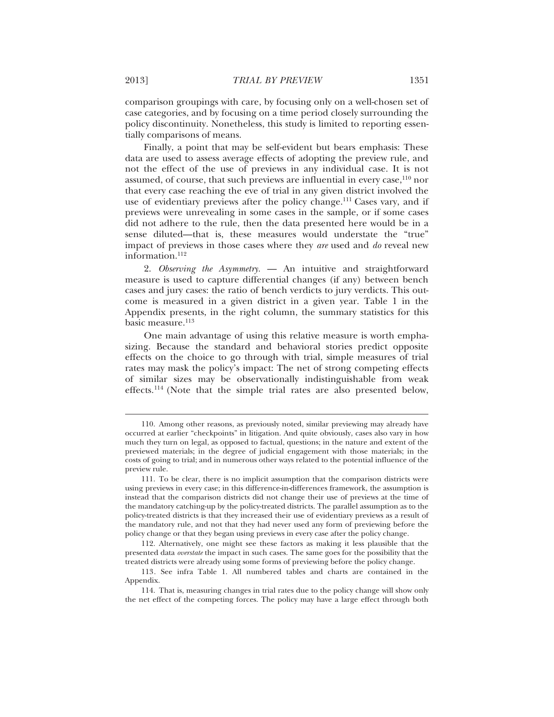comparison groupings with care, by focusing only on a well-chosen set of case categories, and by focusing on a time period closely surrounding the policy discontinuity. Nonetheless, this study is limited to reporting essentially comparisons of means.

Finally, a point that may be self-evident but bears emphasis: These data are used to assess average effects of adopting the preview rule, and not the effect of the use of previews in any individual case. It is not assumed, of course, that such previews are influential in every case,<sup>110</sup> nor that every case reaching the eve of trial in any given district involved the use of evidentiary previews after the policy change.<sup>111</sup> Cases vary, and if previews were unrevealing in some cases in the sample, or if some cases did not adhere to the rule, then the data presented here would be in a sense diluted—that is, these measures would understate the "true" impact of previews in those cases where they *are* used and *do* reveal new information.<sup>112</sup>

2. *Observing the Asymmetry.* — An intuitive and straightforward measure is used to capture differential changes (if any) between bench cases and jury cases: the ratio of bench verdicts to jury verdicts. This outcome is measured in a given district in a given year. Table 1 in the Appendix presents, in the right column, the summary statistics for this basic measure.<sup>113</sup>

One main advantage of using this relative measure is worth emphasizing. Because the standard and behavioral stories predict opposite effects on the choice to go through with trial, simple measures of trial rates may mask the policy's impact: The net of strong competing effects of similar sizes may be observationally indistinguishable from weak effects.114 (Note that the simple trial rates are also presented below,

<sup>110.</sup> Among other reasons, as previously noted, similar previewing may already have occurred at earlier "checkpoints" in litigation. And quite obviously, cases also vary in how much they turn on legal, as opposed to factual, questions; in the nature and extent of the previewed materials; in the degree of judicial engagement with those materials; in the costs of going to trial; and in numerous other ways related to the potential influence of the preview rule.

<sup>111.</sup> To be clear, there is no implicit assumption that the comparison districts were using previews in every case; in this difference-in-differences framework, the assumption is instead that the comparison districts did not change their use of previews at the time of the mandatory catching-up by the policy-treated districts. The parallel assumption as to the policy-treated districts is that they increased their use of evidentiary previews as a result of the mandatory rule, and not that they had never used any form of previewing before the policy change or that they began using previews in every case after the policy change.

<sup>112.</sup> Alternatively, one might see these factors as making it less plausible that the presented data *overstate* the impact in such cases. The same goes for the possibility that the treated districts were already using some forms of previewing before the policy change.

<sup>113.</sup> See infra Table 1. All numbered tables and charts are contained in the Appendix.

<sup>114.</sup> That is, measuring changes in trial rates due to the policy change will show only the net effect of the competing forces. The policy may have a large effect through both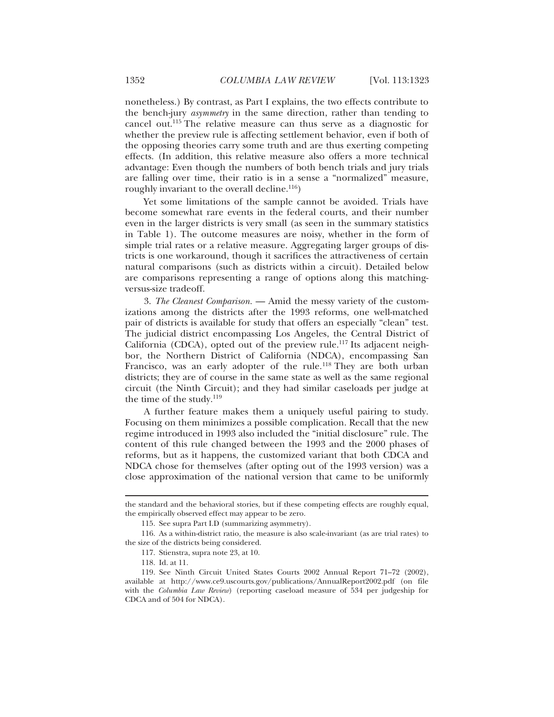nonetheless.) By contrast, as Part I explains, the two effects contribute to the bench-jury *asymmetry* in the same direction, rather than tending to cancel out.115 The relative measure can thus serve as a diagnostic for whether the preview rule is affecting settlement behavior, even if both of the opposing theories carry some truth and are thus exerting competing effects. (In addition, this relative measure also offers a more technical advantage: Even though the numbers of both bench trials and jury trials are falling over time, their ratio is in a sense a "normalized" measure, roughly invariant to the overall decline.<sup>116</sup>)

Yet some limitations of the sample cannot be avoided. Trials have become somewhat rare events in the federal courts, and their number even in the larger districts is very small (as seen in the summary statistics in Table 1). The outcome measures are noisy, whether in the form of simple trial rates or a relative measure. Aggregating larger groups of districts is one workaround, though it sacrifices the attractiveness of certain natural comparisons (such as districts within a circuit). Detailed below are comparisons representing a range of options along this matchingversus-size tradeoff.

3. *The Cleanest Comparison.* — Amid the messy variety of the customizations among the districts after the 1993 reforms, one well-matched pair of districts is available for study that offers an especially "clean" test. The judicial district encompassing Los Angeles, the Central District of California (CDCA), opted out of the preview rule.117 Its adjacent neighbor, the Northern District of California (NDCA), encompassing San Francisco, was an early adopter of the rule.<sup>118</sup> They are both urban districts; they are of course in the same state as well as the same regional circuit (the Ninth Circuit); and they had similar caseloads per judge at the time of the study. $119$ 

A further feature makes them a uniquely useful pairing to study. Focusing on them minimizes a possible complication. Recall that the new regime introduced in 1993 also included the "initial disclosure" rule. The content of this rule changed between the 1993 and the 2000 phases of reforms, but as it happens, the customized variant that both CDCA and NDCA chose for themselves (after opting out of the 1993 version) was a close approximation of the national version that came to be uniformly

the standard and the behavioral stories, but if these competing effects are roughly equal, the empirically observed effect may appear to be zero.

<sup>115.</sup> See supra Part I.D (summarizing asymmetry).

<sup>116.</sup> As a within-district ratio, the measure is also scale-invariant (as are trial rates) to the size of the districts being considered.

<sup>117.</sup> Stienstra, supra note 23, at 10.

<sup>118.</sup> Id. at 11.

<sup>119.</sup> See Ninth Circuit United States Courts 2002 Annual Report 71–72 (2002), available at http://www.ce9.uscourts.gov/publications/AnnualReport2002.pdf (on file with the *Columbia Law Review*) (reporting caseload measure of 534 per judgeship for CDCA and of 504 for NDCA).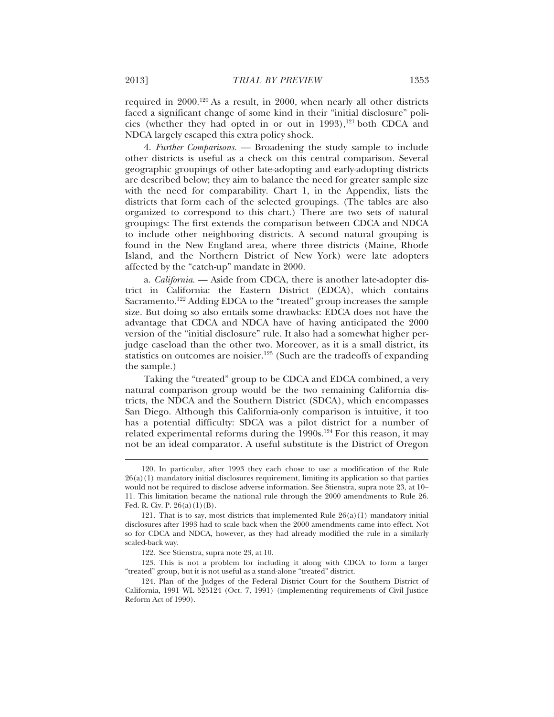required in 2000.120 As a result, in 2000, when nearly all other districts faced a significant change of some kind in their "initial disclosure" policies (whether they had opted in or out in  $1993$ ),<sup>121</sup> both CDCA and NDCA largely escaped this extra policy shock.

4. *Further Comparisons.* — Broadening the study sample to include other districts is useful as a check on this central comparison. Several geographic groupings of other late-adopting and early-adopting districts are described below; they aim to balance the need for greater sample size with the need for comparability. Chart 1, in the Appendix, lists the districts that form each of the selected groupings. (The tables are also organized to correspond to this chart.) There are two sets of natural groupings: The first extends the comparison between CDCA and NDCA to include other neighboring districts. A second natural grouping is found in the New England area, where three districts (Maine, Rhode Island, and the Northern District of New York) were late adopters affected by the "catch-up" mandate in 2000.

a. *California.* — Aside from CDCA, there is another late-adopter district in California: the Eastern District (EDCA), which contains Sacramento.122 Adding EDCA to the "treated" group increases the sample size. But doing so also entails some drawbacks: EDCA does not have the advantage that CDCA and NDCA have of having anticipated the 2000 version of the "initial disclosure" rule. It also had a somewhat higher perjudge caseload than the other two. Moreover, as it is a small district, its statistics on outcomes are noisier.<sup>123</sup> (Such are the tradeoffs of expanding the sample.)

Taking the "treated" group to be CDCA and EDCA combined, a very natural comparison group would be the two remaining California districts, the NDCA and the Southern District (SDCA), which encompasses San Diego. Although this California-only comparison is intuitive, it too has a potential difficulty: SDCA was a pilot district for a number of related experimental reforms during the 1990s.<sup>124</sup> For this reason, it may not be an ideal comparator. A useful substitute is the District of Oregon

<sup>120.</sup> In particular, after 1993 they each chose to use a modification of the Rule 26(a)(1) mandatory initial disclosures requirement, limiting its application so that parties would not be required to disclose adverse information. See Stienstra, supra note 23, at 10– 11. This limitation became the national rule through the 2000 amendments to Rule 26. Fed. R. Civ. P.  $26(a)(1)(B)$ .

<sup>121.</sup> That is to say, most districts that implemented Rule  $26(a)(1)$  mandatory initial disclosures after 1993 had to scale back when the 2000 amendments came into effect. Not so for CDCA and NDCA, however, as they had already modified the rule in a similarly scaled-back way.

<sup>122.</sup> See Stienstra, supra note 23, at 10.

<sup>123.</sup> This is not a problem for including it along with CDCA to form a larger "treated" group, but it is not useful as a stand-alone "treated" district.

<sup>124.</sup> Plan of the Judges of the Federal District Court for the Southern District of California, 1991 WL 525124 (Oct. 7, 1991) (implementing requirements of Civil Justice Reform Act of 1990).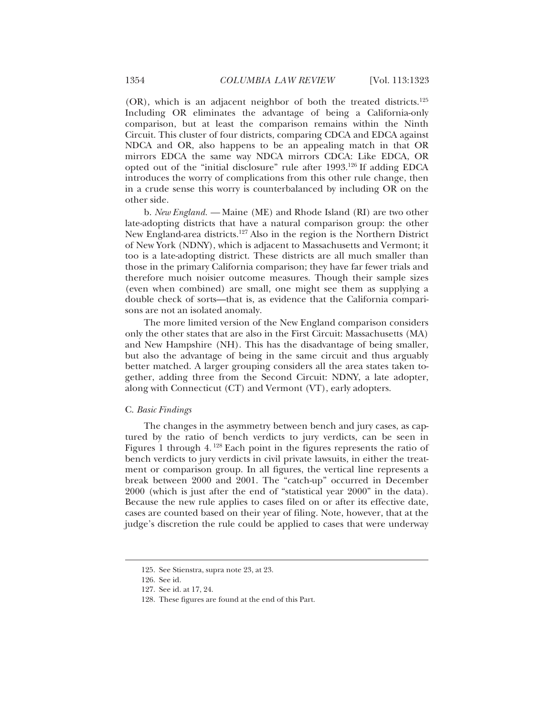(OR), which is an adjacent neighbor of both the treated districts.125 Including OR eliminates the advantage of being a California-only comparison, but at least the comparison remains within the Ninth Circuit. This cluster of four districts, comparing CDCA and EDCA against NDCA and OR, also happens to be an appealing match in that OR mirrors EDCA the same way NDCA mirrors CDCA: Like EDCA, OR opted out of the "initial disclosure" rule after 1993.126 If adding EDCA introduces the worry of complications from this other rule change, then in a crude sense this worry is counterbalanced by including OR on the other side.

b. *New England. —* Maine (ME) and Rhode Island (RI) are two other late-adopting districts that have a natural comparison group: the other New England-area districts.127 Also in the region is the Northern District of New York (NDNY), which is adjacent to Massachusetts and Vermont; it too is a late-adopting district. These districts are all much smaller than those in the primary California comparison; they have far fewer trials and therefore much noisier outcome measures. Though their sample sizes (even when combined) are small, one might see them as supplying a double check of sorts—that is, as evidence that the California comparisons are not an isolated anomaly.

The more limited version of the New England comparison considers only the other states that are also in the First Circuit: Massachusetts (MA) and New Hampshire (NH). This has the disadvantage of being smaller, but also the advantage of being in the same circuit and thus arguably better matched. A larger grouping considers all the area states taken together, adding three from the Second Circuit: NDNY, a late adopter, along with Connecticut (CT) and Vermont (VT), early adopters.

#### C. *Basic Findings*

The changes in the asymmetry between bench and jury cases, as captured by the ratio of bench verdicts to jury verdicts, can be seen in Figures 1 through 4. 128 Each point in the figures represents the ratio of bench verdicts to jury verdicts in civil private lawsuits, in either the treatment or comparison group. In all figures, the vertical line represents a break between 2000 and 2001. The "catch-up" occurred in December 2000 (which is just after the end of "statistical year 2000" in the data). Because the new rule applies to cases filed on or after its effective date, cases are counted based on their year of filing. Note, however, that at the judge's discretion the rule could be applied to cases that were underway

<sup>125.</sup> See Stienstra, supra note 23, at 23.

<sup>126.</sup> See id.

<sup>127.</sup> See id. at 17, 24.

<sup>128.</sup> These figures are found at the end of this Part.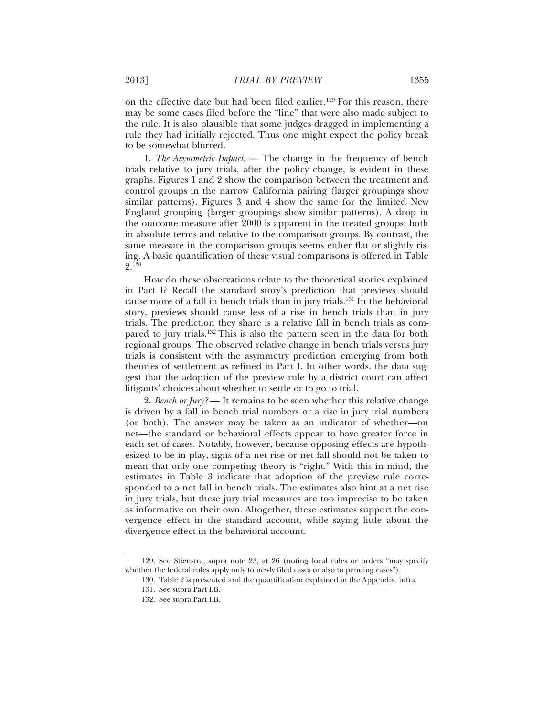on the effective date but had been filed earlier.<sup>129</sup> For this reason, there may be some cases filed before the "line" that were also made subject to the rule. It is also plausible that some judges dragged in implementing a rule they had initially rejected. Thus one might expect the policy break to be somewhat blurred.

1. *The Asymmetric Impact.* — The change in the frequency of bench trials relative to jury trials, after the policy change, is evident in these graphs. Figures 1 and 2 show the comparison between the treatment and control groups in the narrow California pairing (larger groupings show similar patterns). Figures 3 and 4 show the same for the limited New England grouping (larger groupings show similar patterns). A drop in the outcome measure after 2000 is apparent in the treated groups, both in absolute terms and relative to the comparison groups. By contrast, the same measure in the comparison groups seems either flat or slightly rising. A basic quantification of these visual comparisons is offered in Table 9 130

How do these observations relate to the theoretical stories explained in Part I? Recall the standard story's prediction that previews should cause more of a fall in bench trials than in jury trials.131 In the behavioral story, previews should cause less of a rise in bench trials than in jury trials. The prediction they share is a relative fall in bench trials as compared to jury trials.<sup>132</sup> This is also the pattern seen in the data for both regional groups. The observed relative change in bench trials versus jury trials is consistent with the asymmetry prediction emerging from both theories of settlement as refined in Part I. In other words, the data suggest that the adoption of the preview rule by a district court can affect litigants' choices about whether to settle or to go to trial.

2. *Bench or Jury?* — It remains to be seen whether this relative change is driven by a fall in bench trial numbers or a rise in jury trial numbers (or both). The answer may be taken as an indicator of whether—on net—the standard or behavioral effects appear to have greater force in each set of cases. Notably, however, because opposing effects are hypothesized to be in play, signs of a net rise or net fall should not be taken to mean that only one competing theory is "right." With this in mind, the estimates in Table 3 indicate that adoption of the preview rule corresponded to a net fall in bench trials. The estimates also hint at a net rise in jury trials, but these jury trial measures are too imprecise to be taken as informative on their own. Altogether, these estimates support the convergence effect in the standard account, while saying little about the divergence effect in the behavioral account.

<sup>129.</sup> See Stienstra, supra note 23, at 26 (noting local rules or orders "may specify whether the federal rules apply only to newly filed cases or also to pending cases").

<sup>130.</sup> Table 2 is presented and the quantification explained in the Appendix, infra.

<sup>131.</sup> See supra Part I.B.

<sup>132.</sup> See supra Part I.B.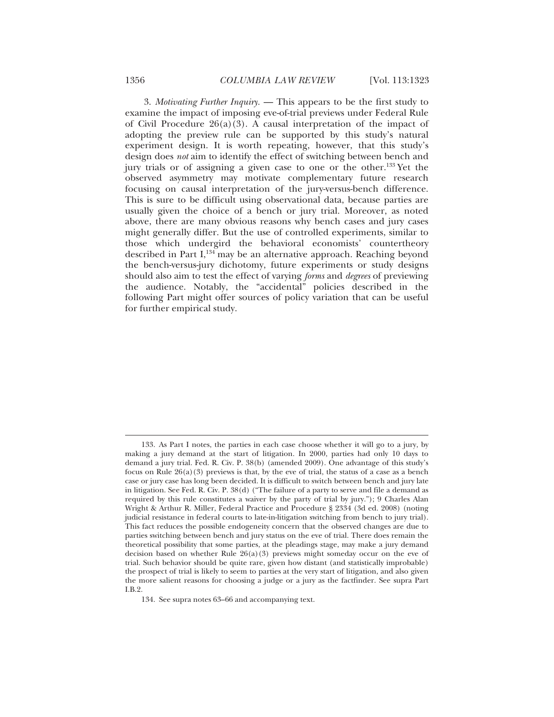3. *Motivating Further Inquiry.* — This appears to be the first study to examine the impact of imposing eve-of-trial previews under Federal Rule of Civil Procedure  $26(a)(3)$ . A causal interpretation of the impact of adopting the preview rule can be supported by this study's natural experiment design. It is worth repeating, however, that this study's design does *not* aim to identify the effect of switching between bench and jury trials or of assigning a given case to one or the other.133 Yet the observed asymmetry may motivate complementary future research focusing on causal interpretation of the jury-versus-bench difference. This is sure to be difficult using observational data, because parties are usually given the choice of a bench or jury trial. Moreover, as noted above, there are many obvious reasons why bench cases and jury cases might generally differ. But the use of controlled experiments, similar to those which undergird the behavioral economists' countertheory described in Part  $I<sub>134</sub>$  may be an alternative approach. Reaching beyond the bench-versus-jury dichotomy, future experiments or study designs should also aim to test the effect of varying *forms* and *degrees* of previewing the audience. Notably, the "accidental" policies described in the following Part might offer sources of policy variation that can be useful for further empirical study.

<sup>133.</sup> As Part I notes, the parties in each case choose whether it will go to a jury, by making a jury demand at the start of litigation. In 2000, parties had only 10 days to demand a jury trial. Fed. R. Civ. P. 38(b) (amended 2009). One advantage of this study's focus on Rule  $26(a)(3)$  previews is that, by the eve of trial, the status of a case as a bench case or jury case has long been decided. It is difficult to switch between bench and jury late in litigation. See Fed. R. Civ. P. 38(d) ("The failure of a party to serve and file a demand as required by this rule constitutes a waiver by the party of trial by jury."); 9 Charles Alan Wright & Arthur R. Miller, Federal Practice and Procedure § 2334 (3d ed. 2008) (noting judicial resistance in federal courts to late-in-litigation switching from bench to jury trial). This fact reduces the possible endogeneity concern that the observed changes are due to parties switching between bench and jury status on the eve of trial. There does remain the theoretical possibility that some parties, at the pleadings stage, may make a jury demand decision based on whether Rule  $26(a)(3)$  previews might someday occur on the eve of trial. Such behavior should be quite rare, given how distant (and statistically improbable) the prospect of trial is likely to seem to parties at the very start of litigation, and also given the more salient reasons for choosing a judge or a jury as the factfinder. See supra Part I.B.2.

<sup>134.</sup> See supra notes 63–66 and accompanying text.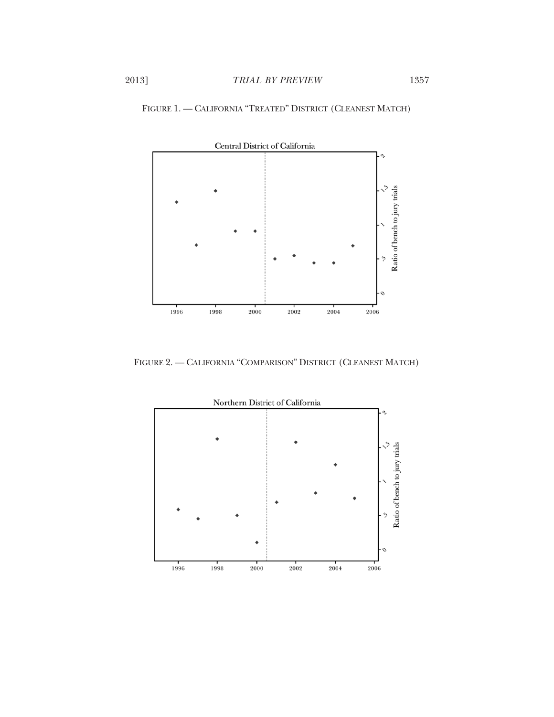

FIGURE 1. — CALIFORNIA "TREATED" DISTRICT (CLEANEST MATCH)

FIGURE 2. — CALIFORNIA "COMPARISON" DISTRICT (CLEANEST MATCH)

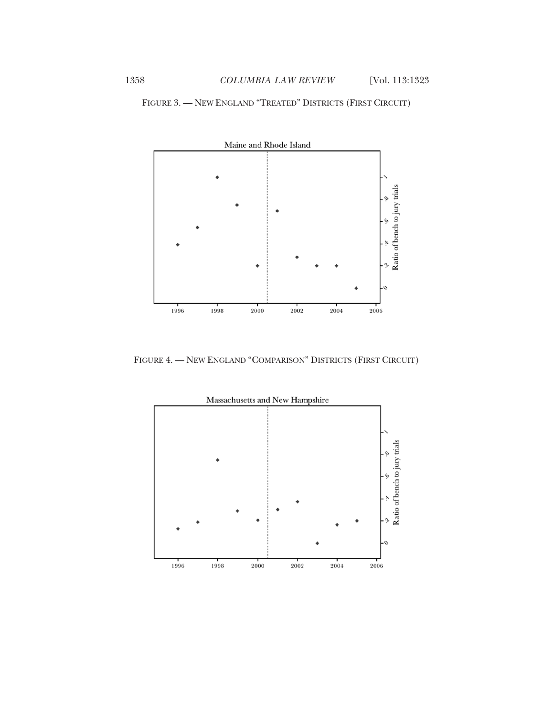

FIGURE 3. — NEW ENGLAND "TREATED" DISTRICTS (FIRST CIRCUIT)

FIGURE 4. — NEW ENGLAND "COMPARISON" DISTRICTS (FIRST CIRCUIT)

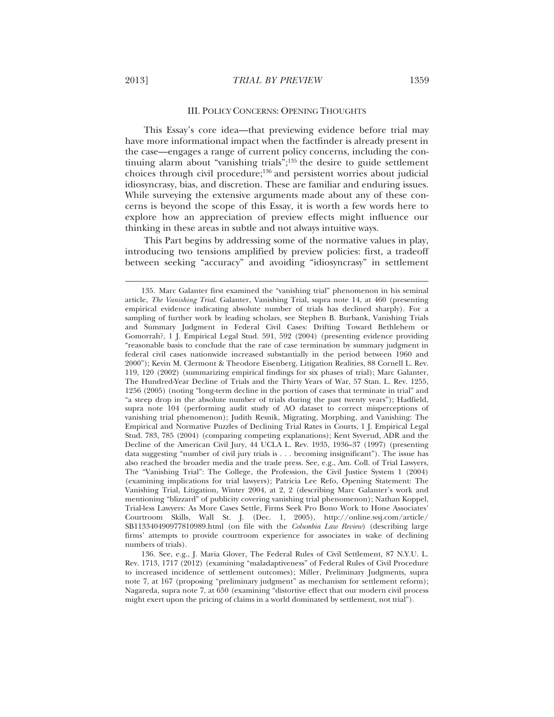#### III. POLICY CONCERNS: OPENING THOUGHTS

This Essay's core idea—that previewing evidence before trial may have more informational impact when the factfinder is already present in the case—engages a range of current policy concerns, including the continuing alarm about "vanishing trials";135 the desire to guide settlement choices through civil procedure;136 and persistent worries about judicial idiosyncrasy, bias, and discretion. These are familiar and enduring issues. While surveying the extensive arguments made about any of these concerns is beyond the scope of this Essay, it is worth a few words here to explore how an appreciation of preview effects might influence our thinking in these areas in subtle and not always intuitive ways.

This Part begins by addressing some of the normative values in play, introducing two tensions amplified by preview policies: first, a tradeoff between seeking "accuracy" and avoiding "idiosyncrasy" in settlement

<sup>135.</sup> Marc Galanter first examined the "vanishing trial" phenomenon in his seminal article, *The Vanishing Trial*. Galanter, Vanishing Trial, supra note 14, at 460 (presenting empirical evidence indicating absolute number of trials has declined sharply). For a sampling of further work by leading scholars, see Stephen B. Burbank, Vanishing Trials and Summary Judgment in Federal Civil Cases: Drifting Toward Bethlehem or Gomorrah?, 1 J. Empirical Legal Stud. 591, 592 (2004) (presenting evidence providing "reasonable basis to conclude that the rate of case termination by summary judgment in federal civil cases nationwide increased substantially in the period between 1960 and 2000"); Kevin M. Clermont & Theodore Eisenberg, Litigation Realities, 88 Cornell L. Rev. 119, 120 (2002) (summarizing empirical findings for six phases of trial); Marc Galanter, The Hundred-Year Decline of Trials and the Thirty Years of War, 57 Stan. L. Rev. 1255, 1256 (2005) (noting "long-term decline in the portion of cases that terminate in trial" and "a steep drop in the absolute number of trials during the past twenty years"); Hadfield, supra note 104 (performing audit study of AO dataset to correct misperceptions of vanishing trial phenomenon); Judith Resnik, Migrating, Morphing, and Vanishing: The Empirical and Normative Puzzles of Declining Trial Rates in Courts, 1 J. Empirical Legal Stud. 783, 785 (2004) (comparing competing explanations); Kent Syverud, ADR and the Decline of the American Civil Jury, 44 UCLA L. Rev. 1935, 1936–37 (1997) (presenting data suggesting "number of civil jury trials is . . . becoming insignificant"). The issue has also reached the broader media and the trade press. See, e.g., Am. Coll. of Trial Lawyers, The "Vanishing Trial": The College, the Profession, the Civil Justice System 1 (2004) (examining implications for trial lawyers); Patricia Lee Refo, Opening Statement: The Vanishing Trial, Litigation, Winter 2004, at 2, 2 (describing Marc Galanter's work and mentioning "blizzard" of publicity covering vanishing trial phenomenon); Nathan Koppel, Trial-less Lawyers: As More Cases Settle, Firms Seek Pro Bono Work to Hone Associates' Courtroom Skills, Wall St. J. (Dec. 1, 2005), http://online.wsj.com/article/ SB113340490977810989.html (on file with the *Columbia Law Review*) (describing large firms' attempts to provide courtroom experience for associates in wake of declining numbers of trials).

<sup>136.</sup> See, e.g., J. Maria Glover, The Federal Rules of Civil Settlement, 87 N.Y.U. L. Rev. 1713, 1717 (2012) (examining "maladaptiveness" of Federal Rules of Civil Procedure to increased incidence of settlement outcomes); Miller, Preliminary Judgments, supra note 7, at 167 (proposing "preliminary judgment" as mechanism for settlement reform); Nagareda, supra note 7, at 650 (examining "distortive effect that our modern civil process might exert upon the pricing of claims in a world dominated by settlement, not trial").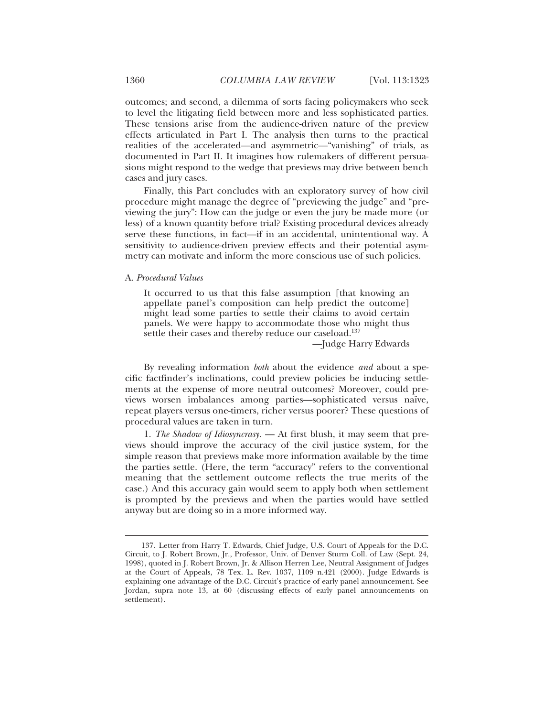outcomes; and second, a dilemma of sorts facing policymakers who seek to level the litigating field between more and less sophisticated parties. These tensions arise from the audience-driven nature of the preview effects articulated in Part I. The analysis then turns to the practical realities of the accelerated—and asymmetric—"vanishing" of trials, as documented in Part II. It imagines how rulemakers of different persuasions might respond to the wedge that previews may drive between bench cases and jury cases.

Finally, this Part concludes with an exploratory survey of how civil procedure might manage the degree of "previewing the judge" and "previewing the jury": How can the judge or even the jury be made more (or less) of a known quantity before trial? Existing procedural devices already serve these functions, in fact—if in an accidental, unintentional way. A sensitivity to audience-driven preview effects and their potential asymmetry can motivate and inform the more conscious use of such policies.

## A. *Procedural Values*

 $\overline{a}$ 

It occurred to us that this false assumption [that knowing an appellate panel's composition can help predict the outcome] might lead some parties to settle their claims to avoid certain panels. We were happy to accommodate those who might thus settle their cases and thereby reduce our caseload.<sup>137</sup>

—Judge Harry Edwards

By revealing information *both* about the evidence *and* about a specific factfinder's inclinations, could preview policies be inducing settlements at the expense of more neutral outcomes? Moreover, could previews worsen imbalances among parties—sophisticated versus naïve, repeat players versus one-timers, richer versus poorer? These questions of procedural values are taken in turn.

1. *The Shadow of Idiosyncrasy.* — At first blush, it may seem that previews should improve the accuracy of the civil justice system, for the simple reason that previews make more information available by the time the parties settle. (Here, the term "accuracy" refers to the conventional meaning that the settlement outcome reflects the true merits of the case.) And this accuracy gain would seem to apply both when settlement is prompted by the previews and when the parties would have settled anyway but are doing so in a more informed way.

<sup>137.</sup> Letter from Harry T. Edwards, Chief Judge, U.S. Court of Appeals for the D.C. Circuit, to J. Robert Brown, Jr., Professor, Univ. of Denver Sturm Coll. of Law (Sept. 24, 1998), quoted in J. Robert Brown, Jr. & Allison Herren Lee, Neutral Assignment of Judges at the Court of Appeals, 78 Tex. L. Rev. 1037, 1109 n.421 (2000). Judge Edwards is explaining one advantage of the D.C. Circuit's practice of early panel announcement. See Jordan, supra note 13, at 60 (discussing effects of early panel announcements on settlement).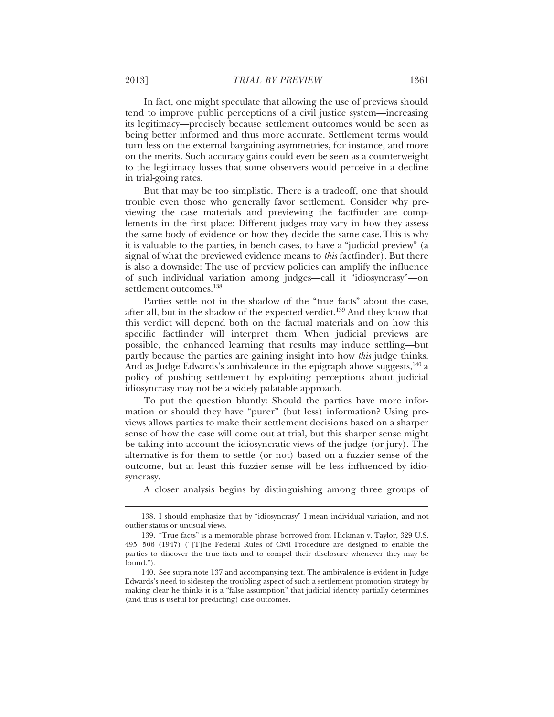In fact, one might speculate that allowing the use of previews should tend to improve public perceptions of a civil justice system—increasing its legitimacy—precisely because settlement outcomes would be seen as being better informed and thus more accurate. Settlement terms would turn less on the external bargaining asymmetries, for instance, and more on the merits. Such accuracy gains could even be seen as a counterweight to the legitimacy losses that some observers would perceive in a decline in trial-going rates.

But that may be too simplistic. There is a tradeoff, one that should trouble even those who generally favor settlement. Consider why previewing the case materials and previewing the factfinder are complements in the first place: Different judges may vary in how they assess the same body of evidence or how they decide the same case.This is why it is valuable to the parties, in bench cases, to have a "judicial preview" (a signal of what the previewed evidence means to *this* factfinder). But there is also a downside: The use of preview policies can amplify the influence of such individual variation among judges—call it "idiosyncrasy"—on settlement outcomes.<sup>138</sup>

Parties settle not in the shadow of the "true facts" about the case, after all, but in the shadow of the expected verdict.139 And they know that this verdict will depend both on the factual materials and on how this specific factfinder will interpret them. When judicial previews are possible, the enhanced learning that results may induce settling—but partly because the parties are gaining insight into how *this* judge thinks. And as Judge Edwards's ambivalence in the epigraph above suggests, $140$  a policy of pushing settlement by exploiting perceptions about judicial idiosyncrasy may not be a widely palatable approach.

To put the question bluntly: Should the parties have more information or should they have "purer" (but less) information? Using previews allows parties to make their settlement decisions based on a sharper sense of how the case will come out at trial, but this sharper sense might be taking into account the idiosyncratic views of the judge (or jury). The alternative is for them to settle (or not) based on a fuzzier sense of the outcome, but at least this fuzzier sense will be less influenced by idiosyncrasy.

A closer analysis begins by distinguishing among three groups of

<sup>138.</sup> I should emphasize that by "idiosyncrasy" I mean individual variation, and not outlier status or unusual views.

<sup>139. &</sup>quot;True facts" is a memorable phrase borrowed from Hickman v. Taylor, 329 U.S. 495, 506 (1947) ("[T]he Federal Rules of Civil Procedure are designed to enable the parties to discover the true facts and to compel their disclosure whenever they may be found.").

<sup>140.</sup> See supra note 137 and accompanying text. The ambivalence is evident in Judge Edwards's need to sidestep the troubling aspect of such a settlement promotion strategy by making clear he thinks it is a "false assumption" that judicial identity partially determines (and thus is useful for predicting) case outcomes.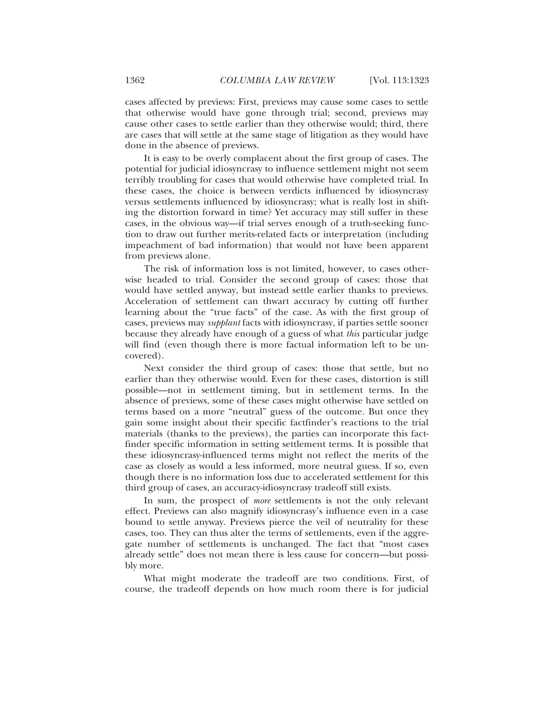cases affected by previews: First, previews may cause some cases to settle that otherwise would have gone through trial; second, previews may cause other cases to settle earlier than they otherwise would; third, there are cases that will settle at the same stage of litigation as they would have done in the absence of previews.

It is easy to be overly complacent about the first group of cases. The potential for judicial idiosyncrasy to influence settlement might not seem terribly troubling for cases that would otherwise have completed trial. In these cases, the choice is between verdicts influenced by idiosyncrasy versus settlements influenced by idiosyncrasy; what is really lost in shifting the distortion forward in time? Yet accuracy may still suffer in these cases, in the obvious way—if trial serves enough of a truth-seeking function to draw out further merits-related facts or interpretation (including impeachment of bad information) that would not have been apparent from previews alone.

The risk of information loss is not limited, however, to cases otherwise headed to trial. Consider the second group of cases: those that would have settled anyway, but instead settle earlier thanks to previews. Acceleration of settlement can thwart accuracy by cutting off further learning about the "true facts" of the case. As with the first group of cases, previews may *supplant* facts with idiosyncrasy, if parties settle sooner because they already have enough of a guess of what *this* particular judge will find (even though there is more factual information left to be uncovered).

Next consider the third group of cases: those that settle, but no earlier than they otherwise would. Even for these cases, distortion is still possible—not in settlement timing, but in settlement terms. In the absence of previews, some of these cases might otherwise have settled on terms based on a more "neutral" guess of the outcome. But once they gain some insight about their specific factfinder's reactions to the trial materials (thanks to the previews), the parties can incorporate this factfinder specific information in setting settlement terms. It is possible that these idiosyncrasy-influenced terms might not reflect the merits of the case as closely as would a less informed, more neutral guess. If so, even though there is no information loss due to accelerated settlement for this third group of cases, an accuracy-idiosyncrasy tradeoff still exists.

In sum, the prospect of *more* settlements is not the only relevant effect. Previews can also magnify idiosyncrasy's influence even in a case bound to settle anyway. Previews pierce the veil of neutrality for these cases, too. They can thus alter the terms of settlements, even if the aggregate number of settlements is unchanged. The fact that "most cases already settle" does not mean there is less cause for concern—but possibly more.

What might moderate the tradeoff are two conditions. First, of course, the tradeoff depends on how much room there is for judicial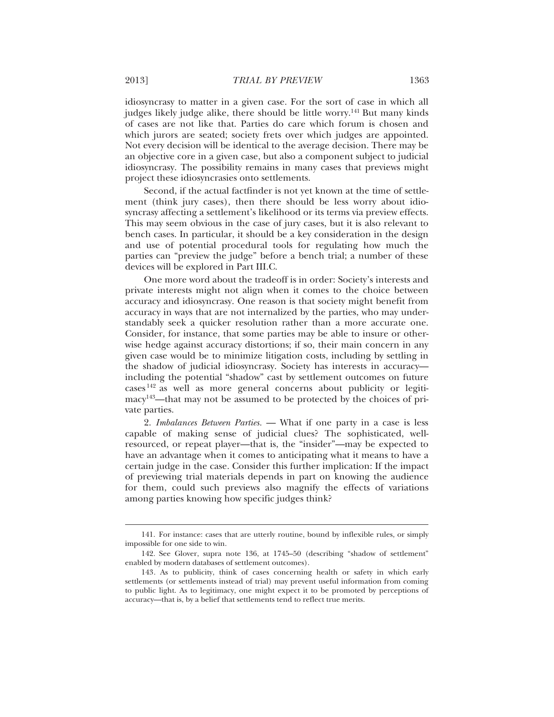idiosyncrasy to matter in a given case. For the sort of case in which all judges likely judge alike, there should be little worry.<sup>141</sup> But many kinds of cases are not like that. Parties do care which forum is chosen and which jurors are seated; society frets over which judges are appointed. Not every decision will be identical to the average decision. There may be an objective core in a given case, but also a component subject to judicial idiosyncrasy. The possibility remains in many cases that previews might project these idiosyncrasies onto settlements.

Second, if the actual factfinder is not yet known at the time of settlement (think jury cases), then there should be less worry about idiosyncrasy affecting a settlement's likelihood or its terms via preview effects. This may seem obvious in the case of jury cases, but it is also relevant to bench cases. In particular, it should be a key consideration in the design and use of potential procedural tools for regulating how much the parties can "preview the judge" before a bench trial; a number of these devices will be explored in Part III.C.

One more word about the tradeoff is in order: Society's interests and private interests might not align when it comes to the choice between accuracy and idiosyncrasy. One reason is that society might benefit from accuracy in ways that are not internalized by the parties, who may understandably seek a quicker resolution rather than a more accurate one. Consider, for instance, that some parties may be able to insure or otherwise hedge against accuracy distortions; if so, their main concern in any given case would be to minimize litigation costs, including by settling in the shadow of judicial idiosyncrasy. Society has interests in accuracy including the potential "shadow" cast by settlement outcomes on future cases 142 as well as more general concerns about publicity or legitimacy143—that may not be assumed to be protected by the choices of private parties.

2. *Imbalances Between Parties.* — What if one party in a case is less capable of making sense of judicial clues? The sophisticated, wellresourced, or repeat player—that is, the "insider"—may be expected to have an advantage when it comes to anticipating what it means to have a certain judge in the case. Consider this further implication: If the impact of previewing trial materials depends in part on knowing the audience for them, could such previews also magnify the effects of variations among parties knowing how specific judges think?

<sup>141.</sup> For instance: cases that are utterly routine, bound by inflexible rules, or simply impossible for one side to win.

<sup>142.</sup> See Glover, supra note 136, at 1745–50 (describing "shadow of settlement" enabled by modern databases of settlement outcomes).

<sup>143.</sup> As to publicity, think of cases concerning health or safety in which early settlements (or settlements instead of trial) may prevent useful information from coming to public light. As to legitimacy, one might expect it to be promoted by perceptions of accuracy—that is, by a belief that settlements tend to reflect true merits.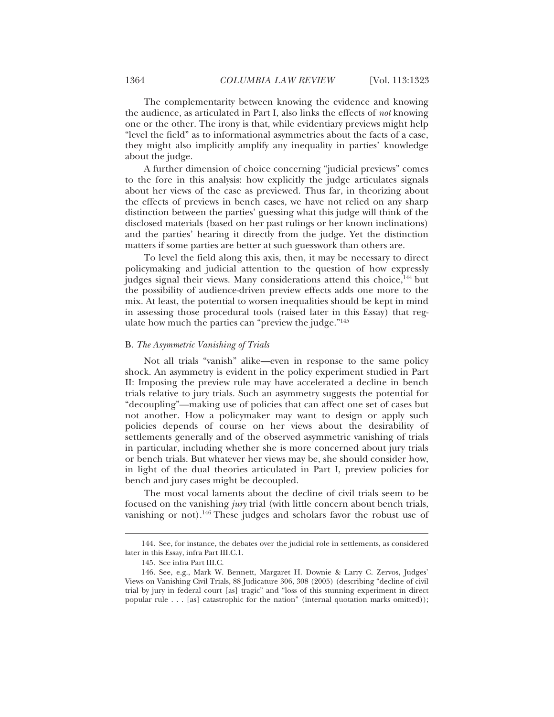The complementarity between knowing the evidence and knowing the audience, as articulated in Part I, also links the effects of *not* knowing one or the other. The irony is that, while evidentiary previews might help "level the field" as to informational asymmetries about the facts of a case, they might also implicitly amplify any inequality in parties' knowledge about the judge.

A further dimension of choice concerning "judicial previews" comes to the fore in this analysis: how explicitly the judge articulates signals about her views of the case as previewed. Thus far, in theorizing about the effects of previews in bench cases, we have not relied on any sharp distinction between the parties' guessing what this judge will think of the disclosed materials (based on her past rulings or her known inclinations) and the parties' hearing it directly from the judge. Yet the distinction matters if some parties are better at such guesswork than others are.

To level the field along this axis, then, it may be necessary to direct policymaking and judicial attention to the question of how expressly judges signal their views. Many considerations attend this choice,<sup>144</sup> but the possibility of audience-driven preview effects adds one more to the mix. At least, the potential to worsen inequalities should be kept in mind in assessing those procedural tools (raised later in this Essay) that regulate how much the parties can "preview the judge."145

## B. *The Asymmetric Vanishing of Trials*

Not all trials "vanish" alike—even in response to the same policy shock. An asymmetry is evident in the policy experiment studied in Part II: Imposing the preview rule may have accelerated a decline in bench trials relative to jury trials. Such an asymmetry suggests the potential for "decoupling"—making use of policies that can affect one set of cases but not another. How a policymaker may want to design or apply such policies depends of course on her views about the desirability of settlements generally and of the observed asymmetric vanishing of trials in particular, including whether she is more concerned about jury trials or bench trials. But whatever her views may be, she should consider how, in light of the dual theories articulated in Part I, preview policies for bench and jury cases might be decoupled.

The most vocal laments about the decline of civil trials seem to be focused on the vanishing *jury* trial (with little concern about bench trials, vanishing or not).146 These judges and scholars favor the robust use of

<sup>144.</sup> See, for instance, the debates over the judicial role in settlements, as considered later in this Essay, infra Part III.C.1.

<sup>145.</sup> See infra Part III.C.

<sup>146.</sup> See, e.g., Mark W. Bennett, Margaret H. Downie & Larry C. Zervos, Judges' Views on Vanishing Civil Trials, 88 Judicature 306, 308 (2005) (describing "decline of civil trial by jury in federal court [as] tragic" and "loss of this stunning experiment in direct popular rule . . . [as] catastrophic for the nation" (internal quotation marks omitted));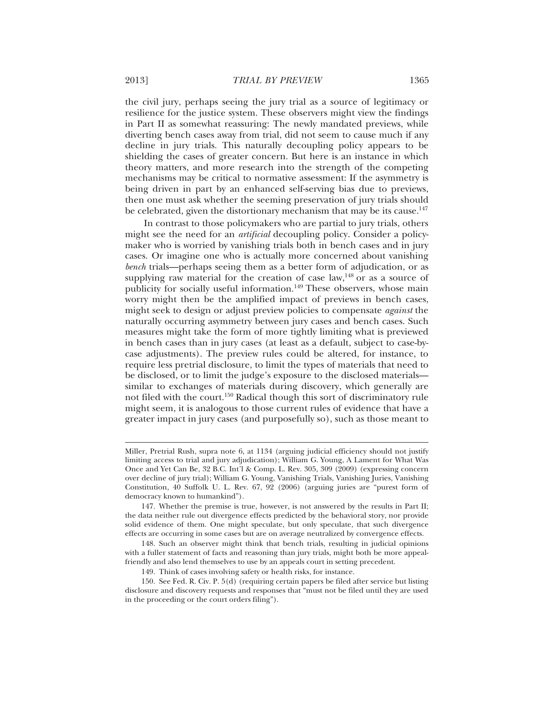the civil jury, perhaps seeing the jury trial as a source of legitimacy or resilience for the justice system. These observers might view the findings in Part II as somewhat reassuring: The newly mandated previews, while diverting bench cases away from trial, did not seem to cause much if any decline in jury trials. This naturally decoupling policy appears to be shielding the cases of greater concern. But here is an instance in which theory matters, and more research into the strength of the competing mechanisms may be critical to normative assessment: If the asymmetry is being driven in part by an enhanced self-serving bias due to previews, then one must ask whether the seeming preservation of jury trials should be celebrated, given the distortionary mechanism that may be its cause.<sup>147</sup>

In contrast to those policymakers who are partial to jury trials, others might see the need for an *artificial* decoupling policy. Consider a policymaker who is worried by vanishing trials both in bench cases and in jury cases. Or imagine one who is actually more concerned about vanishing *bench* trials—perhaps seeing them as a better form of adjudication, or as supplying raw material for the creation of case law, $148$  or as a source of publicity for socially useful information.<sup>149</sup> These observers, whose main worry might then be the amplified impact of previews in bench cases, might seek to design or adjust preview policies to compensate *against* the naturally occurring asymmetry between jury cases and bench cases. Such measures might take the form of more tightly limiting what is previewed in bench cases than in jury cases (at least as a default, subject to case-bycase adjustments). The preview rules could be altered, for instance, to require less pretrial disclosure, to limit the types of materials that need to be disclosed, or to limit the judge's exposure to the disclosed materials similar to exchanges of materials during discovery, which generally are not filed with the court.<sup>150</sup> Radical though this sort of discriminatory rule might seem, it is analogous to those current rules of evidence that have a greater impact in jury cases (and purposefully so), such as those meant to

Miller, Pretrial Rush, supra note 6, at 1134 (arguing judicial efficiency should not justify limiting access to trial and jury adjudication); William G. Young, A Lament for What Was Once and Yet Can Be, 32 B.C. Int'l & Comp. L. Rev. 305, 309 (2009) (expressing concern over decline of jury trial); William G. Young, Vanishing Trials, Vanishing Juries, Vanishing Constitution, 40 Suffolk U. L. Rev. 67, 92 (2006) (arguing juries are "purest form of democracy known to humankind").

<sup>147.</sup> Whether the premise is true, however, is not answered by the results in Part II; the data neither rule out divergence effects predicted by the behavioral story, nor provide solid evidence of them. One might speculate, but only speculate, that such divergence effects are occurring in some cases but are on average neutralized by convergence effects.

<sup>148.</sup> Such an observer might think that bench trials, resulting in judicial opinions with a fuller statement of facts and reasoning than jury trials, might both be more appealfriendly and also lend themselves to use by an appeals court in setting precedent.

<sup>149.</sup> Think of cases involving safety or health risks, for instance.

<sup>150.</sup> See Fed. R. Civ. P. 5(d) (requiring certain papers be filed after service but listing disclosure and discovery requests and responses that "must not be filed until they are used in the proceeding or the court orders filing").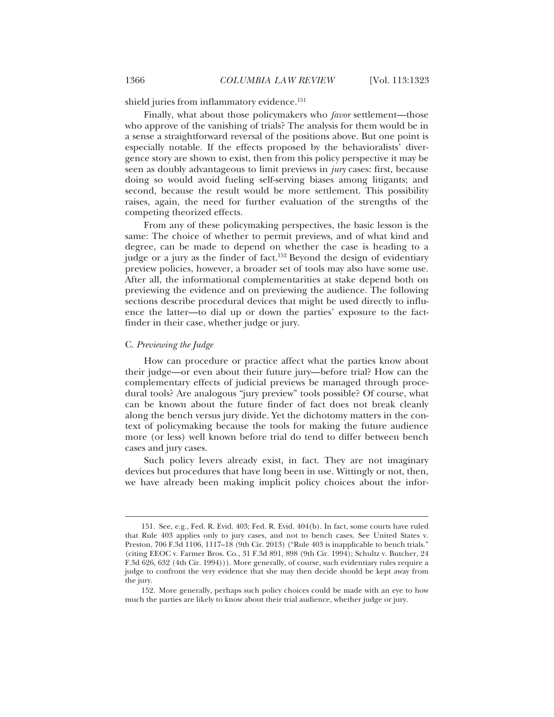shield juries from inflammatory evidence.<sup>151</sup>

Finally, what about those policymakers who *favor* settlement—those who approve of the vanishing of trials? The analysis for them would be in a sense a straightforward reversal of the positions above. But one point is especially notable. If the effects proposed by the behavioralists' divergence story are shown to exist, then from this policy perspective it may be seen as doubly advantageous to limit previews in *jury* cases: first, because doing so would avoid fueling self-serving biases among litigants; and second, because the result would be more settlement. This possibility raises, again, the need for further evaluation of the strengths of the competing theorized effects.

From any of these policymaking perspectives, the basic lesson is the same: The choice of whether to permit previews, and of what kind and degree, can be made to depend on whether the case is heading to a judge or a jury as the finder of fact.<sup>152</sup> Beyond the design of evidentiary preview policies, however, a broader set of tools may also have some use. After all, the informational complementarities at stake depend both on previewing the evidence and on previewing the audience. The following sections describe procedural devices that might be used directly to influence the latter—to dial up or down the parties' exposure to the factfinder in their case, whether judge or jury.

## C. *Previewing the Judge*

 $\overline{a}$ 

How can procedure or practice affect what the parties know about their judge—or even about their future jury—before trial? How can the complementary effects of judicial previews be managed through procedural tools? Are analogous "jury preview" tools possible? Of course, what can be known about the future finder of fact does not break cleanly along the bench versus jury divide. Yet the dichotomy matters in the context of policymaking because the tools for making the future audience more (or less) well known before trial do tend to differ between bench cases and jury cases.

Such policy levers already exist, in fact. They are not imaginary devices but procedures that have long been in use. Wittingly or not, then, we have already been making implicit policy choices about the infor-

<sup>151.</sup> See, e.g., Fed. R. Evid. 403; Fed. R. Evid. 404(b). In fact, some courts have ruled that Rule 403 applies only to jury cases, and not to bench cases. See United States v. Preston, 706 F.3d 1106, 1117–18 (9th Cir. 2013) ("Rule 403 is inapplicable to bench trials." (citing EEOC v. Farmer Bros. Co., 31 F.3d 891, 898 (9th Cir. 1994); Schultz v. Butcher, 24 F.3d 626, 632 (4th Cir. 1994))). More generally, of course, such evidentiary rules require a judge to confront the very evidence that she may then decide should be kept away from the jury.

<sup>152.</sup> More generally, perhaps such policy choices could be made with an eye to how much the parties are likely to know about their trial audience, whether judge or jury.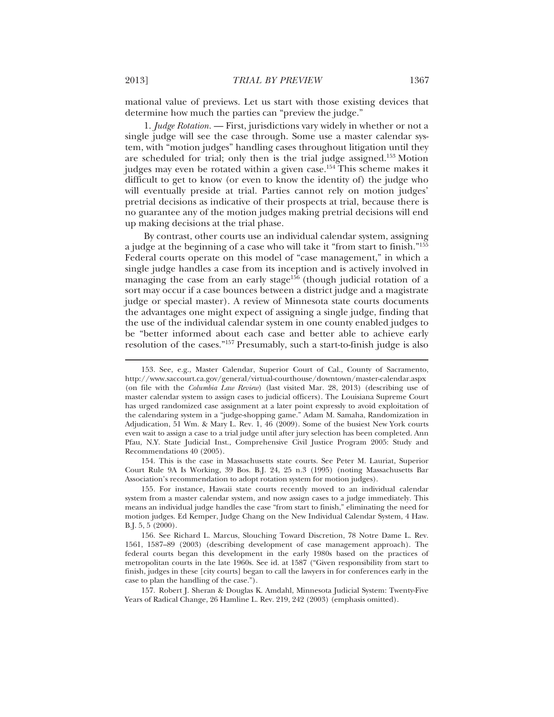mational value of previews. Let us start with those existing devices that determine how much the parties can "preview the judge."

1. *Judge Rotation.* — First, jurisdictions vary widely in whether or not a single judge will see the case through. Some use a master calendar system, with "motion judges" handling cases throughout litigation until they are scheduled for trial; only then is the trial judge assigned.153 Motion judges may even be rotated within a given case.<sup>154</sup> This scheme makes it difficult to get to know (or even to know the identity of) the judge who will eventually preside at trial. Parties cannot rely on motion judges' pretrial decisions as indicative of their prospects at trial, because there is no guarantee any of the motion judges making pretrial decisions will end up making decisions at the trial phase.

By contrast, other courts use an individual calendar system, assigning a judge at the beginning of a case who will take it "from start to finish."155 Federal courts operate on this model of "case management," in which a single judge handles a case from its inception and is actively involved in managing the case from an early stage<sup>156</sup> (though judicial rotation of a sort may occur if a case bounces between a district judge and a magistrate judge or special master). A review of Minnesota state courts documents the advantages one might expect of assigning a single judge, finding that the use of the individual calendar system in one county enabled judges to be "better informed about each case and better able to achieve early resolution of the cases."157 Presumably, such a start-to-finish judge is also

154. This is the case in Massachusetts state courts. See Peter M. Lauriat, Superior Court Rule 9A Is Working, 39 Bos. B.J. 24, 25 n.3 (1995) (noting Massachusetts Bar Association's recommendation to adopt rotation system for motion judges).

155. For instance, Hawaii state courts recently moved to an individual calendar system from a master calendar system, and now assign cases to a judge immediately. This means an individual judge handles the case "from start to finish," eliminating the need for motion judges. Ed Kemper, Judge Chang on the New Individual Calendar System, 4 Haw. B.J. 5, 5 (2000).

157. Robert J. Sheran & Douglas K. Amdahl, Minnesota Judicial System: Twenty-Five Years of Radical Change, 26 Hamline L. Rev. 219, 242 (2003) (emphasis omitted).

<sup>153.</sup> See, e.g., Master Calendar, Superior Court of Cal., County of Sacramento, http://www.saccourt.ca.gov/general/virtual-courthouse/downtown/master-calendar.aspx (on file with the *Columbia Law Review*) (last visited Mar. 28, 2013) (describing use of master calendar system to assign cases to judicial officers). The Louisiana Supreme Court has urged randomized case assignment at a later point expressly to avoid exploitation of the calendaring system in a "judge-shopping game." Adam M. Samaha, Randomization in Adjudication, 51 Wm. & Mary L. Rev. 1, 46 (2009). Some of the busiest New York courts even wait to assign a case to a trial judge until after jury selection has been completed. Ann Pfau, N.Y. State Judicial Inst., Comprehensive Civil Justice Program 2005: Study and Recommendations 40 (2005).

<sup>156.</sup> See Richard L. Marcus, Slouching Toward Discretion, 78 Notre Dame L. Rev. 1561, 1587–89 (2003) (describing development of case management approach). The federal courts began this development in the early 1980s based on the practices of metropolitan courts in the late 1960s. See id. at 1587 ("Given responsibility from start to finish, judges in these [city courts] began to call the lawyers in for conferences early in the case to plan the handling of the case.").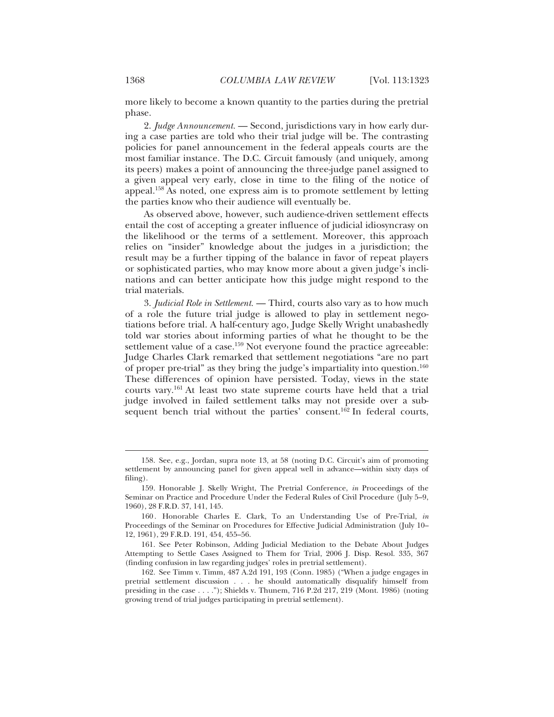more likely to become a known quantity to the parties during the pretrial phase.

2. *Judge Announcement.* — Second, jurisdictions vary in how early during a case parties are told who their trial judge will be. The contrasting policies for panel announcement in the federal appeals courts are the most familiar instance. The D.C. Circuit famously (and uniquely, among its peers) makes a point of announcing the three-judge panel assigned to a given appeal very early, close in time to the filing of the notice of appeal.158 As noted, one express aim is to promote settlement by letting the parties know who their audience will eventually be.

As observed above, however, such audience-driven settlement effects entail the cost of accepting a greater influence of judicial idiosyncrasy on the likelihood or the terms of a settlement. Moreover, this approach relies on "insider" knowledge about the judges in a jurisdiction; the result may be a further tipping of the balance in favor of repeat players or sophisticated parties, who may know more about a given judge's inclinations and can better anticipate how this judge might respond to the trial materials.

3. *Judicial Role in Settlement.* — Third, courts also vary as to how much of a role the future trial judge is allowed to play in settlement negotiations before trial. A half-century ago, Judge Skelly Wright unabashedly told war stories about informing parties of what he thought to be the settlement value of a case.<sup>159</sup> Not everyone found the practice agreeable: Judge Charles Clark remarked that settlement negotiations "are no part of proper pre-trial" as they bring the judge's impartiality into question.160 These differences of opinion have persisted. Today, views in the state courts vary.161 At least two state supreme courts have held that a trial judge involved in failed settlement talks may not preside over a subsequent bench trial without the parties' consent.<sup>162</sup> In federal courts,

<sup>158.</sup> See, e.g., Jordan, supra note 13, at 58 (noting D.C. Circuit's aim of promoting settlement by announcing panel for given appeal well in advance—within sixty days of filing).

<sup>159.</sup> Honorable J. Skelly Wright, The Pretrial Conference, *in* Proceedings of the Seminar on Practice and Procedure Under the Federal Rules of Civil Procedure (July 5–9, 1960), 28 F.R.D. 37, 141, 145.

<sup>160 .</sup> Honorable Charles E. Clark, To an Understanding Use of Pre-Trial, *in* Proceedings of the Seminar on Procedures for Effective Judicial Administration (July 10– 12, 1961), 29 F.R.D. 191, 454, 455–56.

<sup>161.</sup> See Peter Robinson, Adding Judicial Mediation to the Debate About Judges Attempting to Settle Cases Assigned to Them for Trial, 2006 J. Disp. Resol. 335, 367 (finding confusion in law regarding judges' roles in pretrial settlement).

<sup>162.</sup> See Timm v. Timm, 487 A.2d 191, 193 (Conn. 1985) ("When a judge engages in pretrial settlement discussion . . . he should automatically disqualify himself from presiding in the case  $\dots$ "); Shields v. Thunem, 716 P.2d 217, 219 (Mont. 1986) (noting growing trend of trial judges participating in pretrial settlement).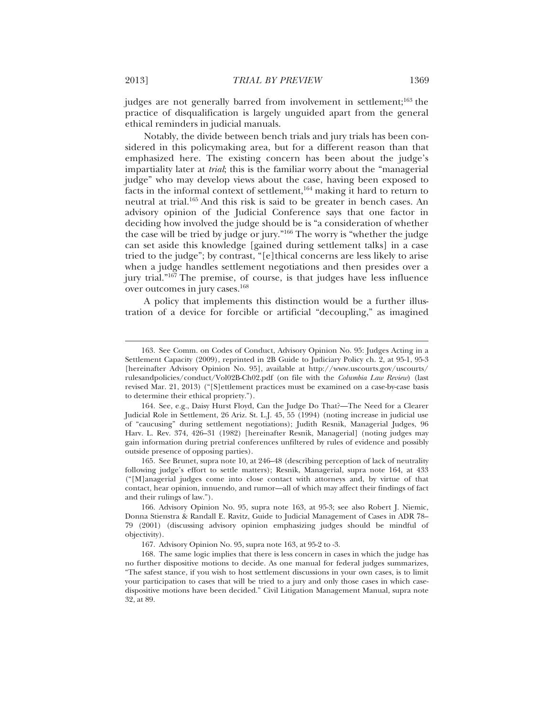judges are not generally barred from involvement in settlement;<sup>163</sup> the practice of disqualification is largely unguided apart from the general ethical reminders in judicial manuals.

Notably, the divide between bench trials and jury trials has been considered in this policymaking area, but for a different reason than that emphasized here. The existing concern has been about the judge's impartiality later at *trial*; this is the familiar worry about the "managerial judge" who may develop views about the case, having been exposed to facts in the informal context of settlement,164 making it hard to return to neutral at trial.165 And this risk is said to be greater in bench cases. An advisory opinion of the Judicial Conference says that one factor in deciding how involved the judge should be is "a consideration of whether the case will be tried by judge or jury."166 The worry is "whether the judge can set aside this knowledge [gained during settlement talks] in a case tried to the judge"; by contrast, "[e]thical concerns are less likely to arise when a judge handles settlement negotiations and then presides over a jury trial."167 The premise, of course, is that judges have less influence over outcomes in jury cases.168

A policy that implements this distinction would be a further illustration of a device for forcible or artificial "decoupling," as imagined

<sup>163.</sup> See Comm. on Codes of Conduct, Advisory Opinion No. 95: Judges Acting in a Settlement Capacity (2009), reprinted in 2B Guide to Judiciary Policy ch. 2, at 95-1, 95-3 [hereinafter Advisory Opinion No. 95], available at http://www.uscourts.gov/uscourts/ rulesandpolicies/conduct/Vol02B-Ch02.pdf (on file with the *Columbia Law Review*) (last revised Mar. 21, 2013) ("[S]ettlement practices must be examined on a case-by-case basis to determine their ethical propriety.").

<sup>164.</sup> See, e.g., Daisy Hurst Floyd, Can the Judge Do That?—The Need for a Clearer Judicial Role in Settlement, 26 Ariz. St. L.J. 45, 55 (1994) (noting increase in judicial use of "caucusing" during settlement negotiations); Judith Resnik, Managerial Judges, 96 Harv. L. Rev. 374, 426–31 (1982) [hereinafter Resnik, Managerial] (noting judges may gain information during pretrial conferences unfiltered by rules of evidence and possibly outside presence of opposing parties).

<sup>165.</sup> See Brunet, supra note 10, at 246–48 (describing perception of lack of neutrality following judge's effort to settle matters); Resnik, Managerial, supra note 164, at 433 ("[M]anagerial judges come into close contact with attorneys and, by virtue of that contact, hear opinion, innuendo, and rumor—all of which may affect their findings of fact and their rulings of law.").

<sup>166.</sup> Advisory Opinion No. 95, supra note 163, at 95-3; see also Robert J. Niemic, Donna Stienstra & Randall E. Ravitz, Guide to Judicial Management of Cases in ADR 78– 79 (2001) (discussing advisory opinion emphasizing judges should be mindful of objectivity).

<sup>167.</sup> Advisory Opinion No. 95, supra note 163, at 95-2 to -3.

<sup>168.</sup> The same logic implies that there is less concern in cases in which the judge has no further dispositive motions to decide. As one manual for federal judges summarizes, "The safest stance, if you wish to host settlement discussions in your own cases, is to limit your participation to cases that will be tried to a jury and only those cases in which casedispositive motions have been decided." Civil Litigation Management Manual, supra note 32, at 89.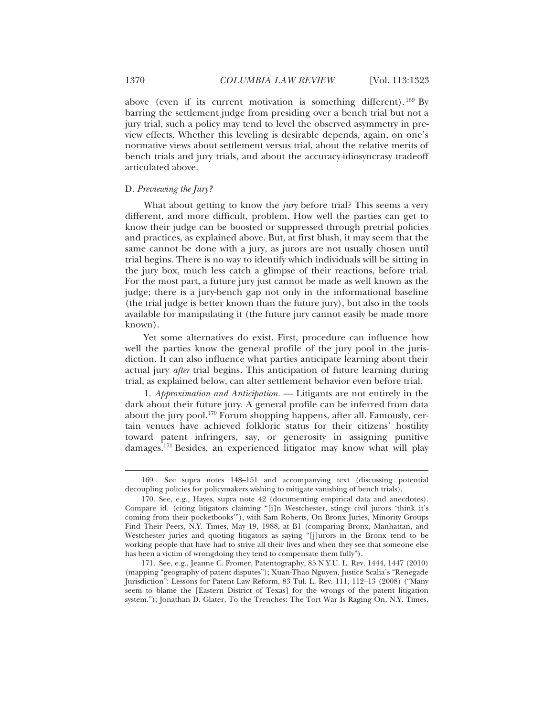above (even if its current motivation is something different).  $^{169}$  By barring the settlement judge from presiding over a bench trial but not a jury trial, such a policy may tend to level the observed asymmetry in preview effects. Whether this leveling is desirable depends, again, on one's normative views about settlement versus trial, about the relative merits of bench trials and jury trials, and about the accuracy-idiosyncrasy tradeoff articulated above.

## D. *Previewing the Jury?*

What about getting to know the *jury* before trial? This seems a very different, and more difficult, problem. How well the parties can get to know their judge can be boosted or suppressed through pretrial policies and practices, as explained above. But, at first blush, it may seem that the same cannot be done with a jury, as jurors are not usually chosen until trial begins. There is no way to identify which individuals will be sitting in the jury box, much less catch a glimpse of their reactions, before trial. For the most part, a future jury just cannot be made as well known as the judge; there is a jury-bench gap not only in the informational baseline (the trial judge is better known than the future jury), but also in the tools available for manipulating it (the future jury cannot easily be made more known).

Yet some alternatives do exist. First, procedure can influence how well the parties know the general profile of the jury pool in the jurisdiction. It can also influence what parties anticipate learning about their actual jury *after* trial begins. This anticipation of future learning during trial, as explained below, can alter settlement behavior even before trial.

1. *Approximation and Anticipation.* — Litigants are not entirely in the dark about their future jury. A general profile can be inferred from data about the jury pool.170 Forum shopping happens, after all. Famously, certain venues have achieved folkloric status for their citizens' hostility toward patent infringers, say, or generosity in assigning punitive damages.171 Besides, an experienced litigator may know what will play

<sup>169 .</sup> See supra notes 148–151 and accompanying text (discussing potential decoupling policies for policymakers wishing to mitigate vanishing of bench trials).

<sup>170.</sup> See, e.g., Hayes, supra note 42 (documenting empirical data and anecdotes). Compare id. (citing litigators claiming "[i]n Westchester, stingy civil jurors 'think it's coming from their pocketbooks'"), with Sam Roberts, On Bronx Juries, Minority Groups Find Their Peers, N.Y. Times, May 19, 1988, at B1 (comparing Bronx, Manhattan, and Westchester juries and quoting litigators as saying "[j]urors in the Bronx tend to be working people that have had to strive all their lives and when they see that someone else has been a victim of wrongdoing they tend to compensate them fully").

<sup>171.</sup> See, e.g., Jeanne C. Fromer, Patentography, 85 N.Y.U. L. Rev. 1444, 1447 (2010) (mapping "geography of patent disputes"); Xuan-Thao Nguyen, Justice Scalia's "Renegade Jurisdiction": Lessons for Patent Law Reform, 83 Tul. L. Rev. 111, 112–13 (2008) ("Many seem to blame the [Eastern District of Texas] for the wrongs of the patent litigation system."); Jonathan D. Glater, To the Trenches: The Tort War Is Raging On, N.Y. Times,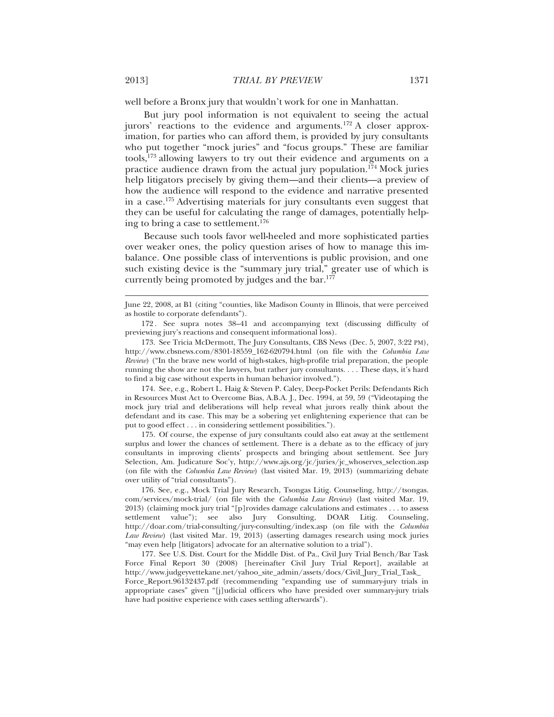well before a Bronx jury that wouldn't work for one in Manhattan.

But jury pool information is not equivalent to seeing the actual jurors' reactions to the evidence and arguments.172 A closer approximation, for parties who can afford them, is provided by jury consultants who put together "mock juries" and "focus groups." These are familiar tools,173 allowing lawyers to try out their evidence and arguments on a practice audience drawn from the actual jury population.<sup>174</sup> Mock juries help litigators precisely by giving them—and their clients—a preview of how the audience will respond to the evidence and narrative presented in a case.175 Advertising materials for jury consultants even suggest that they can be useful for calculating the range of damages, potentially helping to bring a case to settlement.<sup>176</sup>

Because such tools favor well**-**heeled and more sophisticated parties over weaker ones, the policy question arises of how to manage this imbalance. One possible class of interventions is public provision, and one such existing device is the "summary jury trial," greater use of which is currently being promoted by judges and the bar.<sup>177</sup>

174. See, e.g., Robert L. Haig & Steven P. Caley, Deep-Pocket Perils: Defendants Rich in Resources Must Act to Overcome Bias, A.B.A. J., Dec. 1994, at 59, 59 ("Videotaping the mock jury trial and deliberations will help reveal what jurors really think about the defendant and its case. This may be a sobering yet enlightening experience that can be put to good effect . . . in considering settlement possibilities.").

175. Of course, the expense of jury consultants could also eat away at the settlement surplus and lower the chances of settlement. There is a debate as to the efficacy of jury consultants in improving clients' prospects and bringing about settlement. See Jury Selection, Am. Judicature Soc'y, http://www.ajs.org/jc/juries/jc\_whoserves\_selection.asp (on file with the *Columbia Law Review*) (last visited Mar. 19, 2013) (summarizing debate over utility of "trial consultants").

June 22, 2008, at B1 (citing "counties, like Madison County in Illinois, that were perceived as hostile to corporate defendants").

<sup>172 .</sup> See supra notes 38–41 and accompanying text (discussing difficulty of previewing jury's reactions and consequent informational loss).

<sup>173.</sup> See Tricia McDermott, The Jury Consultants, CBS News (Dec. 5, 2007, 3:22 PM), http://www.cbsnews.com/8301-18559\_162-620794.html (on file with the *Columbia Law Review*) ("In the brave new world of high-stakes, high-profile trial preparation, the people running the show are not the lawyers, but rather jury consultants. . . . These days, it's hard to find a big case without experts in human behavior involved.").

<sup>176.</sup> See, e.g., Mock Trial Jury Research, Tsongas Litig. Counseling, http://tsongas. com/services/mock-trial/ (on file with the *Columbia Law Review*) (last visited Mar. 19, 2013) (claiming mock jury trial "[p]rovides damage calculations and estimates . . . to assess settlement value"); see also Jury Consulting, DOAR Litig. Counseling, http://doar.com/trial-consulting/jury-consulting/index.asp (on file with the *Columbia Law Review*) (last visited Mar. 19, 2013) (asserting damages research using mock juries "may even help [litigators] advocate for an alternative solution to a trial").

<sup>177.</sup> See U.S. Dist. Court for the Middle Dist. of Pa., Civil Jury Trial Bench/Bar Task Force Final Report 30 (2008) [hereinafter Civil Jury Trial Report], available at http://www.judgeyvettekane.net/yahoo\_site\_admin/assets/docs/Civil\_Jury\_Trial\_Task\_ Force\_Report.96132437.pdf (recommending "expanding use of summary-jury trials in appropriate cases" given "[j]udicial officers who have presided over summary-jury trials have had positive experience with cases settling afterwards").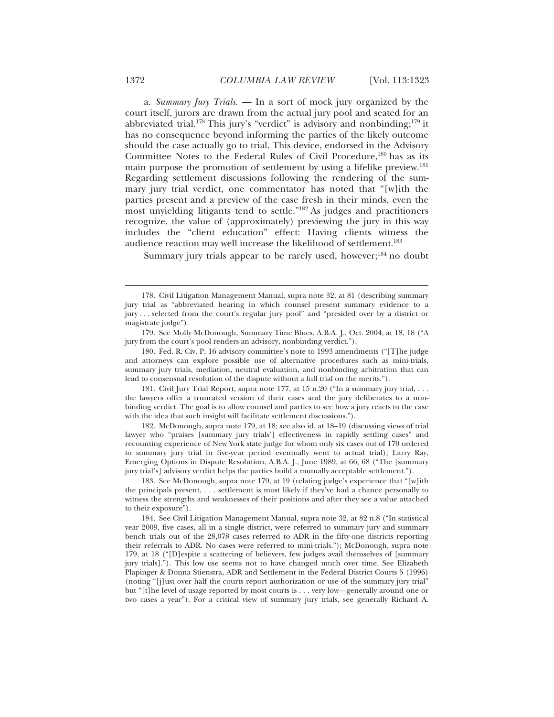a. *Summary Jury Trials.* — In a sort of mock jury organized by the court itself, jurors are drawn from the actual jury pool and seated for an abbreviated trial.<sup>178</sup> This jury's "verdict" is advisory and nonbinding;<sup>179</sup> it has no consequence beyond informing the parties of the likely outcome should the case actually go to trial. This device, endorsed in the Advisory Committee Notes to the Federal Rules of Civil Procedure,<sup>180</sup> has as its main purpose the promotion of settlement by using a lifelike preview.<sup>181</sup> Regarding settlement discussions following the rendering of the summary jury trial verdict, one commentator has noted that "[w]ith the parties present and a preview of the case fresh in their minds, even the most unyielding litigants tend to settle."182 As judges and practitioners recognize, the value of (approximately) previewing the jury in this way includes the "client education" effect: Having clients witness the audience reaction may well increase the likelihood of settlement.<sup>183</sup>

Summary jury trials appear to be rarely used, however; $^{184}$  no doubt

181. Civil Jury Trial Report, supra note 177, at 15 n.20 ("In a summary jury trial, . . . the lawyers offer a truncated version of their cases and the jury deliberates to a nonbinding verdict. The goal is to allow counsel and parties to see how a jury reacts to the case with the idea that such insight will facilitate settlement discussions.").

182. McDonough, supra note 179, at 18; see also id. at 18–19 (discussing views of trial lawyer who "praises [summary jury trials'] effectiveness in rapidly settling cases" and recounting experience of New York state judge for whom only six cases out of 170 ordered to summary jury trial in five-year period eventually went to actual trial); Larry Ray, Emerging Options in Dispute Resolution, A.B.A. J., June 1989, at 66, 68 ("The [summary jury trial's] advisory verdict helps the parties build a mutually acceptable settlement.").

183. See McDonough, supra note 179, at 19 (relating judge's experience that "[w]ith the principals present, . . . settlement is most likely if they've had a chance personally to witness the strengths and weaknesses of their positions and after they see a value attached to their exposure").

184. See Civil Litigation Management Manual, supra note 32, at 82 n.8 ("In statistical year 2009, five cases, all in a single district, were referred to summary jury and summary bench trials out of the 28,078 cases referred to ADR in the fifty-one districts reporting their referrals to ADR. No cases were referred to mini-trials."); McDonough, supra note 179, at 18 ("[D]espite a scattering of believers, few judges avail themselves of [summary jury trials]."). This low use seems not to have changed much over time. See Elizabeth Plapinger & Donna Stienstra, ADR and Settlement in the Federal District Courts 5 (1996) (noting "[j]ust over half the courts report authorization or use of the summary jury trial" but "[t]he level of usage reported by most courts is . . . very low—generally around one or two cases a year"). For a critical view of summary jury trials, see generally Richard A.

<sup>178.</sup> Civil Litigation Management Manual, supra note 32, at 81 (describing summary jury trial as "abbreviated hearing in which counsel present summary evidence to a jury . . . selected from the court's regular jury pool" and "presided over by a district or magistrate judge").

<sup>179.</sup> See Molly McDonough, Summary Time Blues, A.B.A. J., Oct. 2004, at 18, 18 ("A jury from the court's pool renders an advisory, nonbinding verdict.").

<sup>180.</sup> Fed. R. Civ. P. 16 advisory committee's note to 1993 amendments ("[T]he judge and attorneys can explore possible use of alternative procedures such as mini-trials, summary jury trials, mediation, neutral evaluation, and nonbinding arbitration that can lead to consensual resolution of the dispute without a full trial on the merits.").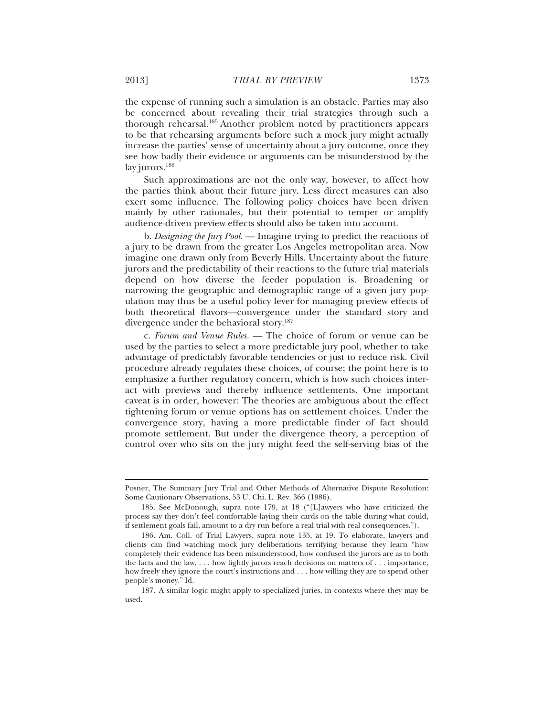the expense of running such a simulation is an obstacle. Parties may also be concerned about revealing their trial strategies through such a thorough rehearsal.<sup>185</sup> Another problem noted by practitioners appears to be that rehearsing arguments before such a mock jury might actually increase the parties' sense of uncertainty about a jury outcome, once they see how badly their evidence or arguments can be misunderstood by the lay jurors.<sup>186</sup>

Such approximations are not the only way, however, to affect how the parties think about their future jury. Less direct measures can also exert some influence. The following policy choices have been driven mainly by other rationales, but their potential to temper or amplify audience-driven preview effects should also be taken into account.

b. *Designing the Jury Pool.* — Imagine trying to predict the reactions of a jury to be drawn from the greater Los Angeles metropolitan area. Now imagine one drawn only from Beverly Hills. Uncertainty about the future jurors and the predictability of their reactions to the future trial materials depend on how diverse the feeder population is. Broadening or narrowing the geographic and demographic range of a given jury population may thus be a useful policy lever for managing preview effects of both theoretical flavors—convergence under the standard story and divergence under the behavioral story.187

c. *Forum and Venue Rules.* — The choice of forum or venue can be used by the parties to select a more predictable jury pool, whether to take advantage of predictably favorable tendencies or just to reduce risk. Civil procedure already regulates these choices, of course; the point here is to emphasize a further regulatory concern, which is how such choices interact with previews and thereby influence settlements. One important caveat is in order, however: The theories are ambiguous about the effect tightening forum or venue options has on settlement choices. Under the convergence story, having a more predictable finder of fact should promote settlement. But under the divergence theory, a perception of control over who sits on the jury might feed the self-serving bias of the

Posner, The Summary Jury Trial and Other Methods of Alternative Dispute Resolution: Some Cautionary Observations, 53 U. Chi. L. Rev. 366 (1986).

<sup>185.</sup> See McDonough, supra note 179, at 18 ("[L]awyers who have criticized the process say they don't feel comfortable laying their cards on the table during what could, if settlement goals fail, amount to a dry run before a real trial with real consequences.").

<sup>186.</sup> Am. Coll. of Trial Lawyers, supra note 135, at 19. To elaborate, lawyers and clients can find watching mock jury deliberations terrifying because they learn "how completely their evidence has been misunderstood, how confused the jurors are as to both the facts and the law, . . . how lightly jurors reach decisions on matters of . . . importance, how freely they ignore the court's instructions and . . . how willing they are to spend other people's money." Id.

<sup>187.</sup> A similar logic might apply to specialized juries, in contexts where they may be used.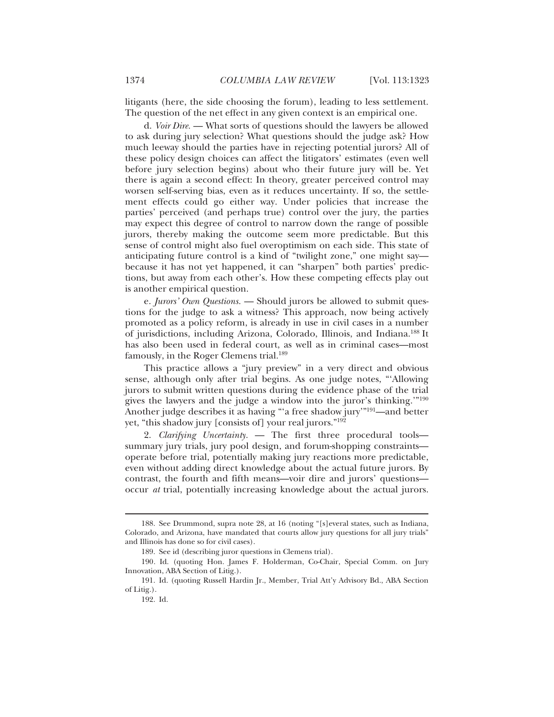litigants (here, the side choosing the forum), leading to less settlement. The question of the net effect in any given context is an empirical one.

d. *Voir Dire.* — What sorts of questions should the lawyers be allowed to ask during jury selection? What questions should the judge ask? How much leeway should the parties have in rejecting potential jurors? All of these policy design choices can affect the litigators' estimates (even well before jury selection begins) about who their future jury will be. Yet there is again a second effect: In theory, greater perceived control may worsen self-serving bias, even as it reduces uncertainty. If so, the settlement effects could go either way. Under policies that increase the parties' perceived (and perhaps true) control over the jury, the parties may expect this degree of control to narrow down the range of possible jurors, thereby making the outcome seem more predictable. But this sense of control might also fuel overoptimism on each side. This state of anticipating future control is a kind of "twilight zone," one might say because it has not yet happened, it can "sharpen" both parties' predictions, but away from each other's. How these competing effects play out is another empirical question.

e. *Jurors' Own Questions.* — Should jurors be allowed to submit questions for the judge to ask a witness? This approach, now being actively promoted as a policy reform, is already in use in civil cases in a number of jurisdictions, including Arizona, Colorado, Illinois, and Indiana.188 It has also been used in federal court, as well as in criminal cases—most famously, in the Roger Clemens trial.189

This practice allows a "jury preview" in a very direct and obvious sense, although only after trial begins. As one judge notes, "'Allowing jurors to submit written questions during the evidence phase of the trial gives the lawyers and the judge a window into the juror's thinking.'"190 Another judge describes it as having "'a free shadow jury'"191—and better yet, "this shadow jury [consists of] your real jurors."<sup>192</sup>

2. *Clarifying Uncertainty.* — The first three procedural tools summary jury trials, jury pool design, and forum-shopping constraints operate before trial, potentially making jury reactions more predictable, even without adding direct knowledge about the actual future jurors. By contrast, the fourth and fifth means—voir dire and jurors' questions occur *at* trial, potentially increasing knowledge about the actual jurors.

<sup>188.</sup> See Drummond, supra note 28, at 16 (noting "[s]everal states, such as Indiana, Colorado, and Arizona, have mandated that courts allow jury questions for all jury trials" and Illinois has done so for civil cases).

<sup>189.</sup> See id (describing juror questions in Clemens trial).

<sup>190.</sup> Id. (quoting Hon. James F. Holderman, Co-Chair, Special Comm. on Jury Innovation, ABA Section of Litig.).

<sup>191.</sup> Id. (quoting Russell Hardin Jr., Member, Trial Att'y Advisory Bd., ABA Section of Litig.).

<sup>192.</sup> Id.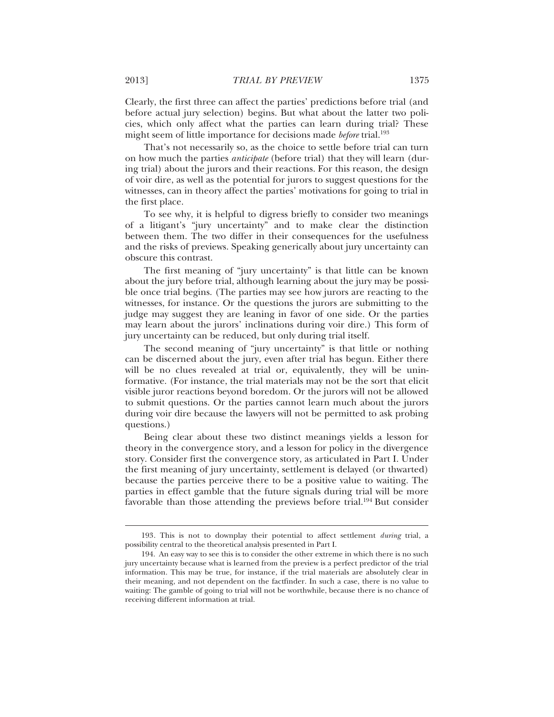Clearly, the first three can affect the parties' predictions before trial (and before actual jury selection) begins. But what about the latter two policies, which only affect what the parties can learn during trial? These might seem of little importance for decisions made *before* trial.193

That's not necessarily so, as the choice to settle before trial can turn on how much the parties *anticipate* (before trial) that they will learn (during trial) about the jurors and their reactions. For this reason, the design of voir dire, as well as the potential for jurors to suggest questions for the witnesses, can in theory affect the parties' motivations for going to trial in the first place.

To see why, it is helpful to digress briefly to consider two meanings of a litigant's "jury uncertainty" and to make clear the distinction between them. The two differ in their consequences for the usefulness and the risks of previews. Speaking generically about jury uncertainty can obscure this contrast.

The first meaning of "jury uncertainty" is that little can be known about the jury before trial, although learning about the jury may be possible once trial begins. (The parties may see how jurors are reacting to the witnesses, for instance. Or the questions the jurors are submitting to the judge may suggest they are leaning in favor of one side. Or the parties may learn about the jurors' inclinations during voir dire.) This form of jury uncertainty can be reduced, but only during trial itself.

The second meaning of "jury uncertainty" is that little or nothing can be discerned about the jury, even after trial has begun. Either there will be no clues revealed at trial or, equivalently, they will be uninformative. (For instance, the trial materials may not be the sort that elicit visible juror reactions beyond boredom. Or the jurors will not be allowed to submit questions. Or the parties cannot learn much about the jurors during voir dire because the lawyers will not be permitted to ask probing questions.)

Being clear about these two distinct meanings yields a lesson for theory in the convergence story, and a lesson for policy in the divergence story. Consider first the convergence story, as articulated in Part I. Under the first meaning of jury uncertainty, settlement is delayed (or thwarted) because the parties perceive there to be a positive value to waiting. The parties in effect gamble that the future signals during trial will be more favorable than those attending the previews before trial.<sup>194</sup> But consider

<sup>193.</sup> This is not to downplay their potential to affect settlement *during* trial, a possibility central to the theoretical analysis presented in Part I.

<sup>194.</sup> An easy way to see this is to consider the other extreme in which there is no such jury uncertainty because what is learned from the preview is a perfect predictor of the trial information. This may be true, for instance, if the trial materials are absolutely clear in their meaning, and not dependent on the factfinder. In such a case, there is no value to waiting: The gamble of going to trial will not be worthwhile, because there is no chance of receiving different information at trial.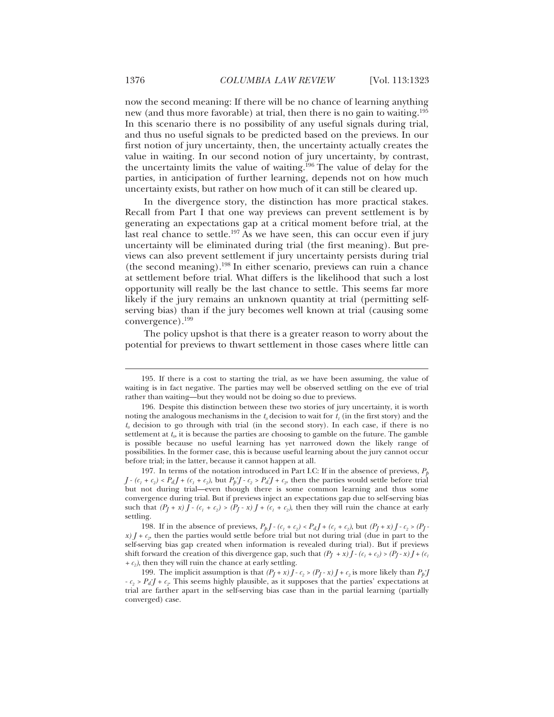now the second meaning: If there will be no chance of learning anything new (and thus more favorable) at trial, then there is no gain to waiting.<sup>195</sup> In this scenario there is no possibility of any useful signals during trial, and thus no useful signals to be predicted based on the previews. In our first notion of jury uncertainty, then, the uncertainty actually creates the value in waiting. In our second notion of jury uncertainty, by contrast, the uncertainty limits the value of waiting.<sup>196</sup> The value of delay for the parties, in anticipation of further learning, depends not on how much uncertainty exists, but rather on how much of it can still be cleared up.

In the divergence story, the distinction has more practical stakes. Recall from Part I that one way previews can prevent settlement is by generating an expectations gap at a critical moment before trial, at the last real chance to settle.<sup>197</sup> As we have seen, this can occur even if jury uncertainty will be eliminated during trial (the first meaning). But previews can also prevent settlement if jury uncertainty persists during trial (the second meaning).198 In either scenario, previews can ruin a chance at settlement before trial. What differs is the likelihood that such a lost opportunity will really be the last chance to settle. This seems far more likely if the jury remains an unknown quantity at trial (permitting selfserving bias) than if the jury becomes well known at trial (causing some convergence).199

The policy upshot is that there is a greater reason to worry about the potential for previews to thwart settlement in those cases where little can

<sup>195.</sup> If there is a cost to starting the trial, as we have been assuming, the value of waiting is in fact negative. The parties may well be observed settling on the eve of trial rather than waiting—but they would not be doing so due to previews.

<sup>196.</sup> Despite this distinction between these two stories of jury uncertainty, it is worth noting the analogous mechanisms in the  $t_0$  decision to wait for  $t_1$  (in the first story) and the  $t_0$  decision to go through with trial (in the second story). In each case, if there is no settlement at  $t_p$ , it is because the parties are choosing to gamble on the future. The gamble is possible because no useful learning has yet narrowed down the likely range of possibilities. In the former case, this is because useful learning about the jury cannot occur before trial; in the latter, because it cannot happen at all.

<sup>197.</sup> In terms of the notation introduced in Part I.C: If in the absence of previews,  $P<sub>p</sub>$ *J* -  $(c_1 + c_2) < P_dJ + (c_1 + c_2)$ , but  $P_p^*J - c_2 > P_d^*J + c_2$ , then the parties would settle before trial but not during trial—even though there is some common learning and thus some convergence during trial. But if previews inject an expectations gap due to self-serving bias such that  $(P_J + x) J - (c_1 + c_2) > (P_J - x) J + (c_1 + c_2)$ , then they will ruin the chance at early settling.

<sup>198.</sup> If in the absence of previews,  $P_{p}J - (c_{1} + c_{2}) < P_{d}J + (c_{1} + c_{2})$ , but  $(P_{J} + x)J - c_{2} > (P_{J} - x)J - c_{1} > (P_{J} - x)J - c_{2} > (P_{J} - x)J - c_{1} > (P_{J} - x)J - c_{2} > (P_{J} - x)J - c_{2} > (P_{J} - x)J - c_{2} > (P_{J} - x)J - c_{2} > (P_{J} - x)J - c_{2} > (P_{J} - x)J$  $\chi$ )  $I + c<sub>n</sub>$ , then the parties would settle before trial but not during trial (due in part to the self-serving bias gap created when information is revealed during trial). But if previews shift forward the creation of this divergence gap, such that  $(P_I + x)I - (c_1 + c_2) > (P_I - x)I + (c_1 + c_2)I$  $+ c<sub>2</sub>$ ), then they will ruin the chance at early settling.

<sup>199.</sup> The implicit assumption is that  $(P_J + x)J - c_2 > (P_J - x)J + c_2$  is more likely than  $P_p^*J$  $-c_2 > P_d^*J + c_2$ . This seems highly plausible, as it supposes that the parties' expectations at trial are farther apart in the self-serving bias case than in the partial learning (partially converged) case.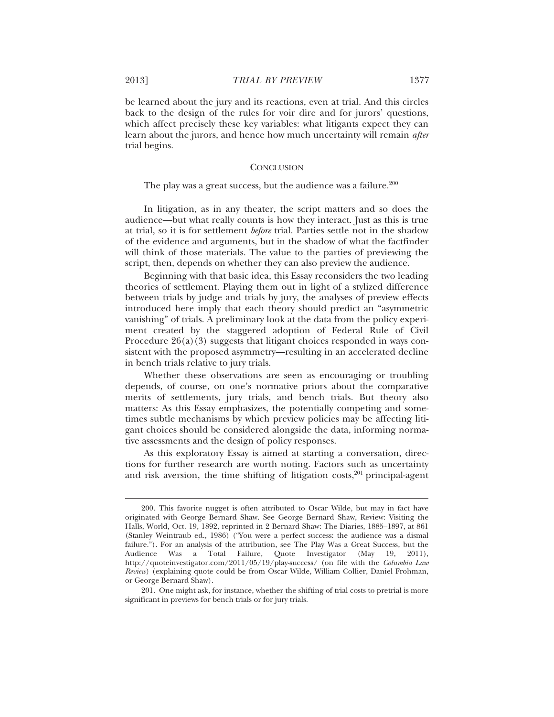be learned about the jury and its reactions, even at trial. And this circles back to the design of the rules for voir dire and for jurors' questions, which affect precisely these key variables: what litigants expect they can learn about the jurors, and hence how much uncertainty will remain *after* trial begins.

#### **CONCLUSION**

## The play was a great success, but the audience was a failure.<sup>200</sup>

In litigation, as in any theater, the script matters and so does the audience—but what really counts is how they interact. Just as this is true at trial, so it is for settlement *before* trial. Parties settle not in the shadow of the evidence and arguments, but in the shadow of what the factfinder will think of those materials. The value to the parties of previewing the script, then, depends on whether they can also preview the audience.

Beginning with that basic idea, this Essay reconsiders the two leading theories of settlement. Playing them out in light of a stylized difference between trials by judge and trials by jury, the analyses of preview effects introduced here imply that each theory should predict an "asymmetric vanishing" of trials. A preliminary look at the data from the policy experiment created by the staggered adoption of Federal Rule of Civil Procedure  $26(a)(3)$  suggests that litigant choices responded in ways consistent with the proposed asymmetry—resulting in an accelerated decline in bench trials relative to jury trials.

Whether these observations are seen as encouraging or troubling depends, of course, on one's normative priors about the comparative merits of settlements, jury trials, and bench trials. But theory also matters: As this Essay emphasizes, the potentially competing and sometimes subtle mechanisms by which preview policies may be affecting litigant choices should be considered alongside the data, informing normative assessments and the design of policy responses.

As this exploratory Essay is aimed at starting a conversation, directions for further research are worth noting. Factors such as uncertainty and risk aversion, the time shifting of litigation costs,<sup>201</sup> principal-agent

<sup>200.</sup> This favorite nugget is often attributed to Oscar Wilde, but may in fact have originated with George Bernard Shaw. See George Bernard Shaw, Review: Visiting the Halls, World, Oct. 19, 1892, reprinted in 2 Bernard Shaw: The Diaries, 1885–1897, at 861 (Stanley Weintraub ed., 1986) ("You were a perfect success: the audience was a dismal failure."). For an analysis of the attribution, see The Play Was a Great Success, but the Audience Was a Total Failure, Quote Investigator (May 19, 2011), http://quoteinvestigator.com/2011/05/19/play-success/ (on file with the *Columbia Law Review*) (explaining quote could be from Oscar Wilde, William Collier, Daniel Frohman, or George Bernard Shaw).

<sup>201.</sup> One might ask, for instance, whether the shifting of trial costs to pretrial is more significant in previews for bench trials or for jury trials.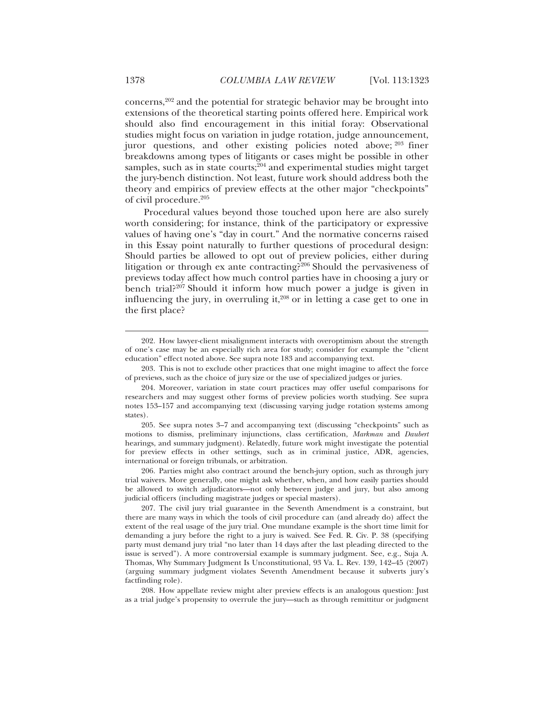concerns,202 and the potential for strategic behavior may be brought into extensions of the theoretical starting points offered here. Empirical work should also find encouragement in this initial foray: Observational studies might focus on variation in judge rotation, judge announcement, juror questions, and other existing policies noted above; <sup>203</sup> finer breakdowns among types of litigants or cases might be possible in other samples, such as in state courts; $^{204}$  and experimental studies might target the jury-bench distinction. Not least, future work should address both the theory and empirics of preview effects at the other major "checkpoints" of civil procedure.<sup>205</sup>

Procedural values beyond those touched upon here are also surely worth considering; for instance, think of the participatory or expressive values of having one's "day in court." And the normative concerns raised in this Essay point naturally to further questions of procedural design: Should parties be allowed to opt out of preview policies, either during litigation or through ex ante contracting?206 Should the pervasiveness of previews today affect how much control parties have in choosing a jury or bench trial?<sup>207</sup> Should it inform how much power a judge is given in influencing the jury, in overruling it, $208$  or in letting a case get to one in the first place?

203. This is not to exclude other practices that one might imagine to affect the force of previews, such as the choice of jury size or the use of specialized judges or juries.

206. Parties might also contract around the bench-jury option, such as through jury trial waivers. More generally, one might ask whether, when, and how easily parties should be allowed to switch adjudicators—not only between judge and jury, but also among judicial officers (including magistrate judges or special masters).

207. The civil jury trial guarantee in the Seventh Amendment is a constraint, but there are many ways in which the tools of civil procedure can (and already do) affect the extent of the real usage of the jury trial. One mundane example is the short time limit for demanding a jury before the right to a jury is waived. See Fed. R. Civ. P. 38 (specifying party must demand jury trial "no later than 14 days after the last pleading directed to the issue is served"). A more controversial example is summary judgment. See, e.g., Suja A. Thomas, Why Summary Judgment Is Unconstitutional, 93 Va. L. Rev. 139, 142–45 (2007) (arguing summary judgment violates Seventh Amendment because it subverts jury's factfinding role).

208. How appellate review might alter preview effects is an analogous question: Just as a trial judge's propensity to overrule the jury—such as through remittitur or judgment

<sup>202.</sup> How lawyer-client misalignment interacts with overoptimism about the strength of one's case may be an especially rich area for study; consider for example the "client education" effect noted above. See supra note 183 and accompanying text.

<sup>204.</sup> Moreover, variation in state court practices may offer useful comparisons for researchers and may suggest other forms of preview policies worth studying. See supra notes 153–157 and accompanying text (discussing varying judge rotation systems among states).

<sup>205.</sup> See supra notes 3–7 and accompanying text (discussing "checkpoints" such as motions to dismiss, preliminary injunctions, class certification, *Markman* and *Daubert* hearings, and summary judgment). Relatedly, future work might investigate the potential for preview effects in other settings, such as in criminal justice, ADR, agencies, international or foreign tribunals, or arbitration.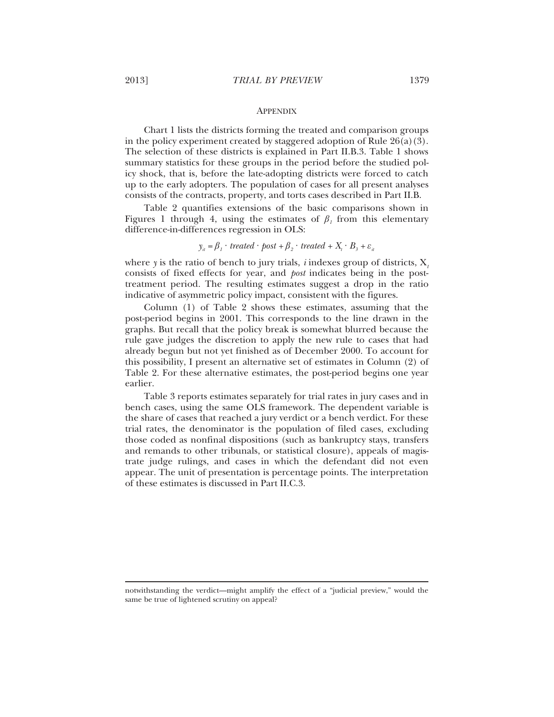#### **APPENDIX**

Chart 1 lists the districts forming the treated and comparison groups in the policy experiment created by staggered adoption of Rule  $26(a)(3)$ . The selection of these districts is explained in Part II.B.3. Table 1 shows summary statistics for these groups in the period before the studied policy shock, that is, before the late-adopting districts were forced to catch up to the early adopters. The population of cases for all present analyses consists of the contracts, property, and torts cases described in Part II.B.

Table 2 quantifies extensions of the basic comparisons shown in Figures 1 through 4, using the estimates of  $\beta$ <sup>1</sup> from this elementary difference-in-differences regression in OLS:

# $y_{ii} = \beta_i \cdot \text{treated} \cdot \text{post} + \beta_2 \cdot \text{treated} + X_i \cdot B_3 + \varepsilon_i$

where *y* is the ratio of bench to jury trials, *i* indexes group of districts, X*<sup>t</sup>* consists of fixed effects for year, and *post* indicates being in the posttreatment period. The resulting estimates suggest a drop in the ratio indicative of asymmetric policy impact, consistent with the figures.

Column (1) of Table 2 shows these estimates, assuming that the post-period begins in 2001. This corresponds to the line drawn in the graphs. But recall that the policy break is somewhat blurred because the rule gave judges the discretion to apply the new rule to cases that had already begun but not yet finished as of December 2000. To account for this possibility, I present an alternative set of estimates in Column (2) of Table 2. For these alternative estimates, the post-period begins one year earlier.

Table 3 reports estimates separately for trial rates in jury cases and in bench cases, using the same OLS framework. The dependent variable is the share of cases that reached a jury verdict or a bench verdict. For these trial rates, the denominator is the population of filed cases, excluding those coded as nonfinal dispositions (such as bankruptcy stays, transfers and remands to other tribunals, or statistical closure), appeals of magistrate judge rulings, and cases in which the defendant did not even appear. The unit of presentation is percentage points. The interpretation of these estimates is discussed in Part II.C.3.

notwithstanding the verdict—might amplify the effect of a "judicial preview," would the same be true of lightened scrutiny on appeal?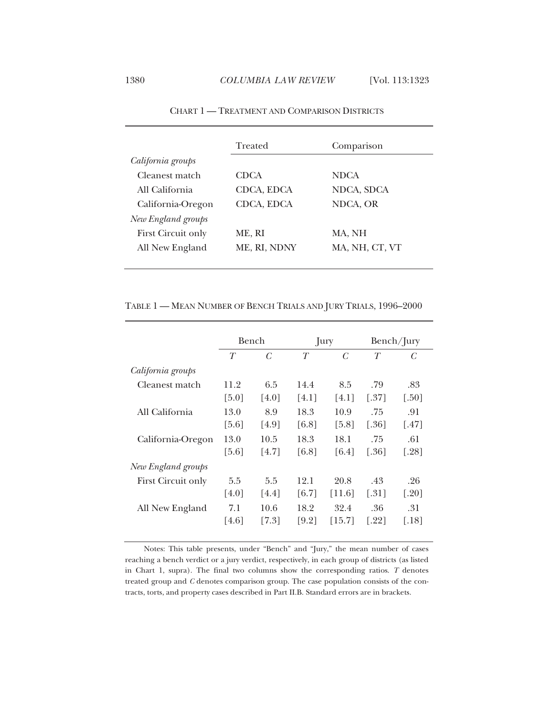|                           | Treated      | Comparison     |
|---------------------------|--------------|----------------|
| California groups         |              |                |
| Cleanest match            | <b>CDCA</b>  | <b>NDCA</b>    |
| All California            | CDCA, EDCA   | NDCA, SDCA     |
| California-Oregon         | CDCA, EDCA   | NDCA, OR       |
| New England groups        |              |                |
| <b>First Circuit only</b> | ME, RI       | MA, NH         |
| All New England           | ME, RI, NDNY | MA, NH, CT, VT |
|                           |              |                |

CHART 1 — TREATMENT AND COMPARISON DISTRICTS

# TABLE 1 — MEAN NUMBER OF BENCH TRIALS AND JURY TRIALS, 1996–2000

|                           | Bench               |       |       | Jury                |                     | Bench/Jury           |
|---------------------------|---------------------|-------|-------|---------------------|---------------------|----------------------|
|                           | T                   | C     | T     | $\mathcal{C}$       | T                   | C                    |
| California groups         |                     |       |       |                     |                     |                      |
| Cleanest match            | 11.2                | 6.5   | 14.4  | 8.5                 | .79                 | .83                  |
|                           | $\lceil 5.0 \rceil$ | [4.0] | [4.1] | [4.1]               | [.37]               | $\left[ .50 \right]$ |
| All California            | 13.0                | 8.9   | 18.3  | 10.9                | .75                 | .91                  |
|                           | $\left[5.6\right]$  | [4.9] | [6.8] | $\lceil 5.8 \rceil$ | [.36]               | $\lceil .47 \rceil$  |
| California-Oregon         | 13.0                | 10.5  | 18.3  | 18.1                | .75                 | .61                  |
|                           | [5.6]               | [4.7] | [6.8] | [6.4]               | [.36]               | [.28]                |
| New England groups        |                     |       |       |                     |                     |                      |
| <b>First Circuit only</b> | 5.5                 | 5.5   | 12.1  | 20.8                | .43                 | .26                  |
|                           | [4.0]               | [4.4] | [6.7] | [11.6]              | $\left[ .31\right]$ | [.20]                |
| All New England           | 7.1                 | 10.6  | 18.2  | 32.4                | .36                 | .31                  |
|                           | [4.6]               | [7.3] | [9.2] | [15.7]              | [.22]               | [.18]                |
|                           |                     |       |       |                     |                     |                      |

Notes: This table presents, under "Bench" and "Jury," the mean number of cases reaching a bench verdict or a jury verdict, respectively, in each group of districts (as listed in Chart 1, supra). The final two columns show the corresponding ratios. *T* denotes treated group and *C* denotes comparison group. The case population consists of the contracts, torts, and property cases described in Part II.B. Standard errors are in brackets.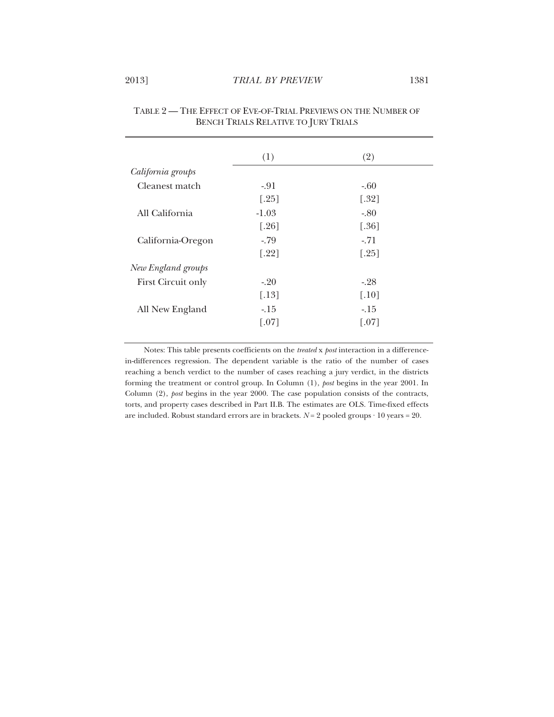| (1)                 | (2)                 |
|---------------------|---------------------|
|                     |                     |
|                     |                     |
| $-91$               | $-.60$              |
| $[.25]$             | $[.32]$             |
| $-1.03$             | $-80$               |
| $\lceil.26\rceil$   | $[.36]$             |
| $-79$               | $-71$               |
| $[.22]$             | $\lceil.25\rceil$   |
|                     |                     |
| $-20$               | $-28$               |
| $\lceil .13 \rceil$ | $\lceil .10 \rceil$ |
| $-15$               | $-15$               |
| $\lceil .07 \rceil$ | $\lceil .07 \rceil$ |
|                     |                     |

| TABLE 2 — THE EFFECT OF EVE-OF-TRIAL PREVIEWS ON THE NUMBER OF |
|----------------------------------------------------------------|
| BENCH TRIALS RELATIVE TO JURY TRIALS                           |

Notes: This table presents coefficients on the *treated* x *post* interaction in a differencein-differences regression. The dependent variable is the ratio of the number of cases reaching a bench verdict to the number of cases reaching a jury verdict, in the districts forming the treatment or control group. In Column (1), *post* begins in the year 2001. In Column (2), *post* begins in the year 2000. The case population consists of the contracts, torts, and property cases described in Part II.B. The estimates are OLS. Time-fixed effects are included. Robust standard errors are in brackets.  $N = 2$  pooled groups  $\cdot 10$  years = 20.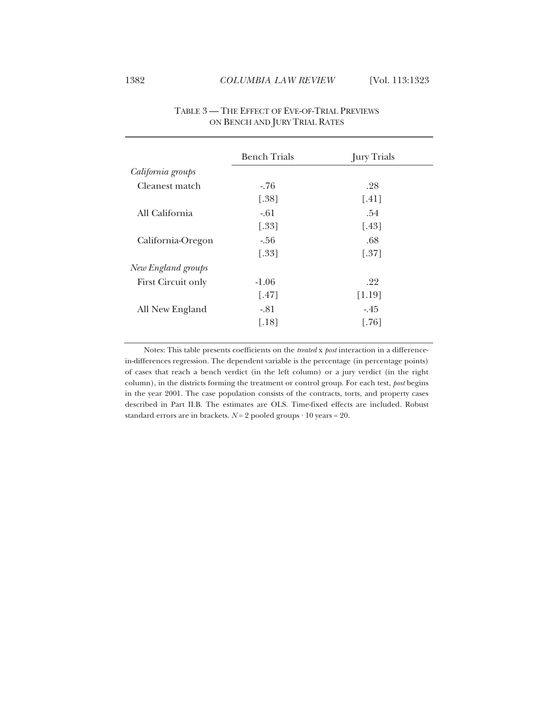|                    | <b>Bench Trials</b> | <b>Jury Trials</b> |
|--------------------|---------------------|--------------------|
| California groups  |                     |                    |
| Cleanest match     | $-76$               | .28                |
|                    | $[.38]$             | [.41]              |
| All California     | $-.61$              | .54                |
|                    | $[.33]$             | $[.43]$            |
| California-Oregon  | $-.56$              | .68                |
|                    | $[.33]$             | $[.37]$            |
| New England groups |                     |                    |
| First Circuit only | $-1.06$             | .22                |
|                    | $\lceil .47 \rceil$ | [1.19]             |
| All New England    | $-81$               | $-45$              |
|                    | $[.18]$             | $[.76]$            |

# TABLE 3 — THE EFFECT OF EVE-OF-TRIAL PREVIEWS ON BENCH AND JURY TRIAL RATES

Notes: This table presents coefficients on the *treated* x *post* interaction in a differencein-differences regression. The dependent variable is the percentage (in percentage points) of cases that reach a bench verdict (in the left column) or a jury verdict (in the right column), in the districts forming the treatment or control group. For each test, *post* begins in the year 2001. The case population consists of the contracts, torts, and property cases described in Part II.B. The estimates are OLS. Time-fixed effects are included. Robust standard errors are in brackets.  $N = 2$  pooled groups  $\cdot 10$  years = 20.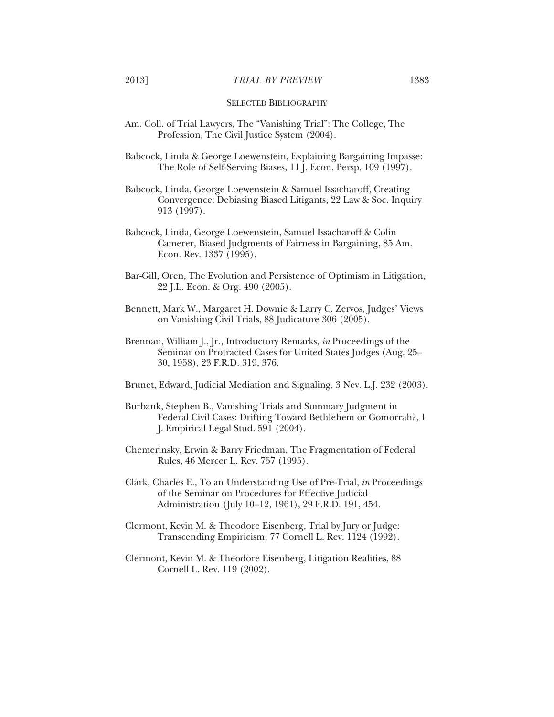#### SELECTED BIBLIOGRAPHY

Am. Coll. of Trial Lawyers, The "Vanishing Trial": The College, The Profession, The Civil Justice System (2004).

Babcock, Linda & George Loewenstein, Explaining Bargaining Impasse: The Role of Self-Serving Biases, 11 J. Econ. Persp. 109 (1997).

Babcock, Linda, George Loewenstein & Samuel Issacharoff, Creating Convergence: Debiasing Biased Litigants, 22 Law & Soc. Inquiry 913 (1997).

Babcock, Linda, George Loewenstein, Samuel Issacharoff & Colin Camerer, Biased Judgments of Fairness in Bargaining, 85 Am. Econ. Rev. 1337 (1995).

- Bar-Gill, Oren, The Evolution and Persistence of Optimism in Litigation, 22 J.L. Econ. & Org. 490 (2005).
- Bennett, Mark W., Margaret H. Downie & Larry C. Zervos, Judges' Views on Vanishing Civil Trials, 88 Judicature 306 (2005).
- Brennan, William J., Jr., Introductory Remarks, *in* Proceedings of the Seminar on Protracted Cases for United States Judges (Aug. 25– 30, 1958), 23 F.R.D. 319, 376.

Brunet, Edward, Judicial Mediation and Signaling, 3 Nev. L.J. 232 (2003).

- Burbank, Stephen B., Vanishing Trials and Summary Judgment in Federal Civil Cases: Drifting Toward Bethlehem or Gomorrah?, 1 J. Empirical Legal Stud. 591 (2004).
- Chemerinsky, Erwin & Barry Friedman, The Fragmentation of Federal Rules, 46 Mercer L. Rev. 757 (1995).

Clark, Charles E., To an Understanding Use of Pre-Trial, *in* Proceedings of the Seminar on Procedures for Effective Judicial Administration (July 10–12, 1961), 29 F.R.D. 191, 454.

- Clermont, Kevin M. & Theodore Eisenberg, Trial by Jury or Judge: Transcending Empiricism*,* 77 Cornell L. Rev. 1124 (1992).
- Clermont, Kevin M. & Theodore Eisenberg, Litigation Realities, 88 Cornell L. Rev. 119 (2002).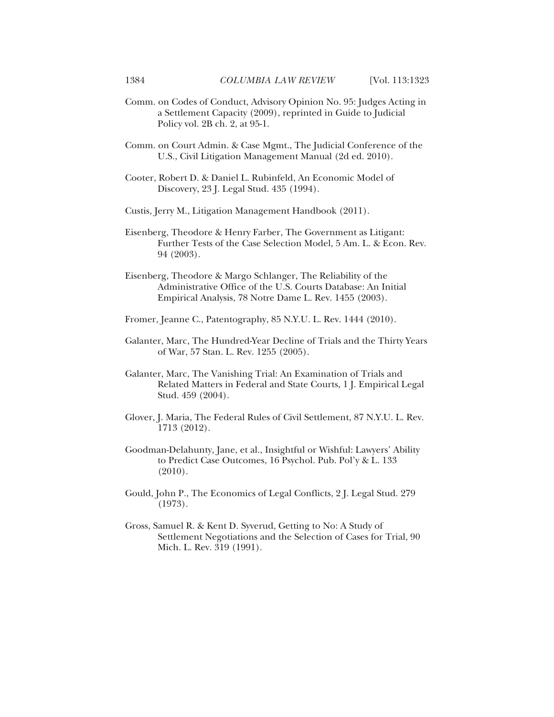- Comm. on Codes of Conduct, Advisory Opinion No. 95: Judges Acting in a Settlement Capacity (2009), reprinted in Guide to Judicial Policy vol. 2B ch. 2, at 95-1.
- Comm. on Court Admin. & Case Mgmt., The Judicial Conference of the U.S., Civil Litigation Management Manual (2d ed. 2010).
- Cooter, Robert D. & Daniel L. Rubinfeld, An Economic Model of Discovery, 23 J. Legal Stud. 435 (1994).
- Custis, Jerry M., Litigation Management Handbook (2011).
- Eisenberg, Theodore & Henry Farber, The Government as Litigant: Further Tests of the Case Selection Model, 5 Am. L. & Econ. Rev. 94 (2003).
- Eisenberg, Theodore & Margo Schlanger, The Reliability of the Administrative Office of the U.S. Courts Database: An Initial Empirical Analysis, 78 Notre Dame L. Rev. 1455 (2003).
- Fromer, Jeanne C., Patentography, 85 N.Y.U. L. Rev. 1444 (2010).
- Galanter, Marc, The Hundred-Year Decline of Trials and the Thirty Years of War, 57 Stan. L. Rev. 1255 (2005).
- Galanter, Marc, The Vanishing Trial: An Examination of Trials and Related Matters in Federal and State Courts, 1 J. Empirical Legal Stud. 459 (2004).
- Glover, J. Maria, The Federal Rules of Civil Settlement, 87 N.Y.U. L. Rev. 1713 (2012).
- Goodman-Delahunty, Jane, et al., Insightful or Wishful: Lawyers' Ability to Predict Case Outcomes, 16 Psychol. Pub. Pol'y & L. 133 (2010).
- Gould, John P., The Economics of Legal Conflicts, 2 J. Legal Stud. 279 (1973).
- Gross, Samuel R. & Kent D. Syverud, Getting to No: A Study of Settlement Negotiations and the Selection of Cases for Trial, 90 Mich. L. Rev. 319 (1991).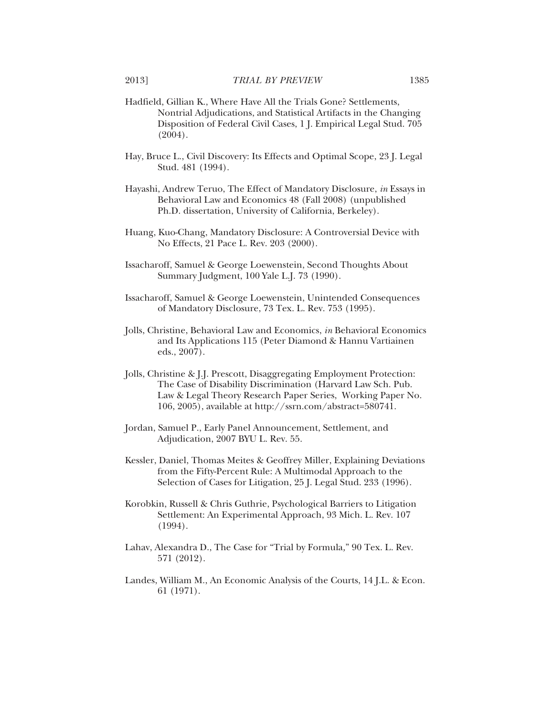- Hadfield, Gillian K., Where Have All the Trials Gone? Settlements, Nontrial Adjudications, and Statistical Artifacts in the Changing Disposition of Federal Civil Cases, 1 J. Empirical Legal Stud. 705 (2004).
- Hay, Bruce L., Civil Discovery: Its Effects and Optimal Scope, 23 J. Legal Stud. 481 (1994).
- Hayashi, Andrew Teruo, The Effect of Mandatory Disclosure, *in* Essays in Behavioral Law and Economics 48 (Fall 2008) (unpublished Ph.D. dissertation, University of California, Berkeley).
- Huang, Kuo-Chang, Mandatory Disclosure: A Controversial Device with No Effects, 21 Pace L. Rev. 203 (2000).
- Issacharoff, Samuel & George Loewenstein, Second Thoughts About Summary Judgment, 100 Yale L.J. 73 (1990).
- Issacharoff, Samuel & George Loewenstein, Unintended Consequences of Mandatory Disclosure, 73 Tex. L. Rev. 753 (1995).
- Jolls, Christine, Behavioral Law and Economics, *in* Behavioral Economics and Its Applications 115 (Peter Diamond & Hannu Vartiainen eds., 2007).
- Jolls, Christine & J.J. Prescott, Disaggregating Employment Protection: The Case of Disability Discrimination (Harvard Law Sch. Pub. Law & Legal Theory Research Paper Series, Working Paper No. 106, 2005), available at http://ssrn.com/abstract=580741.
- Jordan, Samuel P., Early Panel Announcement, Settlement, and Adjudication, 2007 BYU L. Rev. 55.
- Kessler, Daniel, Thomas Meites & Geoffrey Miller, Explaining Deviations from the Fifty-Percent Rule: A Multimodal Approach to the Selection of Cases for Litigation, 25 J. Legal Stud. 233 (1996).
- Korobkin, Russell & Chris Guthrie, Psychological Barriers to Litigation Settlement: An Experimental Approach, 93 Mich. L. Rev. 107 (1994).
- Lahav, Alexandra D., The Case for "Trial by Formula*,*" 90 Tex. L. Rev. 571 (2012).
- Landes, William M., An Economic Analysis of the Courts, 14 J.L. & Econ. 61 (1971).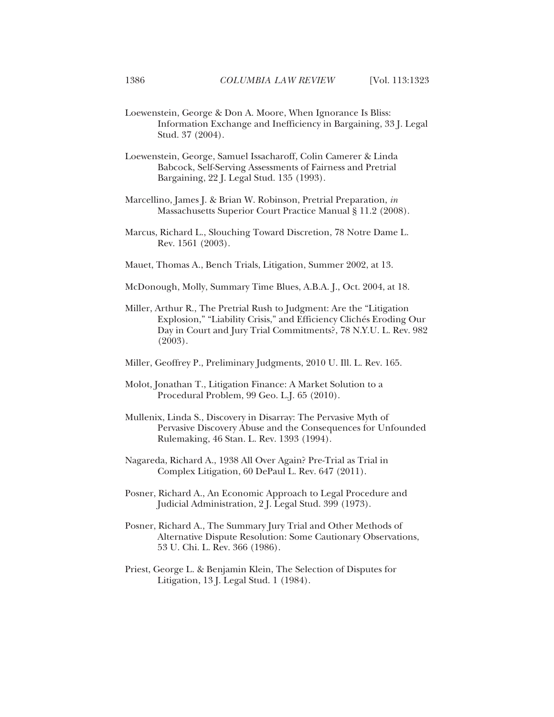- Loewenstein, George & Don A. Moore, When Ignorance Is Bliss: Information Exchange and Inefficiency in Bargaining, 33 J. Legal Stud. 37 (2004).
- Loewenstein, George, Samuel Issacharoff, Colin Camerer & Linda Babcock, Self-Serving Assessments of Fairness and Pretrial Bargaining, 22 J. Legal Stud. 135 (1993).
- Marcellino, James J. & Brian W. Robinson, Pretrial Preparation, *in* Massachusetts Superior Court Practice Manual § 11.2 (2008).
- Marcus, Richard L., Slouching Toward Discretion, 78 Notre Dame L. Rev. 1561 (2003).
- Mauet, Thomas A., Bench Trials, Litigation, Summer 2002, at 13.
- McDonough, Molly, Summary Time Blues, A.B.A. J., Oct. 2004, at 18.
- Miller, Arthur R., The Pretrial Rush to Judgment: Are the "Litigation Explosion," "Liability Crisis," and Efficiency Clichés Eroding Our Day in Court and Jury Trial Commitments?, 78 N.Y.U. L. Rev. 982 (2003).
- Miller, Geoffrey P., Preliminary Judgments, 2010 U. Ill. L. Rev. 165.
- Molot, Jonathan T., Litigation Finance: A Market Solution to a Procedural Problem, 99 Geo. L.J. 65 (2010).
- Mullenix, Linda S., Discovery in Disarray: The Pervasive Myth of Pervasive Discovery Abuse and the Consequences for Unfounded Rulemaking, 46 Stan. L. Rev. 1393 (1994).
- Nagareda, Richard A., 1938 All Over Again? Pre-Trial as Trial in Complex Litigation, 60 DePaul L. Rev. 647 (2011).
- Posner, Richard A., An Economic Approach to Legal Procedure and Judicial Administration, 2 J. Legal Stud. 399 (1973).
- Posner, Richard A., The Summary Jury Trial and Other Methods of Alternative Dispute Resolution: Some Cautionary Observations, 53 U. Chi. L. Rev. 366 (1986).
- Priest, George L. & Benjamin Klein, The Selection of Disputes for Litigation, 13 J. Legal Stud. 1 (1984).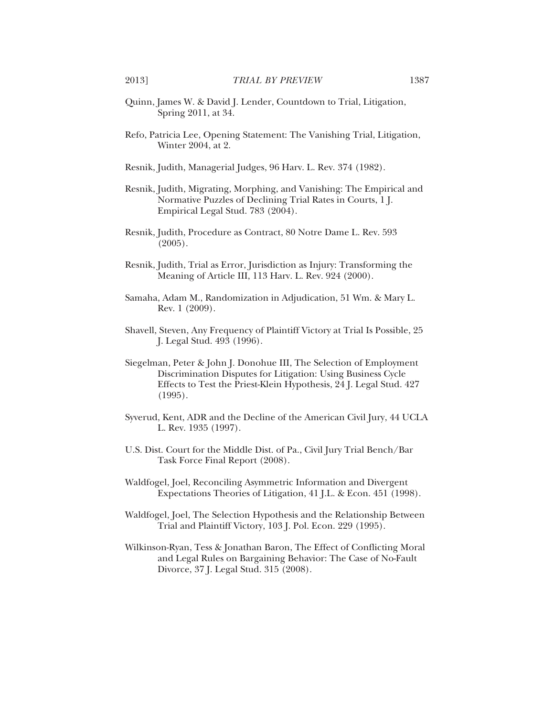- Quinn, James W. & David J. Lender, Countdown to Trial, Litigation, Spring 2011, at 34.
- Refo, Patricia Lee, Opening Statement: The Vanishing Trial, Litigation, Winter 2004, at 2.
- Resnik, Judith, Managerial Judges, 96 Harv. L. Rev. 374 (1982).
- Resnik, Judith, Migrating, Morphing, and Vanishing: The Empirical and Normative Puzzles of Declining Trial Rates in Courts, 1 J. Empirical Legal Stud. 783 (2004).
- Resnik, Judith, Procedure as Contract, 80 Notre Dame L. Rev. 593 (2005).
- Resnik, Judith, Trial as Error, Jurisdiction as Injury: Transforming the Meaning of Article III, 113 Harv. L. Rev. 924 (2000).
- Samaha, Adam M., Randomization in Adjudication, 51 Wm. & Mary L. Rev. 1 (2009).
- Shavell, Steven, Any Frequency of Plaintiff Victory at Trial Is Possible, 25 J. Legal Stud. 493 (1996).
- Siegelman, Peter & John J. Donohue III, The Selection of Employment Discrimination Disputes for Litigation: Using Business Cycle Effects to Test the Priest-Klein Hypothesis, 24 J. Legal Stud. 427 (1995).
- Syverud, Kent, ADR and the Decline of the American Civil Jury, 44 UCLA L. Rev. 1935 (1997).
- U.S. Dist. Court for the Middle Dist. of Pa., Civil Jury Trial Bench/Bar Task Force Final Report (2008).
- Waldfogel, Joel, Reconciling Asymmetric Information and Divergent Expectations Theories of Litigation, 41 J.L. & Econ. 451 (1998).
- Waldfogel, Joel, The Selection Hypothesis and the Relationship Between Trial and Plaintiff Victory, 103 J. Pol. Econ. 229 (1995).
- Wilkinson-Ryan, Tess & Jonathan Baron, The Effect of Conflicting Moral and Legal Rules on Bargaining Behavior: The Case of No-Fault Divorce, 37 J. Legal Stud. 315 (2008).